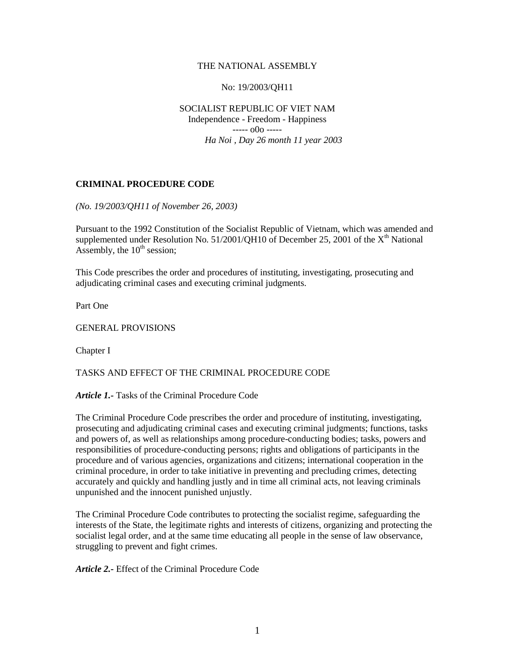### THE NATIONAL ASSEMBLY

### No: 19/2003/QH11

SOCIALIST REPUBLIC OF VIET NAM Independence - Freedom - Happiness  $---000$   $---$ *Ha Noi , Day 26 month 11 year 2003* 

### **CRIMINAL PROCEDURE CODE**

*(No. 19/2003/QH11 of November 26, 2003)* 

Pursuant to the 1992 Constitution of the Socialist Republic of Vietnam, which was amended and supplemented under Resolution No.  $51/2001/QH10$  of December 25, 2001 of the  $X<sup>th</sup>$  National Assembly, the  $10<sup>th</sup>$  session;

This Code prescribes the order and procedures of instituting, investigating, prosecuting and adjudicating criminal cases and executing criminal judgments.

Part One

GENERAL PROVISIONS

Chapter I

# TASKS AND EFFECT OF THE CRIMINAL PROCEDURE CODE

#### *Article 1.-* Tasks of the Criminal Procedure Code

The Criminal Procedure Code prescribes the order and procedure of instituting, investigating, prosecuting and adjudicating criminal cases and executing criminal judgments; functions, tasks and powers of, as well as relationships among procedure-conducting bodies; tasks, powers and responsibilities of procedure-conducting persons; rights and obligations of participants in the procedure and of various agencies, organizations and citizens; international cooperation in the criminal procedure, in order to take initiative in preventing and precluding crimes, detecting accurately and quickly and handling justly and in time all criminal acts, not leaving criminals unpunished and the innocent punished unjustly.

The Criminal Procedure Code contributes to protecting the socialist regime, safeguarding the interests of the State, the legitimate rights and interests of citizens, organizing and protecting the socialist legal order, and at the same time educating all people in the sense of law observance, struggling to prevent and fight crimes.

*Article 2.-* Effect of the Criminal Procedure Code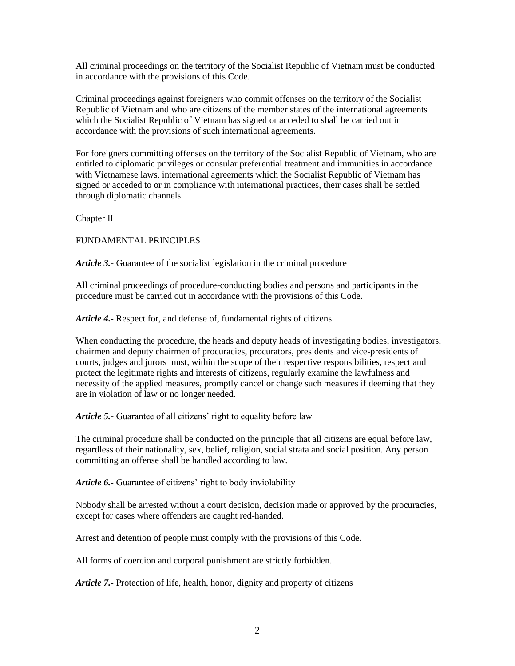All criminal proceedings on the territory of the Socialist Republic of Vietnam must be conducted in accordance with the provisions of this Code.

Criminal proceedings against foreigners who commit offenses on the territory of the Socialist Republic of Vietnam and who are citizens of the member states of the international agreements which the Socialist Republic of Vietnam has signed or acceded to shall be carried out in accordance with the provisions of such international agreements.

For foreigners committing offenses on the territory of the Socialist Republic of Vietnam, who are entitled to diplomatic privileges or consular preferential treatment and immunities in accordance with Vietnamese laws, international agreements which the Socialist Republic of Vietnam has signed or acceded to or in compliance with international practices, their cases shall be settled through diplomatic channels.

Chapter II

FUNDAMENTAL PRINCIPLES

*Article 3.-* Guarantee of the socialist legislation in the criminal procedure

All criminal proceedings of procedure-conducting bodies and persons and participants in the procedure must be carried out in accordance with the provisions of this Code.

*Article 4.-* Respect for, and defense of, fundamental rights of citizens

When conducting the procedure, the heads and deputy heads of investigating bodies, investigators, chairmen and deputy chairmen of procuracies, procurators, presidents and vice-presidents of courts, judges and jurors must, within the scope of their respective responsibilities, respect and protect the legitimate rights and interests of citizens, regularly examine the lawfulness and necessity of the applied measures, promptly cancel or change such measures if deeming that they are in violation of law or no longer needed.

*Article 5.-* Guarantee of all citizens' right to equality before law

The criminal procedure shall be conducted on the principle that all citizens are equal before law, regardless of their nationality, sex, belief, religion, social strata and social position. Any person committing an offense shall be handled according to law.

*Article 6.-* Guarantee of citizens' right to body inviolability

Nobody shall be arrested without a court decision, decision made or approved by the procuracies, except for cases where offenders are caught red-handed.

Arrest and detention of people must comply with the provisions of this Code.

All forms of coercion and corporal punishment are strictly forbidden.

*Article 7.-* Protection of life, health, honor, dignity and property of citizens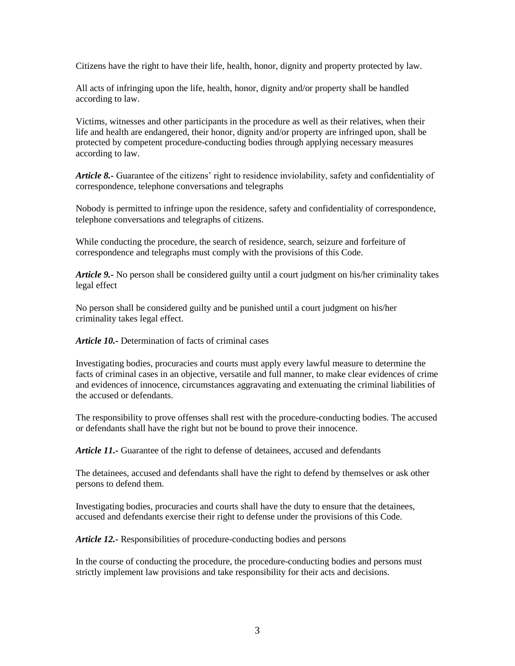Citizens have the right to have their life, health, honor, dignity and property protected by law.

All acts of infringing upon the life, health, honor, dignity and/or property shall be handled according to law.

Victims, witnesses and other participants in the procedure as well as their relatives, when their life and health are endangered, their honor, dignity and/or property are infringed upon, shall be protected by competent procedure-conducting bodies through applying necessary measures according to law.

*Article 8.-* Guarantee of the citizens' right to residence inviolability, safety and confidentiality of correspondence, telephone conversations and telegraphs

Nobody is permitted to infringe upon the residence, safety and confidentiality of correspondence, telephone conversations and telegraphs of citizens.

While conducting the procedure, the search of residence, search, seizure and forfeiture of correspondence and telegraphs must comply with the provisions of this Code.

*Article 9.-* No person shall be considered guilty until a court judgment on his/her criminality takes legal effect

No person shall be considered guilty and be punished until a court judgment on his/her criminality takes legal effect.

*Article 10.-* Determination of facts of criminal cases

Investigating bodies, procuracies and courts must apply every lawful measure to determine the facts of criminal cases in an objective, versatile and full manner, to make clear evidences of crime and evidences of innocence, circumstances aggravating and extenuating the criminal liabilities of the accused or defendants.

The responsibility to prove offenses shall rest with the procedure-conducting bodies. The accused or defendants shall have the right but not be bound to prove their innocence.

*Article 11.-* Guarantee of the right to defense of detainees, accused and defendants

The detainees, accused and defendants shall have the right to defend by themselves or ask other persons to defend them.

Investigating bodies, procuracies and courts shall have the duty to ensure that the detainees, accused and defendants exercise their right to defense under the provisions of this Code.

*Article 12.-* Responsibilities of procedure-conducting bodies and persons

In the course of conducting the procedure, the procedure-conducting bodies and persons must strictly implement law provisions and take responsibility for their acts and decisions.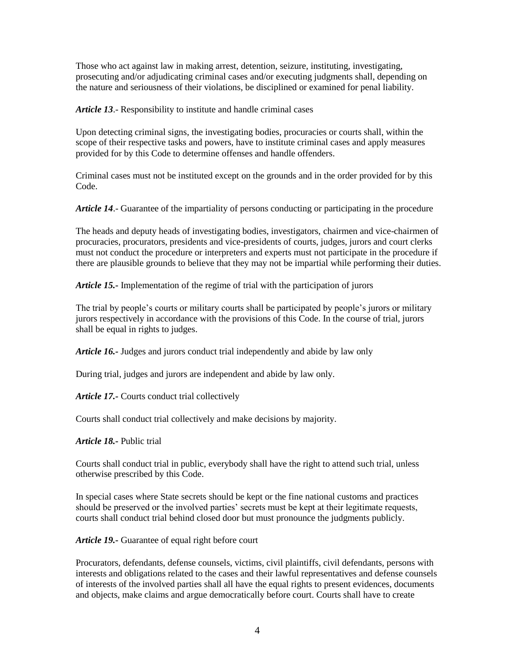Those who act against law in making arrest, detention, seizure, instituting, investigating, prosecuting and/or adjudicating criminal cases and/or executing judgments shall, depending on the nature and seriousness of their violations, be disciplined or examined for penal liability.

*Article 13*.- Responsibility to institute and handle criminal cases

Upon detecting criminal signs, the investigating bodies, procuracies or courts shall, within the scope of their respective tasks and powers, have to institute criminal cases and apply measures provided for by this Code to determine offenses and handle offenders.

Criminal cases must not be instituted except on the grounds and in the order provided for by this Code.

*Article 14*.- Guarantee of the impartiality of persons conducting or participating in the procedure

The heads and deputy heads of investigating bodies, investigators, chairmen and vice-chairmen of procuracies, procurators, presidents and vice-presidents of courts, judges, jurors and court clerks must not conduct the procedure or interpreters and experts must not participate in the procedure if there are plausible grounds to believe that they may not be impartial while performing their duties.

*Article 15.-* Implementation of the regime of trial with the participation of jurors

The trial by people's courts or military courts shall be participated by people's jurors or military jurors respectively in accordance with the provisions of this Code. In the course of trial, jurors shall be equal in rights to judges.

*Article 16.-* Judges and jurors conduct trial independently and abide by law only

During trial, judges and jurors are independent and abide by law only.

*Article 17.-* Courts conduct trial collectively

Courts shall conduct trial collectively and make decisions by majority.

*Article 18.-* Public trial

Courts shall conduct trial in public, everybody shall have the right to attend such trial, unless otherwise prescribed by this Code.

In special cases where State secrets should be kept or the fine national customs and practices should be preserved or the involved parties' secrets must be kept at their legitimate requests, courts shall conduct trial behind closed door but must pronounce the judgments publicly.

*Article 19.-* Guarantee of equal right before court

Procurators, defendants, defense counsels, victims, civil plaintiffs, civil defendants, persons with interests and obligations related to the cases and their lawful representatives and defense counsels of interests of the involved parties shall all have the equal rights to present evidences, documents and objects, make claims and argue democratically before court. Courts shall have to create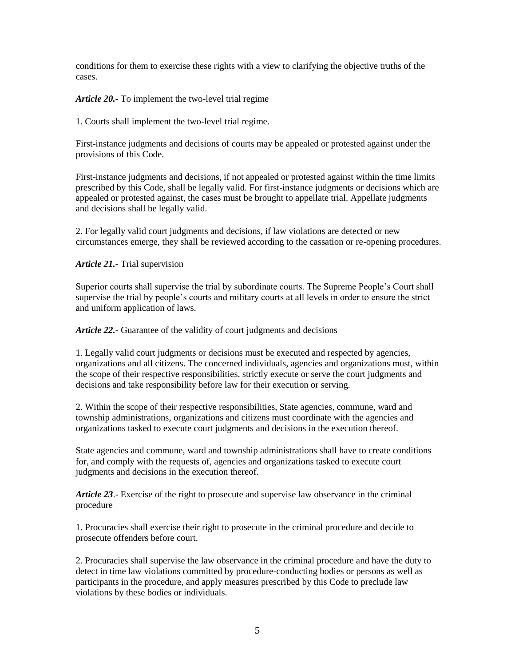conditions for them to exercise these rights with a view to clarifying the objective truths of the cases.

*Article 20.-* To implement the two-level trial regime

1. Courts shall implement the two-level trial regime.

First-instance judgments and decisions of courts may be appealed or protested against under the provisions of this Code.

First-instance judgments and decisions, if not appealed or protested against within the time limits prescribed by this Code, shall be legally valid. For first-instance judgments or decisions which are appealed or protested against, the cases must be brought to appellate trial. Appellate judgments and decisions shall be legally valid.

2. For legally valid court judgments and decisions, if law violations are detected or new circumstances emerge, they shall be reviewed according to the cassation or re-opening procedures.

*Article 21.-* Trial supervision

Superior courts shall supervise the trial by subordinate courts. The Supreme People's Court shall supervise the trial by people's courts and military courts at all levels in order to ensure the strict and uniform application of laws.

*Article 22.-* Guarantee of the validity of court judgments and decisions

1. Legally valid court judgments or decisions must be executed and respected by agencies, organizations and all citizens. The concerned individuals, agencies and organizations must, within the scope of their respective responsibilities, strictly execute or serve the court judgments and decisions and take responsibility before law for their execution or serving.

2. Within the scope of their respective responsibilities, State agencies, commune, ward and township administrations, organizations and citizens must coordinate with the agencies and organizations tasked to execute court judgments and decisions in the execution thereof.

State agencies and commune, ward and township administrations shall have to create conditions for, and comply with the requests of, agencies and organizations tasked to execute court judgments and decisions in the execution thereof.

*Article 23*.- Exercise of the right to prosecute and supervise law observance in the criminal procedure

1. Procuracies shall exercise their right to prosecute in the criminal procedure and decide to prosecute offenders before court.

2. Procuracies shall supervise the law observance in the criminal procedure and have the duty to detect in time law violations committed by procedure-conducting bodies or persons as well as participants in the procedure, and apply measures prescribed by this Code to preclude law violations by these bodies or individuals.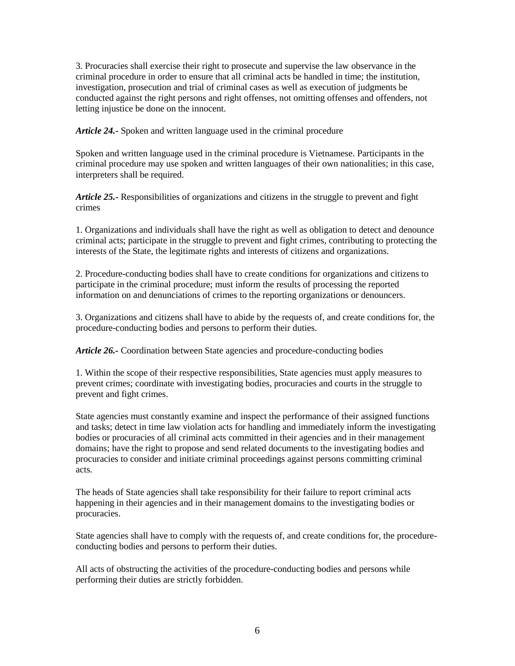3. Procuracies shall exercise their right to prosecute and supervise the law observance in the criminal procedure in order to ensure that all criminal acts be handled in time; the institution, investigation, prosecution and trial of criminal cases as well as execution of judgments be conducted against the right persons and right offenses, not omitting offenses and offenders, not letting injustice be done on the innocent.

*Article 24.-* Spoken and written language used in the criminal procedure

Spoken and written language used in the criminal procedure is Vietnamese. Participants in the criminal procedure may use spoken and written languages of their own nationalities; in this case, interpreters shall be required.

*Article 25.-* Responsibilities of organizations and citizens in the struggle to prevent and fight crimes

1. Organizations and individuals shall have the right as well as obligation to detect and denounce criminal acts; participate in the struggle to prevent and fight crimes, contributing to protecting the interests of the State, the legitimate rights and interests of citizens and organizations.

2. Procedure-conducting bodies shall have to create conditions for organizations and citizens to participate in the criminal procedure; must inform the results of processing the reported information on and denunciations of crimes to the reporting organizations or denouncers.

3. Organizations and citizens shall have to abide by the requests of, and create conditions for, the procedure-conducting bodies and persons to perform their duties.

*Article 26.-* Coordination between State agencies and procedure-conducting bodies

1. Within the scope of their respective responsibilities, State agencies must apply measures to prevent crimes; coordinate with investigating bodies, procuracies and courts in the struggle to prevent and fight crimes.

State agencies must constantly examine and inspect the performance of their assigned functions and tasks; detect in time law violation acts for handling and immediately inform the investigating bodies or procuracies of all criminal acts committed in their agencies and in their management domains; have the right to propose and send related documents to the investigating bodies and procuracies to consider and initiate criminal proceedings against persons committing criminal acts.

The heads of State agencies shall take responsibility for their failure to report criminal acts happening in their agencies and in their management domains to the investigating bodies or procuracies.

State agencies shall have to comply with the requests of, and create conditions for, the procedureconducting bodies and persons to perform their duties.

All acts of obstructing the activities of the procedure-conducting bodies and persons while performing their duties are strictly forbidden.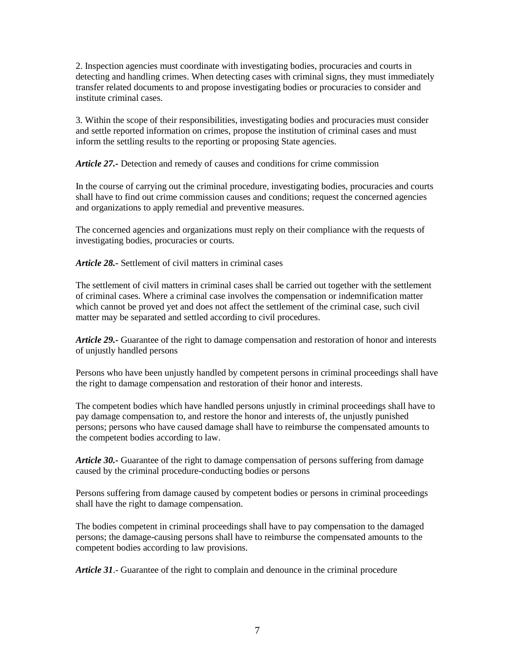2. Inspection agencies must coordinate with investigating bodies, procuracies and courts in detecting and handling crimes. When detecting cases with criminal signs, they must immediately transfer related documents to and propose investigating bodies or procuracies to consider and institute criminal cases.

3. Within the scope of their responsibilities, investigating bodies and procuracies must consider and settle reported information on crimes, propose the institution of criminal cases and must inform the settling results to the reporting or proposing State agencies.

*Article 27.-* Detection and remedy of causes and conditions for crime commission

In the course of carrying out the criminal procedure, investigating bodies, procuracies and courts shall have to find out crime commission causes and conditions; request the concerned agencies and organizations to apply remedial and preventive measures.

The concerned agencies and organizations must reply on their compliance with the requests of investigating bodies, procuracies or courts.

*Article 28.-* Settlement of civil matters in criminal cases

The settlement of civil matters in criminal cases shall be carried out together with the settlement of criminal cases. Where a criminal case involves the compensation or indemnification matter which cannot be proved yet and does not affect the settlement of the criminal case, such civil matter may be separated and settled according to civil procedures.

*Article 29.-* Guarantee of the right to damage compensation and restoration of honor and interests of unjustly handled persons

Persons who have been unjustly handled by competent persons in criminal proceedings shall have the right to damage compensation and restoration of their honor and interests.

The competent bodies which have handled persons unjustly in criminal proceedings shall have to pay damage compensation to, and restore the honor and interests of, the unjustly punished persons; persons who have caused damage shall have to reimburse the compensated amounts to the competent bodies according to law.

*Article 30.-* Guarantee of the right to damage compensation of persons suffering from damage caused by the criminal procedure-conducting bodies or persons

Persons suffering from damage caused by competent bodies or persons in criminal proceedings shall have the right to damage compensation.

The bodies competent in criminal proceedings shall have to pay compensation to the damaged persons; the damage-causing persons shall have to reimburse the compensated amounts to the competent bodies according to law provisions.

*Article 31*.- Guarantee of the right to complain and denounce in the criminal procedure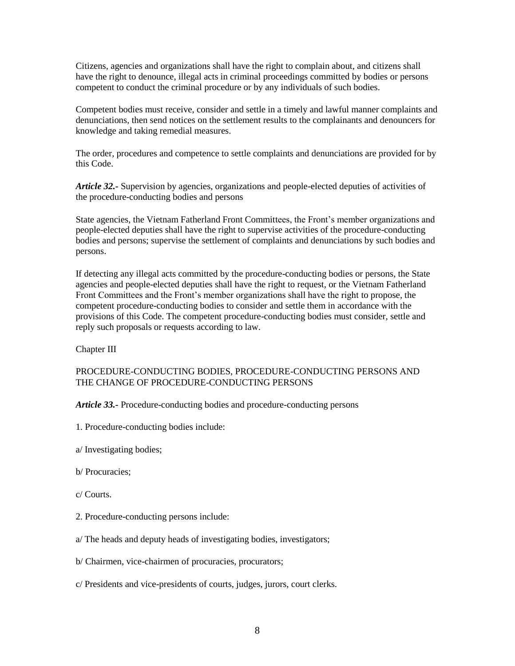Citizens, agencies and organizations shall have the right to complain about, and citizens shall have the right to denounce, illegal acts in criminal proceedings committed by bodies or persons competent to conduct the criminal procedure or by any individuals of such bodies.

Competent bodies must receive, consider and settle in a timely and lawful manner complaints and denunciations, then send notices on the settlement results to the complainants and denouncers for knowledge and taking remedial measures.

The order, procedures and competence to settle complaints and denunciations are provided for by this Code.

*Article 32.-* Supervision by agencies, organizations and people-elected deputies of activities of the procedure-conducting bodies and persons

State agencies, the Vietnam Fatherland Front Committees, the Front's member organizations and people-elected deputies shall have the right to supervise activities of the procedure-conducting bodies and persons; supervise the settlement of complaints and denunciations by such bodies and persons.

If detecting any illegal acts committed by the procedure-conducting bodies or persons, the State agencies and people-elected deputies shall have the right to request, or the Vietnam Fatherland Front Committees and the Front's member organizations shall have the right to propose, the competent procedure-conducting bodies to consider and settle them in accordance with the provisions of this Code. The competent procedure-conducting bodies must consider, settle and reply such proposals or requests according to law.

Chapter III

# PROCEDURE-CONDUCTING BODIES, PROCEDURE-CONDUCTING PERSONS AND THE CHANGE OF PROCEDURE-CONDUCTING PERSONS

*Article 33.-* Procedure-conducting bodies and procedure-conducting persons

- 1. Procedure-conducting bodies include:
- a/ Investigating bodies;
- b/ Procuracies;
- c/ Courts.
- 2. Procedure-conducting persons include:
- a/ The heads and deputy heads of investigating bodies, investigators;
- b/ Chairmen, vice-chairmen of procuracies, procurators;
- c/ Presidents and vice-presidents of courts, judges, jurors, court clerks.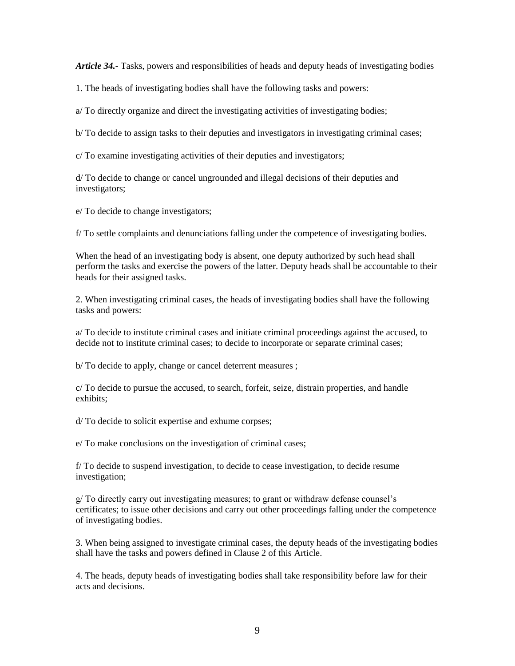*Article 34.-* Tasks, powers and responsibilities of heads and deputy heads of investigating bodies

1. The heads of investigating bodies shall have the following tasks and powers:

a/ To directly organize and direct the investigating activities of investigating bodies;

b/ To decide to assign tasks to their deputies and investigators in investigating criminal cases;

c/ To examine investigating activities of their deputies and investigators;

d/ To decide to change or cancel ungrounded and illegal decisions of their deputies and investigators;

e/ To decide to change investigators;

f/ To settle complaints and denunciations falling under the competence of investigating bodies.

When the head of an investigating body is absent, one deputy authorized by such head shall perform the tasks and exercise the powers of the latter. Deputy heads shall be accountable to their heads for their assigned tasks.

2. When investigating criminal cases, the heads of investigating bodies shall have the following tasks and powers:

a/ To decide to institute criminal cases and initiate criminal proceedings against the accused, to decide not to institute criminal cases; to decide to incorporate or separate criminal cases;

b/ To decide to apply, change or cancel deterrent measures ;

c/ To decide to pursue the accused, to search, forfeit, seize, distrain properties, and handle exhibits;

d/ To decide to solicit expertise and exhume corpses;

e/ To make conclusions on the investigation of criminal cases;

f/ To decide to suspend investigation, to decide to cease investigation, to decide resume investigation;

g/ To directly carry out investigating measures; to grant or withdraw defense counsel's certificates; to issue other decisions and carry out other proceedings falling under the competence of investigating bodies.

3. When being assigned to investigate criminal cases, the deputy heads of the investigating bodies shall have the tasks and powers defined in Clause 2 of this Article.

4. The heads, deputy heads of investigating bodies shall take responsibility before law for their acts and decisions.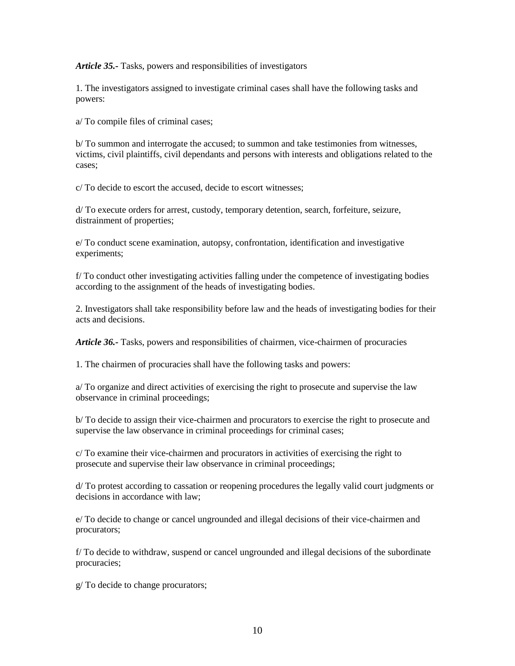*Article 35.-* Tasks, powers and responsibilities of investigators

1. The investigators assigned to investigate criminal cases shall have the following tasks and powers:

a/ To compile files of criminal cases;

b/ To summon and interrogate the accused; to summon and take testimonies from witnesses, victims, civil plaintiffs, civil dependants and persons with interests and obligations related to the cases;

c/ To decide to escort the accused, decide to escort witnesses;

d/ To execute orders for arrest, custody, temporary detention, search, forfeiture, seizure, distrainment of properties;

e/ To conduct scene examination, autopsy, confrontation, identification and investigative experiments;

f/ To conduct other investigating activities falling under the competence of investigating bodies according to the assignment of the heads of investigating bodies.

2. Investigators shall take responsibility before law and the heads of investigating bodies for their acts and decisions.

*Article 36.-* Tasks, powers and responsibilities of chairmen, vice-chairmen of procuracies

1. The chairmen of procuracies shall have the following tasks and powers:

a/ To organize and direct activities of exercising the right to prosecute and supervise the law observance in criminal proceedings;

b/ To decide to assign their vice-chairmen and procurators to exercise the right to prosecute and supervise the law observance in criminal proceedings for criminal cases;

c/ To examine their vice-chairmen and procurators in activities of exercising the right to prosecute and supervise their law observance in criminal proceedings;

d/ To protest according to cassation or reopening procedures the legally valid court judgments or decisions in accordance with law;

e/ To decide to change or cancel ungrounded and illegal decisions of their vice-chairmen and procurators;

f/ To decide to withdraw, suspend or cancel ungrounded and illegal decisions of the subordinate procuracies;

g/ To decide to change procurators;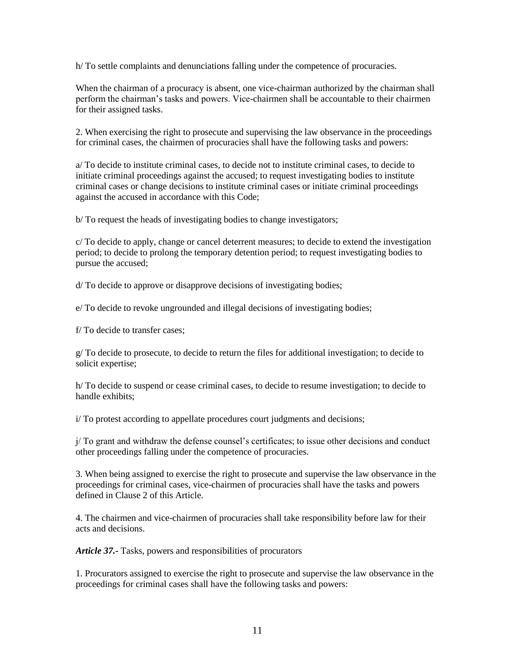h/ To settle complaints and denunciations falling under the competence of procuracies.

When the chairman of a procuracy is absent, one vice-chairman authorized by the chairman shall perform the chairman's tasks and powers. Vice-chairmen shall be accountable to their chairmen for their assigned tasks.

2. When exercising the right to prosecute and supervising the law observance in the proceedings for criminal cases, the chairmen of procuracies shall have the following tasks and powers:

a/ To decide to institute criminal cases, to decide not to institute criminal cases, to decide to initiate criminal proceedings against the accused; to request investigating bodies to institute criminal cases or change decisions to institute criminal cases or initiate criminal proceedings against the accused in accordance with this Code;

b/ To request the heads of investigating bodies to change investigators;

c/ To decide to apply, change or cancel deterrent measures; to decide to extend the investigation period; to decide to prolong the temporary detention period; to request investigating bodies to pursue the accused;

d/ To decide to approve or disapprove decisions of investigating bodies;

e/ To decide to revoke ungrounded and illegal decisions of investigating bodies;

f/ To decide to transfer cases;

g/ To decide to prosecute, to decide to return the files for additional investigation; to decide to solicit expertise;

h/ To decide to suspend or cease criminal cases, to decide to resume investigation; to decide to handle exhibits;

i/ To protest according to appellate procedures court judgments and decisions;

j/ To grant and withdraw the defense counsel's certificates; to issue other decisions and conduct other proceedings falling under the competence of procuracies.

3. When being assigned to exercise the right to prosecute and supervise the law observance in the proceedings for criminal cases, vice-chairmen of procuracies shall have the tasks and powers defined in Clause 2 of this Article.

4. The chairmen and vice-chairmen of procuracies shall take responsibility before law for their acts and decisions.

*Article 37.-* Tasks, powers and responsibilities of procurators

1. Procurators assigned to exercise the right to prosecute and supervise the law observance in the proceedings for criminal cases shall have the following tasks and powers: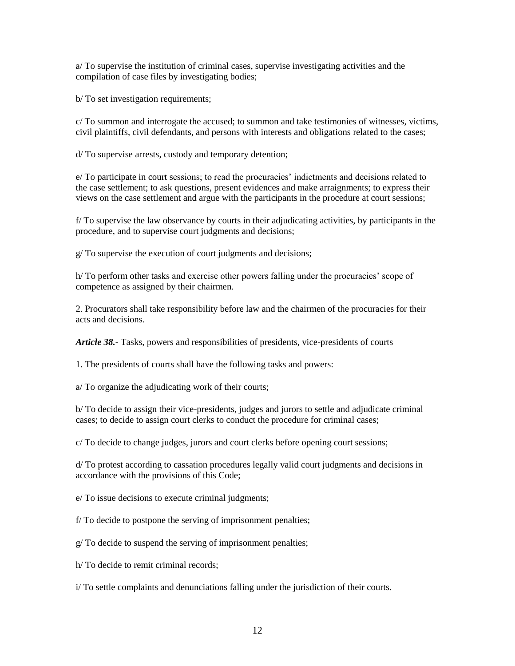a/ To supervise the institution of criminal cases, supervise investigating activities and the compilation of case files by investigating bodies;

b/ To set investigation requirements;

c/ To summon and interrogate the accused; to summon and take testimonies of witnesses, victims, civil plaintiffs, civil defendants, and persons with interests and obligations related to the cases;

d/ To supervise arrests, custody and temporary detention;

e/ To participate in court sessions; to read the procuracies' indictments and decisions related to the case settlement; to ask questions, present evidences and make arraignments; to express their views on the case settlement and argue with the participants in the procedure at court sessions;

f/ To supervise the law observance by courts in their adjudicating activities, by participants in the procedure, and to supervise court judgments and decisions;

g/ To supervise the execution of court judgments and decisions;

h/ To perform other tasks and exercise other powers falling under the procuracies' scope of competence as assigned by their chairmen.

2. Procurators shall take responsibility before law and the chairmen of the procuracies for their acts and decisions.

*Article 38.-* Tasks, powers and responsibilities of presidents, vice-presidents of courts

1. The presidents of courts shall have the following tasks and powers:

a/ To organize the adjudicating work of their courts;

b/ To decide to assign their vice-presidents, judges and jurors to settle and adjudicate criminal cases; to decide to assign court clerks to conduct the procedure for criminal cases;

c/ To decide to change judges, jurors and court clerks before opening court sessions;

d/ To protest according to cassation procedures legally valid court judgments and decisions in accordance with the provisions of this Code;

e/ To issue decisions to execute criminal judgments;

f/ To decide to postpone the serving of imprisonment penalties;

g/ To decide to suspend the serving of imprisonment penalties;

h/ To decide to remit criminal records;

i/ To settle complaints and denunciations falling under the jurisdiction of their courts.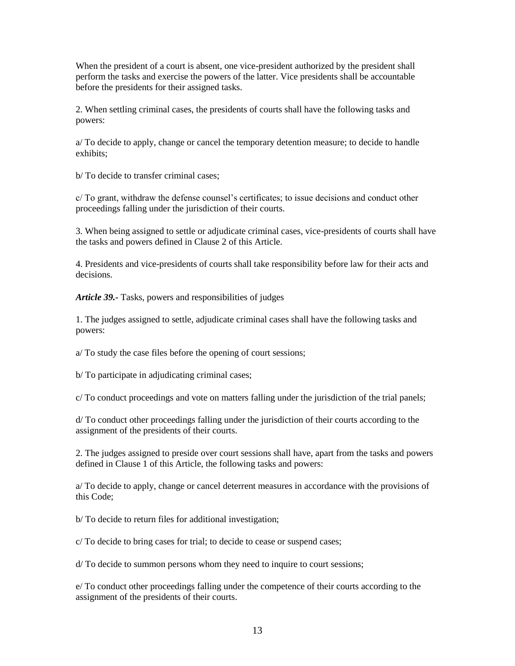When the president of a court is absent, one vice-president authorized by the president shall perform the tasks and exercise the powers of the latter. Vice presidents shall be accountable before the presidents for their assigned tasks.

2. When settling criminal cases, the presidents of courts shall have the following tasks and powers:

a/ To decide to apply, change or cancel the temporary detention measure; to decide to handle exhibits;

b/ To decide to transfer criminal cases;

c/ To grant, withdraw the defense counsel's certificates; to issue decisions and conduct other proceedings falling under the jurisdiction of their courts.

3. When being assigned to settle or adjudicate criminal cases, vice-presidents of courts shall have the tasks and powers defined in Clause 2 of this Article.

4. Presidents and vice-presidents of courts shall take responsibility before law for their acts and decisions.

*Article 39.-* Tasks, powers and responsibilities of judges

1. The judges assigned to settle, adjudicate criminal cases shall have the following tasks and powers:

a/ To study the case files before the opening of court sessions;

b/ To participate in adjudicating criminal cases;

c/ To conduct proceedings and vote on matters falling under the jurisdiction of the trial panels;

d/ To conduct other proceedings falling under the jurisdiction of their courts according to the assignment of the presidents of their courts.

2. The judges assigned to preside over court sessions shall have, apart from the tasks and powers defined in Clause 1 of this Article, the following tasks and powers:

a/ To decide to apply, change or cancel deterrent measures in accordance with the provisions of this Code;

b/ To decide to return files for additional investigation;

c/ To decide to bring cases for trial; to decide to cease or suspend cases;

d/ To decide to summon persons whom they need to inquire to court sessions;

e/ To conduct other proceedings falling under the competence of their courts according to the assignment of the presidents of their courts.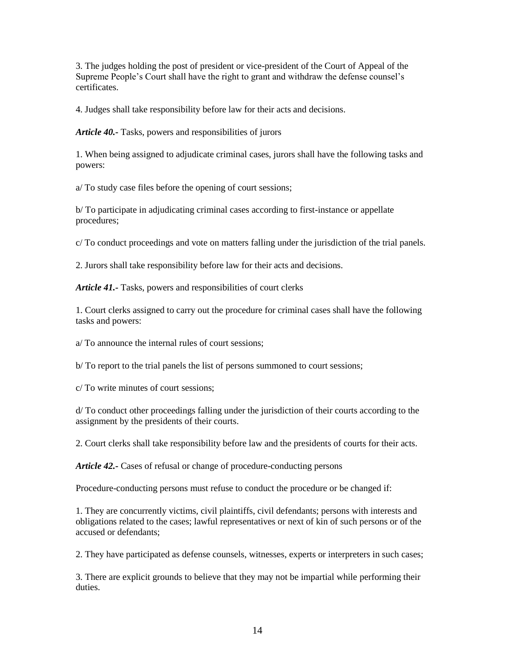3. The judges holding the post of president or vice-president of the Court of Appeal of the Supreme People's Court shall have the right to grant and withdraw the defense counsel's certificates.

4. Judges shall take responsibility before law for their acts and decisions.

*Article 40.-* Tasks, powers and responsibilities of jurors

1. When being assigned to adjudicate criminal cases, jurors shall have the following tasks and powers:

a/ To study case files before the opening of court sessions;

b/ To participate in adjudicating criminal cases according to first-instance or appellate procedures;

c/ To conduct proceedings and vote on matters falling under the jurisdiction of the trial panels.

2. Jurors shall take responsibility before law for their acts and decisions.

*Article 41.-* Tasks, powers and responsibilities of court clerks

1. Court clerks assigned to carry out the procedure for criminal cases shall have the following tasks and powers:

a/ To announce the internal rules of court sessions;

b/ To report to the trial panels the list of persons summoned to court sessions;

c/ To write minutes of court sessions;

d/ To conduct other proceedings falling under the jurisdiction of their courts according to the assignment by the presidents of their courts.

2. Court clerks shall take responsibility before law and the presidents of courts for their acts.

*Article 42.-* Cases of refusal or change of procedure-conducting persons

Procedure-conducting persons must refuse to conduct the procedure or be changed if:

1. They are concurrently victims, civil plaintiffs, civil defendants; persons with interests and obligations related to the cases; lawful representatives or next of kin of such persons or of the accused or defendants;

2. They have participated as defense counsels, witnesses, experts or interpreters in such cases;

3. There are explicit grounds to believe that they may not be impartial while performing their duties.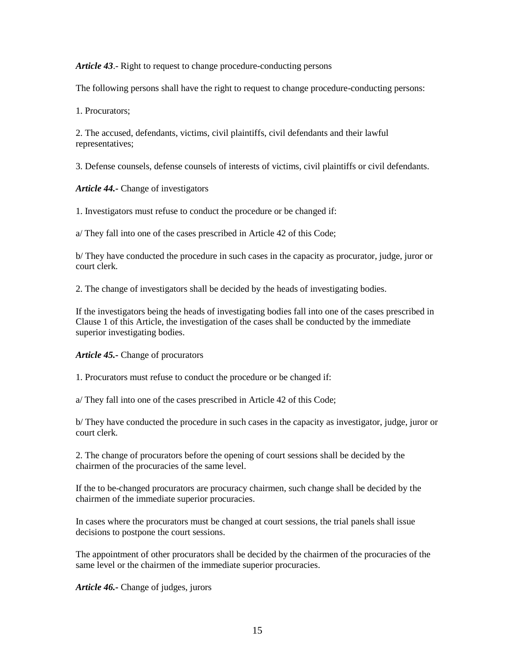*Article 43*.- Right to request to change procedure-conducting persons

The following persons shall have the right to request to change procedure-conducting persons:

1. Procurators;

2. The accused, defendants, victims, civil plaintiffs, civil defendants and their lawful representatives;

3. Defense counsels, defense counsels of interests of victims, civil plaintiffs or civil defendants.

*Article 44.-* Change of investigators

1. Investigators must refuse to conduct the procedure or be changed if:

a/ They fall into one of the cases prescribed in Article 42 of this Code;

b/ They have conducted the procedure in such cases in the capacity as procurator, judge, juror or court clerk.

2. The change of investigators shall be decided by the heads of investigating bodies.

If the investigators being the heads of investigating bodies fall into one of the cases prescribed in Clause 1 of this Article, the investigation of the cases shall be conducted by the immediate superior investigating bodies.

# *Article 45.-* Change of procurators

1. Procurators must refuse to conduct the procedure or be changed if:

a/ They fall into one of the cases prescribed in Article 42 of this Code;

b/ They have conducted the procedure in such cases in the capacity as investigator, judge, juror or court clerk.

2. The change of procurators before the opening of court sessions shall be decided by the chairmen of the procuracies of the same level.

If the to be-changed procurators are procuracy chairmen, such change shall be decided by the chairmen of the immediate superior procuracies.

In cases where the procurators must be changed at court sessions, the trial panels shall issue decisions to postpone the court sessions.

The appointment of other procurators shall be decided by the chairmen of the procuracies of the same level or the chairmen of the immediate superior procuracies.

*Article 46.-* Change of judges, jurors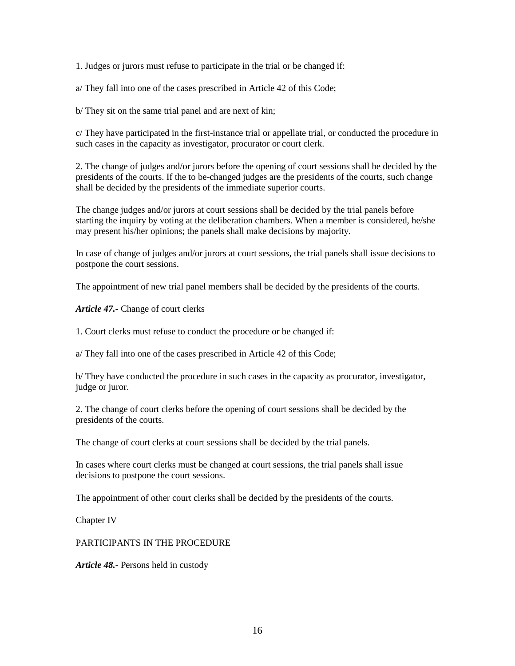1. Judges or jurors must refuse to participate in the trial or be changed if:

a/ They fall into one of the cases prescribed in Article 42 of this Code;

b/ They sit on the same trial panel and are next of kin;

c/ They have participated in the first-instance trial or appellate trial, or conducted the procedure in such cases in the capacity as investigator, procurator or court clerk.

2. The change of judges and/or jurors before the opening of court sessions shall be decided by the presidents of the courts. If the to be-changed judges are the presidents of the courts, such change shall be decided by the presidents of the immediate superior courts.

The change judges and/or jurors at court sessions shall be decided by the trial panels before starting the inquiry by voting at the deliberation chambers. When a member is considered, he/she may present his/her opinions; the panels shall make decisions by majority.

In case of change of judges and/or jurors at court sessions, the trial panels shall issue decisions to postpone the court sessions.

The appointment of new trial panel members shall be decided by the presidents of the courts.

*Article 47.-* Change of court clerks

1. Court clerks must refuse to conduct the procedure or be changed if:

a/ They fall into one of the cases prescribed in Article 42 of this Code;

b/ They have conducted the procedure in such cases in the capacity as procurator, investigator, judge or juror.

2. The change of court clerks before the opening of court sessions shall be decided by the presidents of the courts.

The change of court clerks at court sessions shall be decided by the trial panels.

In cases where court clerks must be changed at court sessions, the trial panels shall issue decisions to postpone the court sessions.

The appointment of other court clerks shall be decided by the presidents of the courts.

Chapter IV

PARTICIPANTS IN THE PROCEDURE

*Article 48.-* Persons held in custody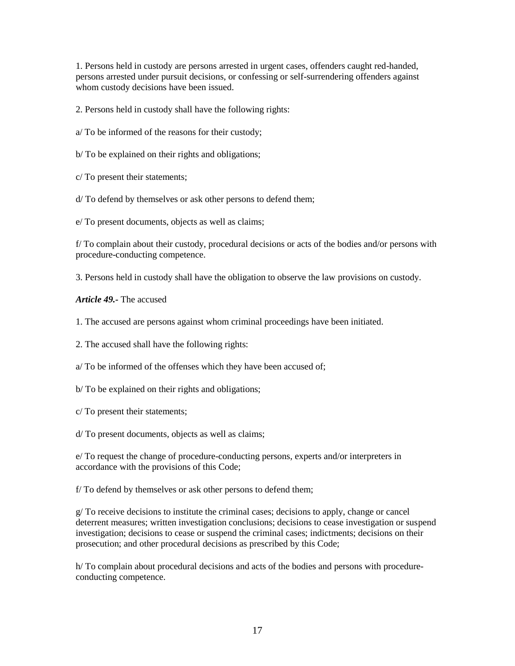1. Persons held in custody are persons arrested in urgent cases, offenders caught red-handed, persons arrested under pursuit decisions, or confessing or self-surrendering offenders against whom custody decisions have been issued.

2. Persons held in custody shall have the following rights:

a/ To be informed of the reasons for their custody;

b/ To be explained on their rights and obligations;

c/ To present their statements;

d/ To defend by themselves or ask other persons to defend them;

e/ To present documents, objects as well as claims;

f/ To complain about their custody, procedural decisions or acts of the bodies and/or persons with procedure-conducting competence.

3. Persons held in custody shall have the obligation to observe the law provisions on custody.

*Article 49.-* The accused

1. The accused are persons against whom criminal proceedings have been initiated.

2. The accused shall have the following rights:

a/ To be informed of the offenses which they have been accused of;

b/ To be explained on their rights and obligations;

c/ To present their statements;

d/ To present documents, objects as well as claims;

e/ To request the change of procedure-conducting persons, experts and/or interpreters in accordance with the provisions of this Code;

f/ To defend by themselves or ask other persons to defend them;

g/ To receive decisions to institute the criminal cases; decisions to apply, change or cancel deterrent measures; written investigation conclusions; decisions to cease investigation or suspend investigation; decisions to cease or suspend the criminal cases; indictments; decisions on their prosecution; and other procedural decisions as prescribed by this Code;

h/ To complain about procedural decisions and acts of the bodies and persons with procedureconducting competence.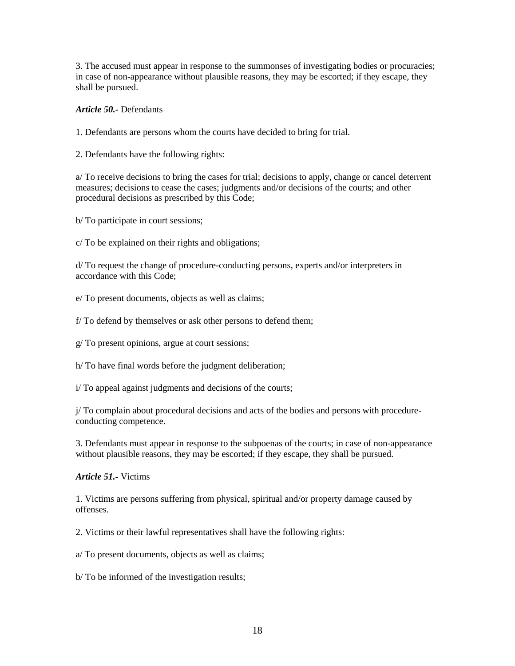3. The accused must appear in response to the summonses of investigating bodies or procuracies; in case of non-appearance without plausible reasons, they may be escorted; if they escape, they shall be pursued.

*Article 50.-* Defendants

1. Defendants are persons whom the courts have decided to bring for trial.

2. Defendants have the following rights:

a/ To receive decisions to bring the cases for trial; decisions to apply, change or cancel deterrent measures; decisions to cease the cases; judgments and/or decisions of the courts; and other procedural decisions as prescribed by this Code;

b/ To participate in court sessions;

c/ To be explained on their rights and obligations;

d/ To request the change of procedure-conducting persons, experts and/or interpreters in accordance with this Code;

e/ To present documents, objects as well as claims;

f/ To defend by themselves or ask other persons to defend them;

g/ To present opinions, argue at court sessions;

h/ To have final words before the judgment deliberation;

i/ To appeal against judgments and decisions of the courts;

j/ To complain about procedural decisions and acts of the bodies and persons with procedureconducting competence.

3. Defendants must appear in response to the subpoenas of the courts; in case of non-appearance without plausible reasons, they may be escorted; if they escape, they shall be pursued.

*Article 51.-* Victims

1. Victims are persons suffering from physical, spiritual and/or property damage caused by offenses.

2. Victims or their lawful representatives shall have the following rights:

a/ To present documents, objects as well as claims;

b/ To be informed of the investigation results;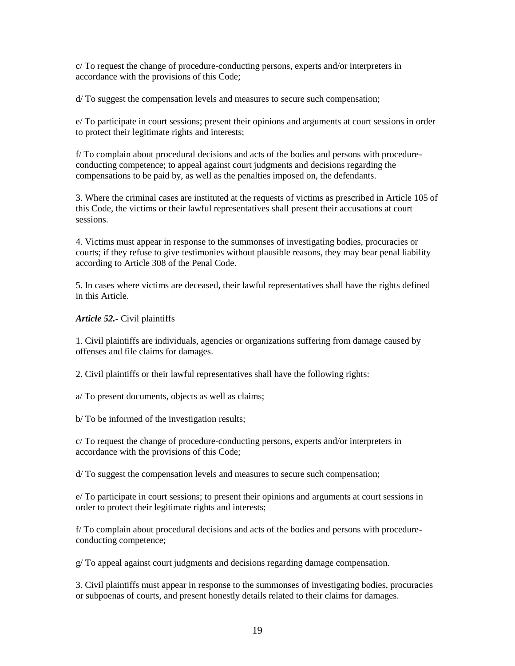c/ To request the change of procedure-conducting persons, experts and/or interpreters in accordance with the provisions of this Code;

d/ To suggest the compensation levels and measures to secure such compensation;

e/ To participate in court sessions; present their opinions and arguments at court sessions in order to protect their legitimate rights and interests;

f/ To complain about procedural decisions and acts of the bodies and persons with procedureconducting competence; to appeal against court judgments and decisions regarding the compensations to be paid by, as well as the penalties imposed on, the defendants.

3. Where the criminal cases are instituted at the requests of victims as prescribed in Article 105 of this Code, the victims or their lawful representatives shall present their accusations at court sessions.

4. Victims must appear in response to the summonses of investigating bodies, procuracies or courts; if they refuse to give testimonies without plausible reasons, they may bear penal liability according to Article 308 of the Penal Code.

5. In cases where victims are deceased, their lawful representatives shall have the rights defined in this Article.

*Article 52.-* Civil plaintiffs

1. Civil plaintiffs are individuals, agencies or organizations suffering from damage caused by offenses and file claims for damages.

2. Civil plaintiffs or their lawful representatives shall have the following rights:

a/ To present documents, objects as well as claims;

b/ To be informed of the investigation results;

c/ To request the change of procedure-conducting persons, experts and/or interpreters in accordance with the provisions of this Code;

d/ To suggest the compensation levels and measures to secure such compensation;

e/ To participate in court sessions; to present their opinions and arguments at court sessions in order to protect their legitimate rights and interests;

f/ To complain about procedural decisions and acts of the bodies and persons with procedureconducting competence;

g/ To appeal against court judgments and decisions regarding damage compensation.

3. Civil plaintiffs must appear in response to the summonses of investigating bodies, procuracies or subpoenas of courts, and present honestly details related to their claims for damages.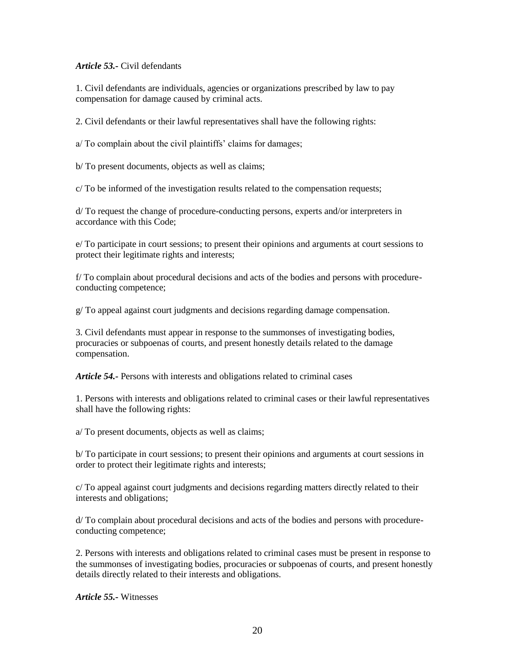# *Article 53.-* Civil defendants

1. Civil defendants are individuals, agencies or organizations prescribed by law to pay compensation for damage caused by criminal acts.

2. Civil defendants or their lawful representatives shall have the following rights:

a/ To complain about the civil plaintiffs' claims for damages;

b/ To present documents, objects as well as claims;

c/ To be informed of the investigation results related to the compensation requests;

d/ To request the change of procedure-conducting persons, experts and/or interpreters in accordance with this Code;

e/ To participate in court sessions; to present their opinions and arguments at court sessions to protect their legitimate rights and interests;

f/ To complain about procedural decisions and acts of the bodies and persons with procedureconducting competence;

g/ To appeal against court judgments and decisions regarding damage compensation.

3. Civil defendants must appear in response to the summonses of investigating bodies, procuracies or subpoenas of courts, and present honestly details related to the damage compensation.

*Article 54.*- Persons with interests and obligations related to criminal cases

1. Persons with interests and obligations related to criminal cases or their lawful representatives shall have the following rights:

a/ To present documents, objects as well as claims;

b/ To participate in court sessions; to present their opinions and arguments at court sessions in order to protect their legitimate rights and interests;

c/ To appeal against court judgments and decisions regarding matters directly related to their interests and obligations;

d/ To complain about procedural decisions and acts of the bodies and persons with procedureconducting competence;

2. Persons with interests and obligations related to criminal cases must be present in response to the summonses of investigating bodies, procuracies or subpoenas of courts, and present honestly details directly related to their interests and obligations.

*Article 55.-* Witnesses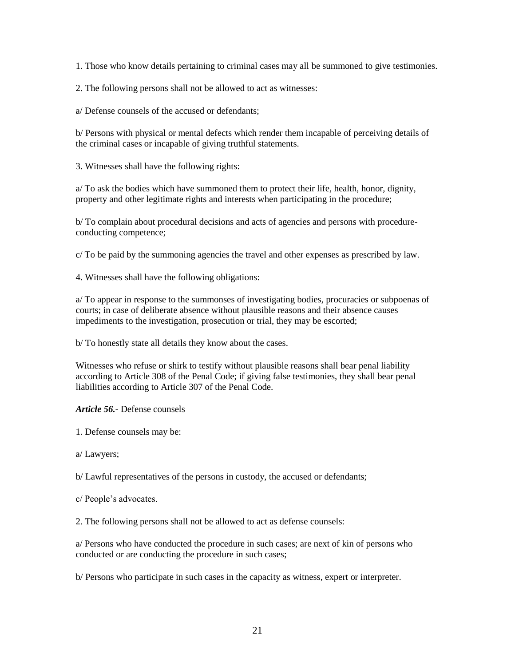1. Those who know details pertaining to criminal cases may all be summoned to give testimonies.

2. The following persons shall not be allowed to act as witnesses:

a/ Defense counsels of the accused or defendants;

b/ Persons with physical or mental defects which render them incapable of perceiving details of the criminal cases or incapable of giving truthful statements.

3. Witnesses shall have the following rights:

a/ To ask the bodies which have summoned them to protect their life, health, honor, dignity, property and other legitimate rights and interests when participating in the procedure;

b/ To complain about procedural decisions and acts of agencies and persons with procedureconducting competence;

c/ To be paid by the summoning agencies the travel and other expenses as prescribed by law.

4. Witnesses shall have the following obligations:

a/ To appear in response to the summonses of investigating bodies, procuracies or subpoenas of courts; in case of deliberate absence without plausible reasons and their absence causes impediments to the investigation, prosecution or trial, they may be escorted;

b/ To honestly state all details they know about the cases.

Witnesses who refuse or shirk to testify without plausible reasons shall bear penal liability according to Article 308 of the Penal Code; if giving false testimonies, they shall bear penal liabilities according to Article 307 of the Penal Code.

*Article 56.-* Defense counsels

1. Defense counsels may be:

a/ Lawyers;

b/ Lawful representatives of the persons in custody, the accused or defendants;

c/ People's advocates.

2. The following persons shall not be allowed to act as defense counsels:

a/ Persons who have conducted the procedure in such cases; are next of kin of persons who conducted or are conducting the procedure in such cases;

b/ Persons who participate in such cases in the capacity as witness, expert or interpreter.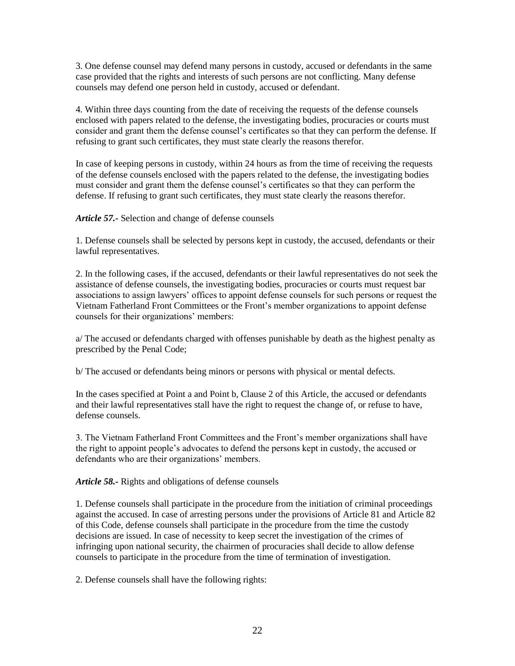3. One defense counsel may defend many persons in custody, accused or defendants in the same case provided that the rights and interests of such persons are not conflicting. Many defense counsels may defend one person held in custody, accused or defendant.

4. Within three days counting from the date of receiving the requests of the defense counsels enclosed with papers related to the defense, the investigating bodies, procuracies or courts must consider and grant them the defense counsel's certificates so that they can perform the defense. If refusing to grant such certificates, they must state clearly the reasons therefor.

In case of keeping persons in custody, within 24 hours as from the time of receiving the requests of the defense counsels enclosed with the papers related to the defense, the investigating bodies must consider and grant them the defense counsel's certificates so that they can perform the defense. If refusing to grant such certificates, they must state clearly the reasons therefor.

*Article 57.-* Selection and change of defense counsels

1. Defense counsels shall be selected by persons kept in custody, the accused, defendants or their lawful representatives.

2. In the following cases, if the accused, defendants or their lawful representatives do not seek the assistance of defense counsels, the investigating bodies, procuracies or courts must request bar associations to assign lawyers' offices to appoint defense counsels for such persons or request the Vietnam Fatherland Front Committees or the Front's member organizations to appoint defense counsels for their organizations' members:

a/ The accused or defendants charged with offenses punishable by death as the highest penalty as prescribed by the Penal Code;

b/ The accused or defendants being minors or persons with physical or mental defects.

In the cases specified at Point a and Point b, Clause 2 of this Article, the accused or defendants and their lawful representatives stall have the right to request the change of, or refuse to have, defense counsels.

3. The Vietnam Fatherland Front Committees and the Front's member organizations shall have the right to appoint people's advocates to defend the persons kept in custody, the accused or defendants who are their organizations' members.

*Article 58.-* Rights and obligations of defense counsels

1. Defense counsels shall participate in the procedure from the initiation of criminal proceedings against the accused. In case of arresting persons under the provisions of Article 81 and Article 82 of this Code, defense counsels shall participate in the procedure from the time the custody decisions are issued. In case of necessity to keep secret the investigation of the crimes of infringing upon national security, the chairmen of procuracies shall decide to allow defense counsels to participate in the procedure from the time of termination of investigation.

2. Defense counsels shall have the following rights: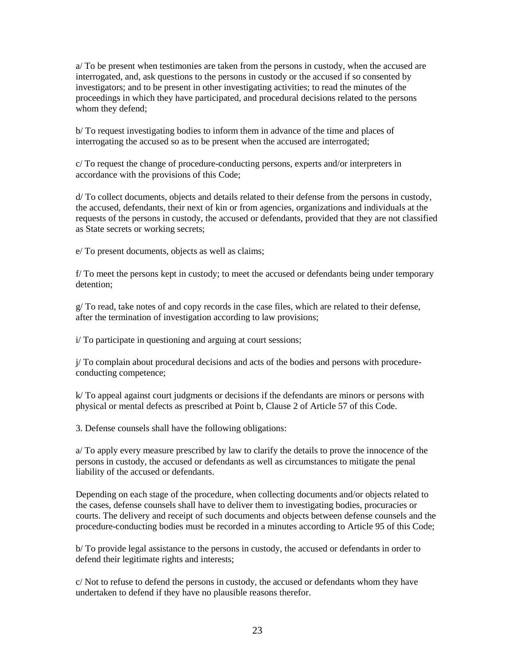a/ To be present when testimonies are taken from the persons in custody, when the accused are interrogated, and, ask questions to the persons in custody or the accused if so consented by investigators; and to be present in other investigating activities; to read the minutes of the proceedings in which they have participated, and procedural decisions related to the persons whom they defend;

b/ To request investigating bodies to inform them in advance of the time and places of interrogating the accused so as to be present when the accused are interrogated;

c/ To request the change of procedure-conducting persons, experts and/or interpreters in accordance with the provisions of this Code;

d/ To collect documents, objects and details related to their defense from the persons in custody, the accused, defendants, their next of kin or from agencies, organizations and individuals at the requests of the persons in custody, the accused or defendants, provided that they are not classified as State secrets or working secrets;

e/ To present documents, objects as well as claims;

f/ To meet the persons kept in custody; to meet the accused or defendants being under temporary detention;

 $g/T$  or read, take notes of and copy records in the case files, which are related to their defense, after the termination of investigation according to law provisions;

i/ To participate in questioning and arguing at court sessions;

j/ To complain about procedural decisions and acts of the bodies and persons with procedureconducting competence;

k/ To appeal against court judgments or decisions if the defendants are minors or persons with physical or mental defects as prescribed at Point b, Clause 2 of Article 57 of this Code.

3. Defense counsels shall have the following obligations:

a/ To apply every measure prescribed by law to clarify the details to prove the innocence of the persons in custody, the accused or defendants as well as circumstances to mitigate the penal liability of the accused or defendants.

Depending on each stage of the procedure, when collecting documents and/or objects related to the cases, defense counsels shall have to deliver them to investigating bodies, procuracies or courts. The delivery and receipt of such documents and objects between defense counsels and the procedure-conducting bodies must be recorded in a minutes according to Article 95 of this Code;

b/ To provide legal assistance to the persons in custody, the accused or defendants in order to defend their legitimate rights and interests;

c/ Not to refuse to defend the persons in custody, the accused or defendants whom they have undertaken to defend if they have no plausible reasons therefor.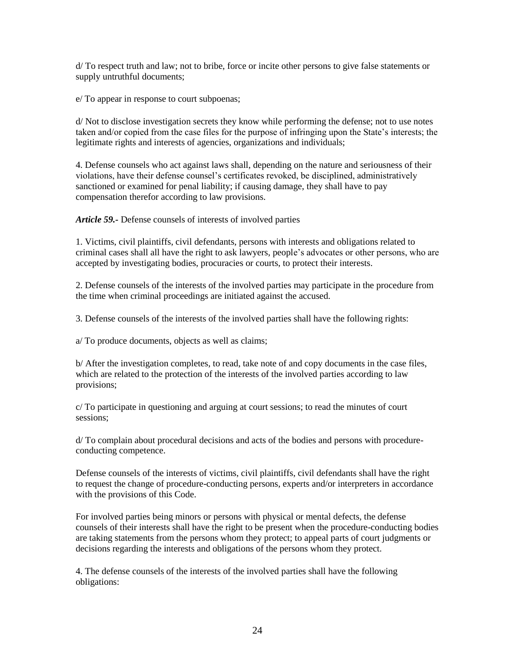d/ To respect truth and law; not to bribe, force or incite other persons to give false statements or supply untruthful documents;

e/ To appear in response to court subpoenas;

d/ Not to disclose investigation secrets they know while performing the defense; not to use notes taken and/or copied from the case files for the purpose of infringing upon the State's interests; the legitimate rights and interests of agencies, organizations and individuals;

4. Defense counsels who act against laws shall, depending on the nature and seriousness of their violations, have their defense counsel's certificates revoked, be disciplined, administratively sanctioned or examined for penal liability; if causing damage, they shall have to pay compensation therefor according to law provisions.

*Article 59.-* Defense counsels of interests of involved parties

1. Victims, civil plaintiffs, civil defendants, persons with interests and obligations related to criminal cases shall all have the right to ask lawyers, people's advocates or other persons, who are accepted by investigating bodies, procuracies or courts, to protect their interests.

2. Defense counsels of the interests of the involved parties may participate in the procedure from the time when criminal proceedings are initiated against the accused.

3. Defense counsels of the interests of the involved parties shall have the following rights:

a/ To produce documents, objects as well as claims;

b/ After the investigation completes, to read, take note of and copy documents in the case files, which are related to the protection of the interests of the involved parties according to law provisions;

c/ To participate in questioning and arguing at court sessions; to read the minutes of court sessions;

d/ To complain about procedural decisions and acts of the bodies and persons with procedureconducting competence.

Defense counsels of the interests of victims, civil plaintiffs, civil defendants shall have the right to request the change of procedure-conducting persons, experts and/or interpreters in accordance with the provisions of this Code.

For involved parties being minors or persons with physical or mental defects, the defense counsels of their interests shall have the right to be present when the procedure-conducting bodies are taking statements from the persons whom they protect; to appeal parts of court judgments or decisions regarding the interests and obligations of the persons whom they protect.

4. The defense counsels of the interests of the involved parties shall have the following obligations: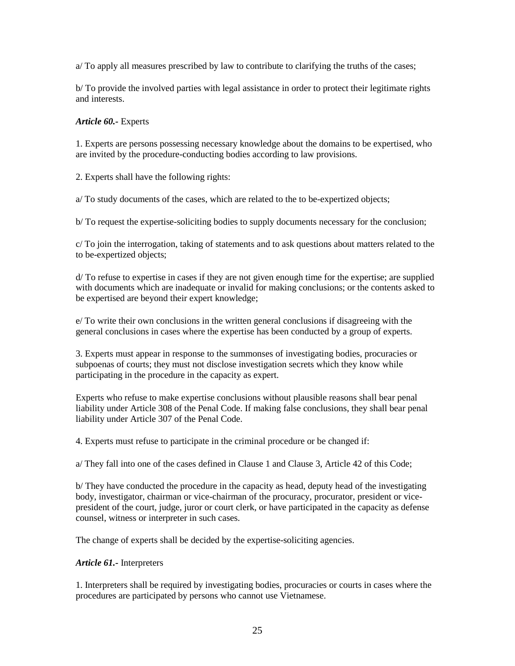a/ To apply all measures prescribed by law to contribute to clarifying the truths of the cases;

b/ To provide the involved parties with legal assistance in order to protect their legitimate rights and interests.

# *Article 60.-* Experts

1. Experts are persons possessing necessary knowledge about the domains to be expertised, who are invited by the procedure-conducting bodies according to law provisions.

2. Experts shall have the following rights:

a/ To study documents of the cases, which are related to the to be-expertized objects;

b/ To request the expertise-soliciting bodies to supply documents necessary for the conclusion;

c/ To join the interrogation, taking of statements and to ask questions about matters related to the to be-expertized objects;

d/ To refuse to expertise in cases if they are not given enough time for the expertise; are supplied with documents which are inadequate or invalid for making conclusions; or the contents asked to be expertised are beyond their expert knowledge;

e/ To write their own conclusions in the written general conclusions if disagreeing with the general conclusions in cases where the expertise has been conducted by a group of experts.

3. Experts must appear in response to the summonses of investigating bodies, procuracies or subpoenas of courts; they must not disclose investigation secrets which they know while participating in the procedure in the capacity as expert.

Experts who refuse to make expertise conclusions without plausible reasons shall bear penal liability under Article 308 of the Penal Code. If making false conclusions, they shall bear penal liability under Article 307 of the Penal Code.

4. Experts must refuse to participate in the criminal procedure or be changed if:

a/ They fall into one of the cases defined in Clause 1 and Clause 3, Article 42 of this Code;

b/ They have conducted the procedure in the capacity as head, deputy head of the investigating body, investigator, chairman or vice-chairman of the procuracy, procurator, president or vicepresident of the court, judge, juror or court clerk, or have participated in the capacity as defense counsel, witness or interpreter in such cases.

The change of experts shall be decided by the expertise-soliciting agencies.

# *Article 61.-* Interpreters

1. Interpreters shall be required by investigating bodies, procuracies or courts in cases where the procedures are participated by persons who cannot use Vietnamese.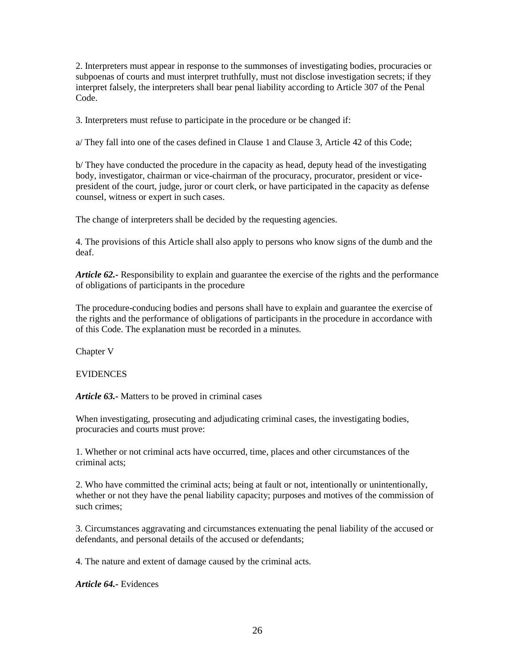2. Interpreters must appear in response to the summonses of investigating bodies, procuracies or subpoenas of courts and must interpret truthfully, must not disclose investigation secrets; if they interpret falsely, the interpreters shall bear penal liability according to Article 307 of the Penal Code.

3. Interpreters must refuse to participate in the procedure or be changed if:

a/ They fall into one of the cases defined in Clause 1 and Clause 3, Article 42 of this Code;

b/ They have conducted the procedure in the capacity as head, deputy head of the investigating body, investigator, chairman or vice-chairman of the procuracy, procurator, president or vicepresident of the court, judge, juror or court clerk, or have participated in the capacity as defense counsel, witness or expert in such cases.

The change of interpreters shall be decided by the requesting agencies.

4. The provisions of this Article shall also apply to persons who know signs of the dumb and the deaf.

*Article 62.-* Responsibility to explain and guarantee the exercise of the rights and the performance of obligations of participants in the procedure

The procedure-conducing bodies and persons shall have to explain and guarantee the exercise of the rights and the performance of obligations of participants in the procedure in accordance with of this Code. The explanation must be recorded in a minutes.

Chapter V

# EVIDENCES

*Article 63.-* Matters to be proved in criminal cases

When investigating, prosecuting and adjudicating criminal cases, the investigating bodies, procuracies and courts must prove:

1. Whether or not criminal acts have occurred, time, places and other circumstances of the criminal acts;

2. Who have committed the criminal acts; being at fault or not, intentionally or unintentionally, whether or not they have the penal liability capacity; purposes and motives of the commission of such crimes;

3. Circumstances aggravating and circumstances extenuating the penal liability of the accused or defendants, and personal details of the accused or defendants;

4. The nature and extent of damage caused by the criminal acts.

*Article 64.-* Evidences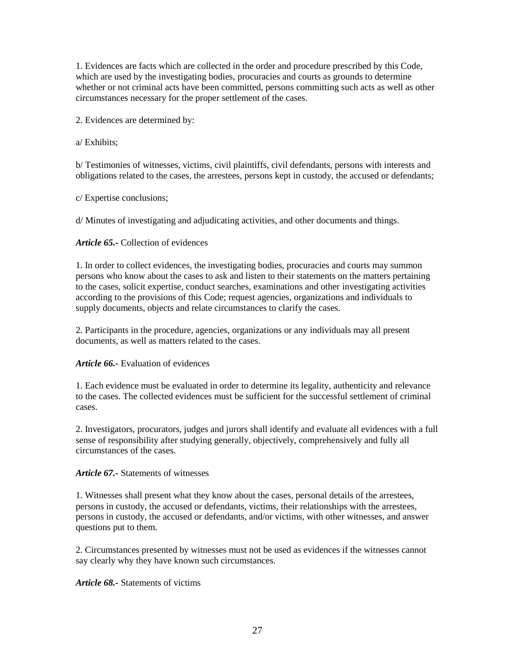1. Evidences are facts which are collected in the order and procedure prescribed by this Code, which are used by the investigating bodies, procuracies and courts as grounds to determine whether or not criminal acts have been committed, persons committing such acts as well as other circumstances necessary for the proper settlement of the cases.

2. Evidences are determined by:

a/ Exhibits;

b/ Testimonies of witnesses, victims, civil plaintiffs, civil defendants, persons with interests and obligations related to the cases, the arrestees, persons kept in custody, the accused or defendants;

c/ Expertise conclusions;

d/ Minutes of investigating and adjudicating activities, and other documents and things.

# *Article 65.-* Collection of evidences

1. In order to collect evidences, the investigating bodies, procuracies and courts may summon persons who know about the cases to ask and listen to their statements on the matters pertaining to the cases, solicit expertise, conduct searches, examinations and other investigating activities according to the provisions of this Code; request agencies, organizations and individuals to supply documents, objects and relate circumstances to clarify the cases.

2. Participants in the procedure, agencies, organizations or any individuals may all present documents, as well as matters related to the cases.

# *Article 66.-* Evaluation of evidences

1. Each evidence must be evaluated in order to determine its legality, authenticity and relevance to the cases. The collected evidences must be sufficient for the successful settlement of criminal cases.

2. Investigators, procurators, judges and jurors shall identify and evaluate all evidences with a full sense of responsibility after studying generally, objectively, comprehensively and fully all circumstances of the cases.

# *Article 67.-* Statements of witnesses

1. Witnesses shall present what they know about the cases, personal details of the arrestees, persons in custody, the accused or defendants, victims, their relationships with the arrestees, persons in custody, the accused or defendants, and/or victims, with other witnesses, and answer questions put to them.

2. Circumstances presented by witnesses must not be used as evidences if the witnesses cannot say clearly why they have known such circumstances.

*Article 68.-* Statements of victims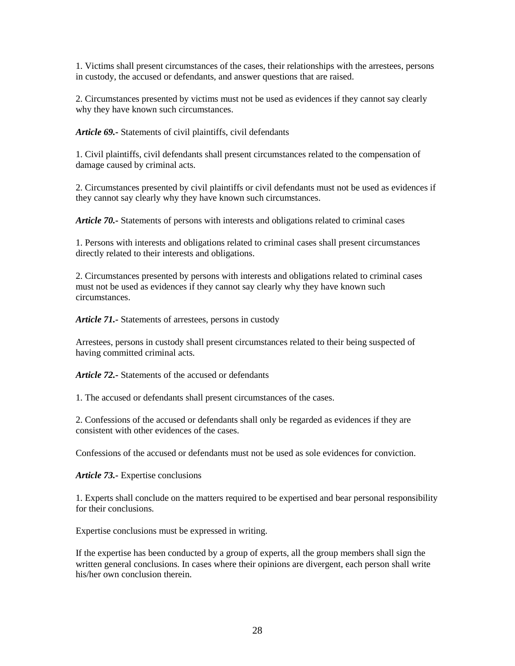1. Victims shall present circumstances of the cases, their relationships with the arrestees, persons in custody, the accused or defendants, and answer questions that are raised.

2. Circumstances presented by victims must not be used as evidences if they cannot say clearly why they have known such circumstances.

*Article 69.-* Statements of civil plaintiffs, civil defendants

1. Civil plaintiffs, civil defendants shall present circumstances related to the compensation of damage caused by criminal acts.

2. Circumstances presented by civil plaintiffs or civil defendants must not be used as evidences if they cannot say clearly why they have known such circumstances.

*Article 70.-* Statements of persons with interests and obligations related to criminal cases

1. Persons with interests and obligations related to criminal cases shall present circumstances directly related to their interests and obligations.

2. Circumstances presented by persons with interests and obligations related to criminal cases must not be used as evidences if they cannot say clearly why they have known such circumstances.

*Article 71.-* Statements of arrestees, persons in custody

Arrestees, persons in custody shall present circumstances related to their being suspected of having committed criminal acts.

*Article 72.-* Statements of the accused or defendants

1. The accused or defendants shall present circumstances of the cases.

2. Confessions of the accused or defendants shall only be regarded as evidences if they are consistent with other evidences of the cases.

Confessions of the accused or defendants must not be used as sole evidences for conviction.

*Article 73.-* Expertise conclusions

1. Experts shall conclude on the matters required to be expertised and bear personal responsibility for their conclusions.

Expertise conclusions must be expressed in writing.

If the expertise has been conducted by a group of experts, all the group members shall sign the written general conclusions. In cases where their opinions are divergent, each person shall write his/her own conclusion therein.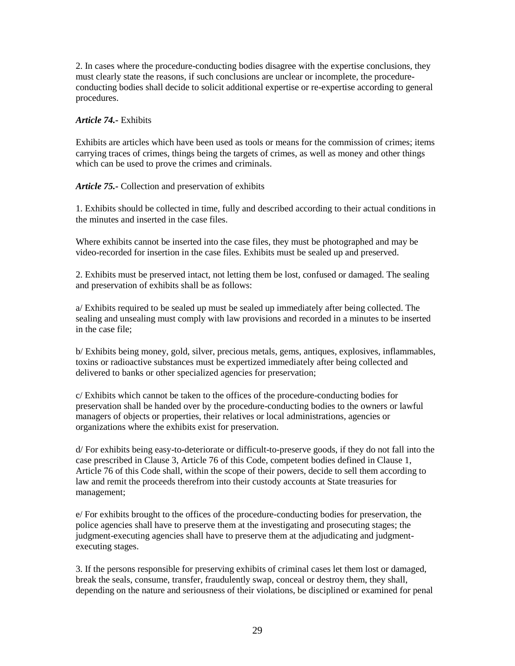2. In cases where the procedure-conducting bodies disagree with the expertise conclusions, they must clearly state the reasons, if such conclusions are unclear or incomplete, the procedureconducting bodies shall decide to solicit additional expertise or re-expertise according to general procedures.

# *Article 74.-* Exhibits

Exhibits are articles which have been used as tools or means for the commission of crimes; items carrying traces of crimes, things being the targets of crimes, as well as money and other things which can be used to prove the crimes and criminals.

*Article 75.-* Collection and preservation of exhibits

1. Exhibits should be collected in time, fully and described according to their actual conditions in the minutes and inserted in the case files.

Where exhibits cannot be inserted into the case files, they must be photographed and may be video-recorded for insertion in the case files. Exhibits must be sealed up and preserved.

2. Exhibits must be preserved intact, not letting them be lost, confused or damaged. The sealing and preservation of exhibits shall be as follows:

a/ Exhibits required to be sealed up must be sealed up immediately after being collected. The sealing and unsealing must comply with law provisions and recorded in a minutes to be inserted in the case file;

b/ Exhibits being money, gold, silver, precious metals, gems, antiques, explosives, inflammables, toxins or radioactive substances must be expertized immediately after being collected and delivered to banks or other specialized agencies for preservation;

c/ Exhibits which cannot be taken to the offices of the procedure-conducting bodies for preservation shall be handed over by the procedure-conducting bodies to the owners or lawful managers of objects or properties, their relatives or local administrations, agencies or organizations where the exhibits exist for preservation.

d/ For exhibits being easy-to-deteriorate or difficult-to-preserve goods, if they do not fall into the case prescribed in Clause 3, Article 76 of this Code, competent bodies defined in Clause 1, Article 76 of this Code shall, within the scope of their powers, decide to sell them according to law and remit the proceeds therefrom into their custody accounts at State treasuries for management;

e/ For exhibits brought to the offices of the procedure-conducting bodies for preservation, the police agencies shall have to preserve them at the investigating and prosecuting stages; the judgment-executing agencies shall have to preserve them at the adjudicating and judgmentexecuting stages.

3. If the persons responsible for preserving exhibits of criminal cases let them lost or damaged, break the seals, consume, transfer, fraudulently swap, conceal or destroy them, they shall, depending on the nature and seriousness of their violations, be disciplined or examined for penal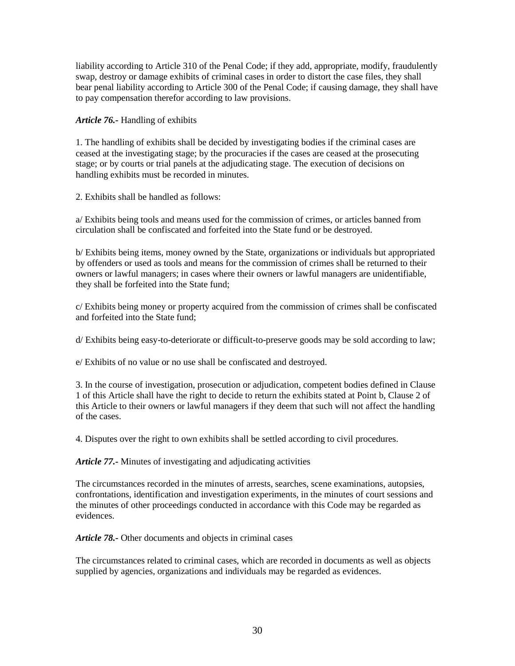liability according to Article 310 of the Penal Code; if they add, appropriate, modify, fraudulently swap, destroy or damage exhibits of criminal cases in order to distort the case files, they shall bear penal liability according to Article 300 of the Penal Code; if causing damage, they shall have to pay compensation therefor according to law provisions.

*Article 76.-* Handling of exhibits

1. The handling of exhibits shall be decided by investigating bodies if the criminal cases are ceased at the investigating stage; by the procuracies if the cases are ceased at the prosecuting stage; or by courts or trial panels at the adjudicating stage. The execution of decisions on handling exhibits must be recorded in minutes.

2. Exhibits shall be handled as follows:

a/ Exhibits being tools and means used for the commission of crimes, or articles banned from circulation shall be confiscated and forfeited into the State fund or be destroyed.

b/ Exhibits being items, money owned by the State, organizations or individuals but appropriated by offenders or used as tools and means for the commission of crimes shall be returned to their owners or lawful managers; in cases where their owners or lawful managers are unidentifiable, they shall be forfeited into the State fund;

c/ Exhibits being money or property acquired from the commission of crimes shall be confiscated and forfeited into the State fund;

d/ Exhibits being easy-to-deteriorate or difficult-to-preserve goods may be sold according to law;

e/ Exhibits of no value or no use shall be confiscated and destroyed.

3. In the course of investigation, prosecution or adjudication, competent bodies defined in Clause 1 of this Article shall have the right to decide to return the exhibits stated at Point b, Clause 2 of this Article to their owners or lawful managers if they deem that such will not affect the handling of the cases.

4. Disputes over the right to own exhibits shall be settled according to civil procedures.

*Article 77.-* Minutes of investigating and adjudicating activities

The circumstances recorded in the minutes of arrests, searches, scene examinations, autopsies, confrontations, identification and investigation experiments, in the minutes of court sessions and the minutes of other proceedings conducted in accordance with this Code may be regarded as evidences.

*Article 78.-* Other documents and objects in criminal cases

The circumstances related to criminal cases, which are recorded in documents as well as objects supplied by agencies, organizations and individuals may be regarded as evidences.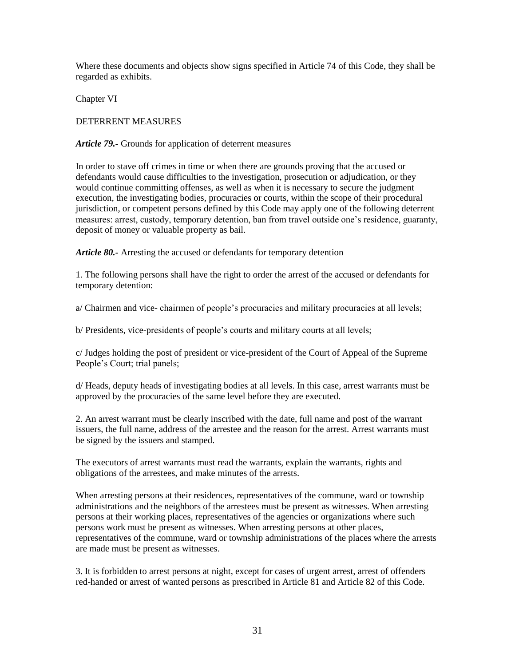Where these documents and objects show signs specified in Article 74 of this Code, they shall be regarded as exhibits.

Chapter VI

DETERRENT MEASURES

*Article 79.-* Grounds for application of deterrent measures

In order to stave off crimes in time or when there are grounds proving that the accused or defendants would cause difficulties to the investigation, prosecution or adjudication, or they would continue committing offenses, as well as when it is necessary to secure the judgment execution, the investigating bodies, procuracies or courts, within the scope of their procedural jurisdiction, or competent persons defined by this Code may apply one of the following deterrent measures: arrest, custody, temporary detention, ban from travel outside one's residence, guaranty, deposit of money or valuable property as bail.

*Article 80.-* Arresting the accused or defendants for temporary detention

1. The following persons shall have the right to order the arrest of the accused or defendants for temporary detention:

a/ Chairmen and vice- chairmen of people's procuracies and military procuracies at all levels;

b/ Presidents, vice-presidents of people's courts and military courts at all levels;

c/ Judges holding the post of president or vice-president of the Court of Appeal of the Supreme People's Court; trial panels;

d/ Heads, deputy heads of investigating bodies at all levels. In this case, arrest warrants must be approved by the procuracies of the same level before they are executed.

2. An arrest warrant must be clearly inscribed with the date, full name and post of the warrant issuers, the full name, address of the arrestee and the reason for the arrest. Arrest warrants must be signed by the issuers and stamped.

The executors of arrest warrants must read the warrants, explain the warrants, rights and obligations of the arrestees, and make minutes of the arrests.

When arresting persons at their residences, representatives of the commune, ward or township administrations and the neighbors of the arrestees must be present as witnesses. When arresting persons at their working places, representatives of the agencies or organizations where such persons work must be present as witnesses. When arresting persons at other places, representatives of the commune, ward or township administrations of the places where the arrests are made must be present as witnesses.

3. It is forbidden to arrest persons at night, except for cases of urgent arrest, arrest of offenders red-handed or arrest of wanted persons as prescribed in Article 81 and Article 82 of this Code.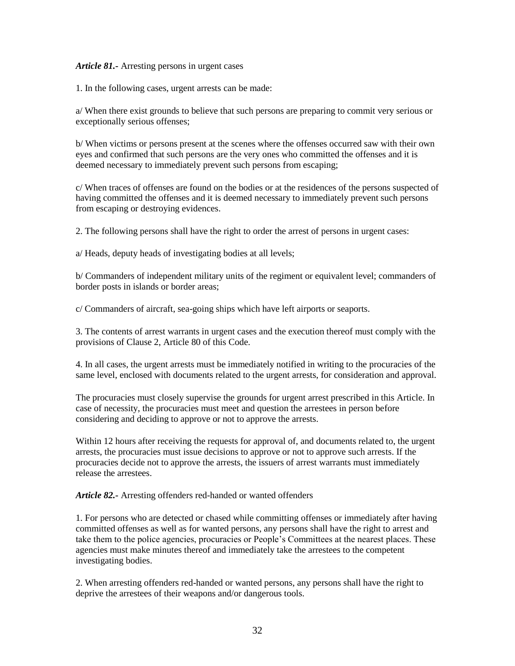### *Article 81.-* Arresting persons in urgent cases

1. In the following cases, urgent arrests can be made:

a/ When there exist grounds to believe that such persons are preparing to commit very serious or exceptionally serious offenses;

b/ When victims or persons present at the scenes where the offenses occurred saw with their own eyes and confirmed that such persons are the very ones who committed the offenses and it is deemed necessary to immediately prevent such persons from escaping;

c/ When traces of offenses are found on the bodies or at the residences of the persons suspected of having committed the offenses and it is deemed necessary to immediately prevent such persons from escaping or destroying evidences.

2. The following persons shall have the right to order the arrest of persons in urgent cases:

a/ Heads, deputy heads of investigating bodies at all levels;

b/ Commanders of independent military units of the regiment or equivalent level; commanders of border posts in islands or border areas;

c/ Commanders of aircraft, sea-going ships which have left airports or seaports.

3. The contents of arrest warrants in urgent cases and the execution thereof must comply with the provisions of Clause 2, Article 80 of this Code.

4. In all cases, the urgent arrests must be immediately notified in writing to the procuracies of the same level, enclosed with documents related to the urgent arrests, for consideration and approval.

The procuracies must closely supervise the grounds for urgent arrest prescribed in this Article. In case of necessity, the procuracies must meet and question the arrestees in person before considering and deciding to approve or not to approve the arrests.

Within 12 hours after receiving the requests for approval of, and documents related to, the urgent arrests, the procuracies must issue decisions to approve or not to approve such arrests. If the procuracies decide not to approve the arrests, the issuers of arrest warrants must immediately release the arrestees.

*Article 82.-* Arresting offenders red-handed or wanted offenders

1. For persons who are detected or chased while committing offenses or immediately after having committed offenses as well as for wanted persons, any persons shall have the right to arrest and take them to the police agencies, procuracies or People's Committees at the nearest places. These agencies must make minutes thereof and immediately take the arrestees to the competent investigating bodies.

2. When arresting offenders red-handed or wanted persons, any persons shall have the right to deprive the arrestees of their weapons and/or dangerous tools.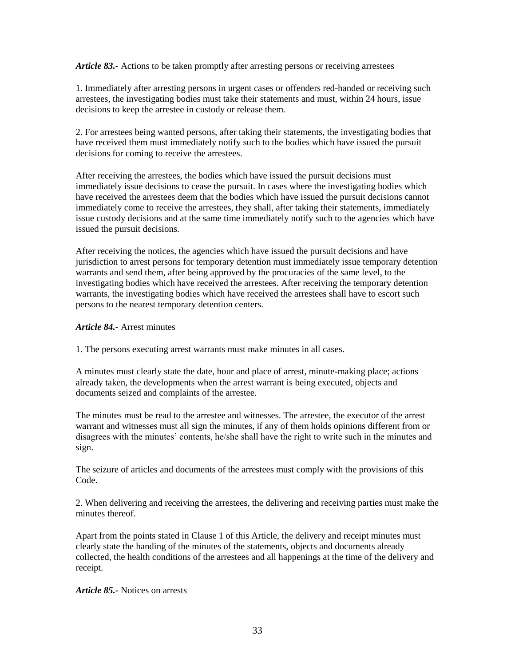*Article 83.-* Actions to be taken promptly after arresting persons or receiving arrestees

1. Immediately after arresting persons in urgent cases or offenders red-handed or receiving such arrestees, the investigating bodies must take their statements and must, within 24 hours, issue decisions to keep the arrestee in custody or release them.

2. For arrestees being wanted persons, after taking their statements, the investigating bodies that have received them must immediately notify such to the bodies which have issued the pursuit decisions for coming to receive the arrestees.

After receiving the arrestees, the bodies which have issued the pursuit decisions must immediately issue decisions to cease the pursuit. In cases where the investigating bodies which have received the arrestees deem that the bodies which have issued the pursuit decisions cannot immediately come to receive the arrestees, they shall, after taking their statements, immediately issue custody decisions and at the same time immediately notify such to the agencies which have issued the pursuit decisions.

After receiving the notices, the agencies which have issued the pursuit decisions and have jurisdiction to arrest persons for temporary detention must immediately issue temporary detention warrants and send them, after being approved by the procuracies of the same level, to the investigating bodies which have received the arrestees. After receiving the temporary detention warrants, the investigating bodies which have received the arrestees shall have to escort such persons to the nearest temporary detention centers.

### *Article 84.-* Arrest minutes

1. The persons executing arrest warrants must make minutes in all cases.

A minutes must clearly state the date, hour and place of arrest, minute-making place; actions already taken, the developments when the arrest warrant is being executed, objects and documents seized and complaints of the arrestee.

The minutes must be read to the arrestee and witnesses. The arrestee, the executor of the arrest warrant and witnesses must all sign the minutes, if any of them holds opinions different from or disagrees with the minutes' contents, he/she shall have the right to write such in the minutes and sign.

The seizure of articles and documents of the arrestees must comply with the provisions of this Code.

2. When delivering and receiving the arrestees, the delivering and receiving parties must make the minutes thereof.

Apart from the points stated in Clause 1 of this Article, the delivery and receipt minutes must clearly state the handing of the minutes of the statements, objects and documents already collected, the health conditions of the arrestees and all happenings at the time of the delivery and receipt.

### *Article 85.-* Notices on arrests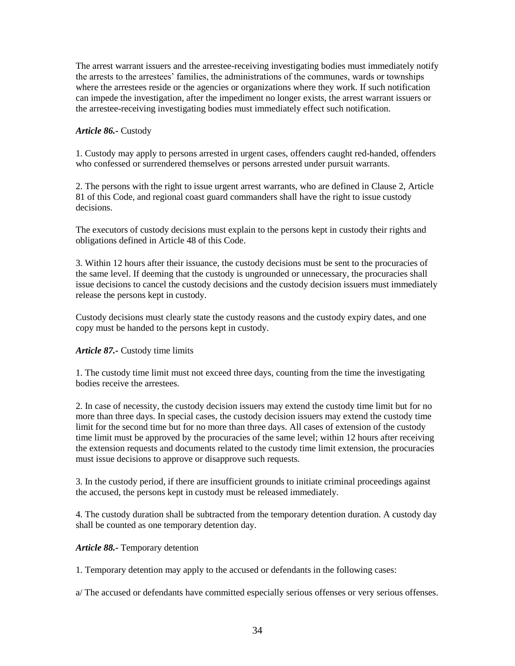The arrest warrant issuers and the arrestee-receiving investigating bodies must immediately notify the arrests to the arrestees' families, the administrations of the communes, wards or townships where the arrestees reside or the agencies or organizations where they work. If such notification can impede the investigation, after the impediment no longer exists, the arrest warrant issuers or the arrestee-receiving investigating bodies must immediately effect such notification.

# *Article 86.-* Custody

1. Custody may apply to persons arrested in urgent cases, offenders caught red-handed, offenders who confessed or surrendered themselves or persons arrested under pursuit warrants.

2. The persons with the right to issue urgent arrest warrants, who are defined in Clause 2, Article 81 of this Code, and regional coast guard commanders shall have the right to issue custody decisions.

The executors of custody decisions must explain to the persons kept in custody their rights and obligations defined in Article 48 of this Code.

3. Within 12 hours after their issuance, the custody decisions must be sent to the procuracies of the same level. If deeming that the custody is ungrounded or unnecessary, the procuracies shall issue decisions to cancel the custody decisions and the custody decision issuers must immediately release the persons kept in custody.

Custody decisions must clearly state the custody reasons and the custody expiry dates, and one copy must be handed to the persons kept in custody.

# *Article 87.-* Custody time limits

1. The custody time limit must not exceed three days, counting from the time the investigating bodies receive the arrestees.

2. In case of necessity, the custody decision issuers may extend the custody time limit but for no more than three days. In special cases, the custody decision issuers may extend the custody time limit for the second time but for no more than three days. All cases of extension of the custody time limit must be approved by the procuracies of the same level; within 12 hours after receiving the extension requests and documents related to the custody time limit extension, the procuracies must issue decisions to approve or disapprove such requests.

3. In the custody period, if there are insufficient grounds to initiate criminal proceedings against the accused, the persons kept in custody must be released immediately.

4. The custody duration shall be subtracted from the temporary detention duration. A custody day shall be counted as one temporary detention day.

# *Article 88.-* Temporary detention

1. Temporary detention may apply to the accused or defendants in the following cases:

a/ The accused or defendants have committed especially serious offenses or very serious offenses.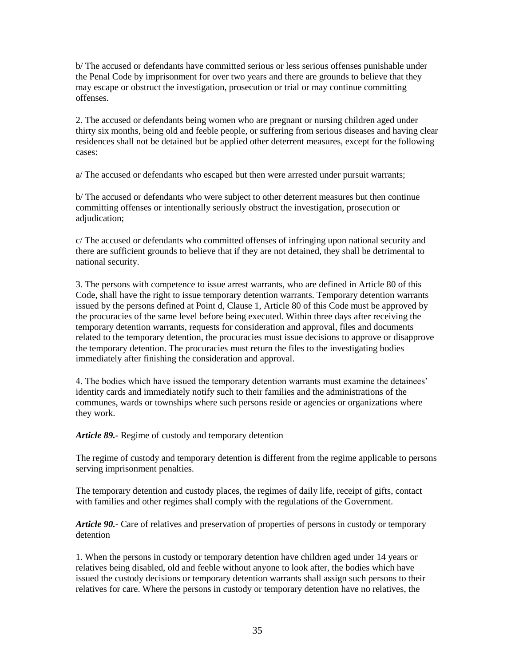b/ The accused or defendants have committed serious or less serious offenses punishable under the Penal Code by imprisonment for over two years and there are grounds to believe that they may escape or obstruct the investigation, prosecution or trial or may continue committing offenses.

2. The accused or defendants being women who are pregnant or nursing children aged under thirty six months, being old and feeble people, or suffering from serious diseases and having clear residences shall not be detained but be applied other deterrent measures, except for the following cases:

a/ The accused or defendants who escaped but then were arrested under pursuit warrants;

b/ The accused or defendants who were subject to other deterrent measures but then continue committing offenses or intentionally seriously obstruct the investigation, prosecution or adjudication;

c/ The accused or defendants who committed offenses of infringing upon national security and there are sufficient grounds to believe that if they are not detained, they shall be detrimental to national security.

3. The persons with competence to issue arrest warrants, who are defined in Article 80 of this Code, shall have the right to issue temporary detention warrants. Temporary detention warrants issued by the persons defined at Point d, Clause 1, Article 80 of this Code must be approved by the procuracies of the same level before being executed. Within three days after receiving the temporary detention warrants, requests for consideration and approval, files and documents related to the temporary detention, the procuracies must issue decisions to approve or disapprove the temporary detention. The procuracies must return the files to the investigating bodies immediately after finishing the consideration and approval.

4. The bodies which have issued the temporary detention warrants must examine the detainees' identity cards and immediately notify such to their families and the administrations of the communes, wards or townships where such persons reside or agencies or organizations where they work.

*Article 89.-* Regime of custody and temporary detention

The regime of custody and temporary detention is different from the regime applicable to persons serving imprisonment penalties.

The temporary detention and custody places, the regimes of daily life, receipt of gifts, contact with families and other regimes shall comply with the regulations of the Government.

*Article 90.-* Care of relatives and preservation of properties of persons in custody or temporary detention

1. When the persons in custody or temporary detention have children aged under 14 years or relatives being disabled, old and feeble without anyone to look after, the bodies which have issued the custody decisions or temporary detention warrants shall assign such persons to their relatives for care. Where the persons in custody or temporary detention have no relatives, the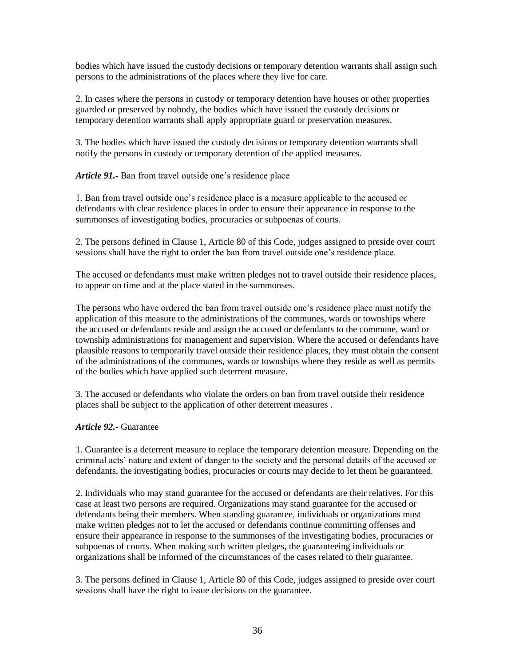bodies which have issued the custody decisions or temporary detention warrants shall assign such persons to the administrations of the places where they live for care.

2. In cases where the persons in custody or temporary detention have houses or other properties guarded or preserved by nobody, the bodies which have issued the custody decisions or temporary detention warrants shall apply appropriate guard or preservation measures.

3. The bodies which have issued the custody decisions or temporary detention warrants shall notify the persons in custody or temporary detention of the applied measures.

*Article 91.-* Ban from travel outside one's residence place

1. Ban from travel outside one's residence place is a measure applicable to the accused or defendants with clear residence places in order to ensure their appearance in response to the summonses of investigating bodies, procuracies or subpoenas of courts.

2. The persons defined in Clause 1, Article 80 of this Code, judges assigned to preside over court sessions shall have the right to order the ban from travel outside one's residence place.

The accused or defendants must make written pledges not to travel outside their residence places, to appear on time and at the place stated in the summonses.

The persons who have ordered the ban from travel outside one's residence place must notify the application of this measure to the administrations of the communes, wards or townships where the accused or defendants reside and assign the accused or defendants to the commune, ward or township administrations for management and supervision. Where the accused or defendants have plausible reasons to temporarily travel outside their residence places, they must obtain the consent of the administrations of the communes, wards or townships where they reside as well as permits of the bodies which have applied such deterrent measure.

3. The accused or defendants who violate the orders on ban from travel outside their residence places shall be subject to the application of other deterrent measures .

# *Article 92.-* Guarantee

1. Guarantee is a deterrent measure to replace the temporary detention measure. Depending on the criminal acts' nature and extent of danger to the society and the personal details of the accused or defendants, the investigating bodies, procuracies or courts may decide to let them be guaranteed.

2. Individuals who may stand guarantee for the accused or defendants are their relatives. For this case at least two persons are required. Organizations may stand guarantee for the accused or defendants being their members. When standing guarantee, individuals or organizations must make written pledges not to let the accused or defendants continue committing offenses and ensure their appearance in response to the summonses of the investigating bodies, procuracies or subpoenas of courts. When making such written pledges, the guaranteeing individuals or organizations shall be informed of the circumstances of the cases related to their guarantee.

3. The persons defined in Clause 1, Article 80 of this Code, judges assigned to preside over court sessions shall have the right to issue decisions on the guarantee.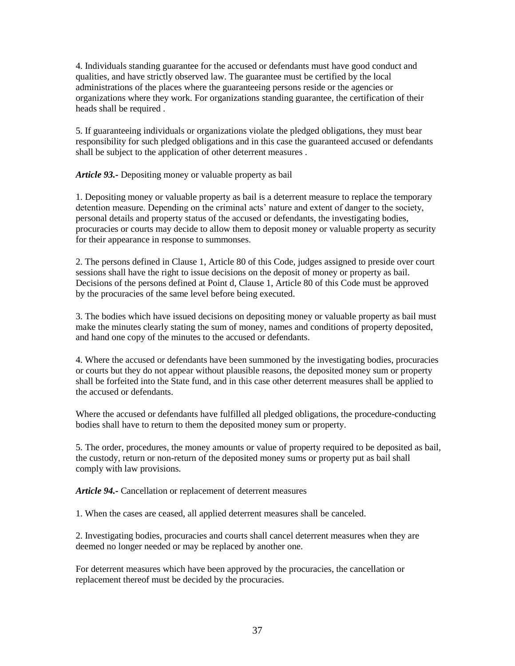4. Individuals standing guarantee for the accused or defendants must have good conduct and qualities, and have strictly observed law. The guarantee must be certified by the local administrations of the places where the guaranteeing persons reside or the agencies or organizations where they work. For organizations standing guarantee, the certification of their heads shall be required .

5. If guaranteeing individuals or organizations violate the pledged obligations, they must bear responsibility for such pledged obligations and in this case the guaranteed accused or defendants shall be subject to the application of other deterrent measures .

*Article 93.-* Depositing money or valuable property as bail

1. Depositing money or valuable property as bail is a deterrent measure to replace the temporary detention measure. Depending on the criminal acts' nature and extent of danger to the society, personal details and property status of the accused or defendants, the investigating bodies, procuracies or courts may decide to allow them to deposit money or valuable property as security for their appearance in response to summonses.

2. The persons defined in Clause 1, Article 80 of this Code, judges assigned to preside over court sessions shall have the right to issue decisions on the deposit of money or property as bail. Decisions of the persons defined at Point d, Clause 1, Article 80 of this Code must be approved by the procuracies of the same level before being executed.

3. The bodies which have issued decisions on depositing money or valuable property as bail must make the minutes clearly stating the sum of money, names and conditions of property deposited, and hand one copy of the minutes to the accused or defendants.

4. Where the accused or defendants have been summoned by the investigating bodies, procuracies or courts but they do not appear without plausible reasons, the deposited money sum or property shall be forfeited into the State fund, and in this case other deterrent measures shall be applied to the accused or defendants.

Where the accused or defendants have fulfilled all pledged obligations, the procedure-conducting bodies shall have to return to them the deposited money sum or property.

5. The order, procedures, the money amounts or value of property required to be deposited as bail, the custody, return or non-return of the deposited money sums or property put as bail shall comply with law provisions.

*Article 94.-* Cancellation or replacement of deterrent measures

1. When the cases are ceased, all applied deterrent measures shall be canceled.

2. Investigating bodies, procuracies and courts shall cancel deterrent measures when they are deemed no longer needed or may be replaced by another one.

For deterrent measures which have been approved by the procuracies, the cancellation or replacement thereof must be decided by the procuracies.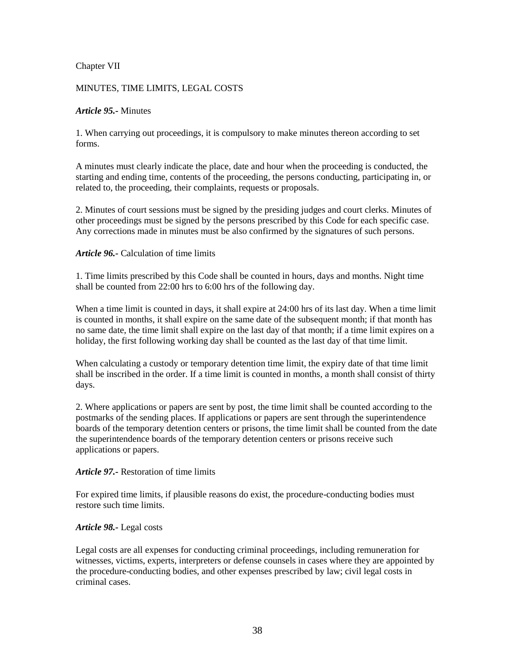## Chapter VII

# MINUTES, TIME LIMITS, LEGAL COSTS

### *Article 95.-* Minutes

1. When carrying out proceedings, it is compulsory to make minutes thereon according to set forms.

A minutes must clearly indicate the place, date and hour when the proceeding is conducted, the starting and ending time, contents of the proceeding, the persons conducting, participating in, or related to, the proceeding, their complaints, requests or proposals.

2. Minutes of court sessions must be signed by the presiding judges and court clerks. Minutes of other proceedings must be signed by the persons prescribed by this Code for each specific case. Any corrections made in minutes must be also confirmed by the signatures of such persons.

### *Article 96.-* Calculation of time limits

1. Time limits prescribed by this Code shall be counted in hours, days and months. Night time shall be counted from 22:00 hrs to 6:00 hrs of the following day.

When a time limit is counted in days, it shall expire at 24:00 hrs of its last day. When a time limit is counted in months, it shall expire on the same date of the subsequent month; if that month has no same date, the time limit shall expire on the last day of that month; if a time limit expires on a holiday, the first following working day shall be counted as the last day of that time limit.

When calculating a custody or temporary detention time limit, the expiry date of that time limit shall be inscribed in the order. If a time limit is counted in months, a month shall consist of thirty days.

2. Where applications or papers are sent by post, the time limit shall be counted according to the postmarks of the sending places. If applications or papers are sent through the superintendence boards of the temporary detention centers or prisons, the time limit shall be counted from the date the superintendence boards of the temporary detention centers or prisons receive such applications or papers.

### *Article 97.-* Restoration of time limits

For expired time limits, if plausible reasons do exist, the procedure-conducting bodies must restore such time limits.

## *Article 98.-* Legal costs

Legal costs are all expenses for conducting criminal proceedings, including remuneration for witnesses, victims, experts, interpreters or defense counsels in cases where they are appointed by the procedure-conducting bodies, and other expenses prescribed by law; civil legal costs in criminal cases.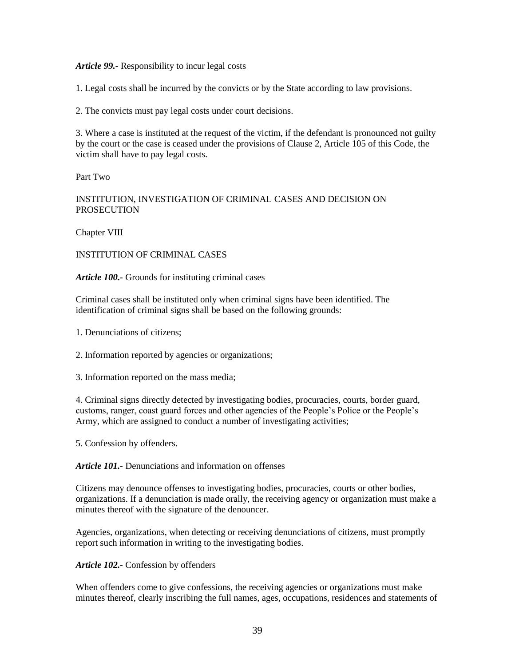### *Article 99.-* Responsibility to incur legal costs

1. Legal costs shall be incurred by the convicts or by the State according to law provisions.

2. The convicts must pay legal costs under court decisions.

3. Where a case is instituted at the request of the victim, if the defendant is pronounced not guilty by the court or the case is ceased under the provisions of Clause 2, Article 105 of this Code, the victim shall have to pay legal costs.

Part Two

## INSTITUTION, INVESTIGATION OF CRIMINAL CASES AND DECISION ON PROSECUTION

Chapter VIII

#### INSTITUTION OF CRIMINAL CASES

#### *Article 100.-* Grounds for instituting criminal cases

Criminal cases shall be instituted only when criminal signs have been identified. The identification of criminal signs shall be based on the following grounds:

- 1. Denunciations of citizens;
- 2. Information reported by agencies or organizations;
- 3. Information reported on the mass media;

4. Criminal signs directly detected by investigating bodies, procuracies, courts, border guard, customs, ranger, coast guard forces and other agencies of the People's Police or the People's Army, which are assigned to conduct a number of investigating activities;

5. Confession by offenders.

#### *Article 101.-* Denunciations and information on offenses

Citizens may denounce offenses to investigating bodies, procuracies, courts or other bodies, organizations. If a denunciation is made orally, the receiving agency or organization must make a minutes thereof with the signature of the denouncer.

Agencies, organizations, when detecting or receiving denunciations of citizens, must promptly report such information in writing to the investigating bodies.

#### *Article 102.-* Confession by offenders

When offenders come to give confessions, the receiving agencies or organizations must make minutes thereof, clearly inscribing the full names, ages, occupations, residences and statements of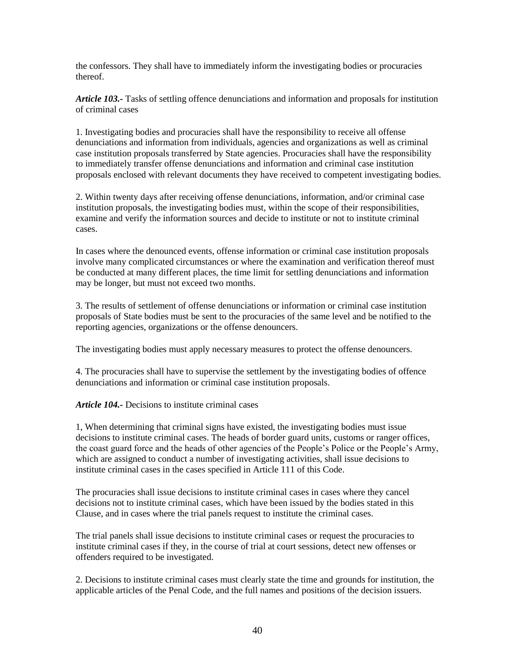the confessors. They shall have to immediately inform the investigating bodies or procuracies thereof.

*Article 103.-* Tasks of settling offence denunciations and information and proposals for institution of criminal cases

1. Investigating bodies and procuracies shall have the responsibility to receive all offense denunciations and information from individuals, agencies and organizations as well as criminal case institution proposals transferred by State agencies. Procuracies shall have the responsibility to immediately transfer offense denunciations and information and criminal case institution proposals enclosed with relevant documents they have received to competent investigating bodies.

2. Within twenty days after receiving offense denunciations, information, and/or criminal case institution proposals, the investigating bodies must, within the scope of their responsibilities, examine and verify the information sources and decide to institute or not to institute criminal cases.

In cases where the denounced events, offense information or criminal case institution proposals involve many complicated circumstances or where the examination and verification thereof must be conducted at many different places, the time limit for settling denunciations and information may be longer, but must not exceed two months.

3. The results of settlement of offense denunciations or information or criminal case institution proposals of State bodies must be sent to the procuracies of the same level and be notified to the reporting agencies, organizations or the offense denouncers.

The investigating bodies must apply necessary measures to protect the offense denouncers.

4. The procuracies shall have to supervise the settlement by the investigating bodies of offence denunciations and information or criminal case institution proposals.

*Article 104.-* Decisions to institute criminal cases

1, When determining that criminal signs have existed, the investigating bodies must issue decisions to institute criminal cases. The heads of border guard units, customs or ranger offices, the coast guard force and the heads of other agencies of the People's Police or the People's Army, which are assigned to conduct a number of investigating activities, shall issue decisions to institute criminal cases in the cases specified in Article 111 of this Code.

The procuracies shall issue decisions to institute criminal cases in cases where they cancel decisions not to institute criminal cases, which have been issued by the bodies stated in this Clause, and in cases where the trial panels request to institute the criminal cases.

The trial panels shall issue decisions to institute criminal cases or request the procuracies to institute criminal cases if they, in the course of trial at court sessions, detect new offenses or offenders required to be investigated.

2. Decisions to institute criminal cases must clearly state the time and grounds for institution, the applicable articles of the Penal Code, and the full names and positions of the decision issuers.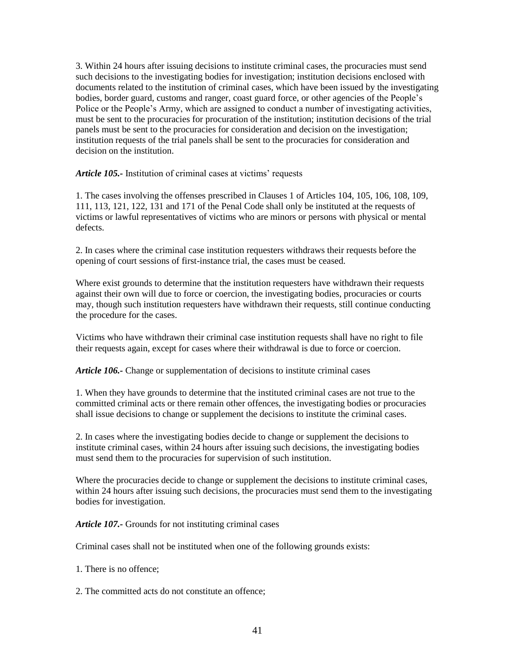3. Within 24 hours after issuing decisions to institute criminal cases, the procuracies must send such decisions to the investigating bodies for investigation; institution decisions enclosed with documents related to the institution of criminal cases, which have been issued by the investigating bodies, border guard, customs and ranger, coast guard force, or other agencies of the People's Police or the People's Army, which are assigned to conduct a number of investigating activities, must be sent to the procuracies for procuration of the institution; institution decisions of the trial panels must be sent to the procuracies for consideration and decision on the investigation; institution requests of the trial panels shall be sent to the procuracies for consideration and decision on the institution.

*Article 105.-* Institution of criminal cases at victims' requests

1. The cases involving the offenses prescribed in Clauses 1 of Articles 104, 105, 106, 108, 109, 111, 113, 121, 122, 131 and 171 of the Penal Code shall only be instituted at the requests of victims or lawful representatives of victims who are minors or persons with physical or mental defects.

2. In cases where the criminal case institution requesters withdraws their requests before the opening of court sessions of first-instance trial, the cases must be ceased.

Where exist grounds to determine that the institution requesters have withdrawn their requests against their own will due to force or coercion, the investigating bodies, procuracies or courts may, though such institution requesters have withdrawn their requests, still continue conducting the procedure for the cases.

Victims who have withdrawn their criminal case institution requests shall have no right to file their requests again, except for cases where their withdrawal is due to force or coercion.

*Article 106.-* Change or supplementation of decisions to institute criminal cases

1. When they have grounds to determine that the instituted criminal cases are not true to the committed criminal acts or there remain other offences, the investigating bodies or procuracies shall issue decisions to change or supplement the decisions to institute the criminal cases.

2. In cases where the investigating bodies decide to change or supplement the decisions to institute criminal cases, within 24 hours after issuing such decisions, the investigating bodies must send them to the procuracies for supervision of such institution.

Where the procuracies decide to change or supplement the decisions to institute criminal cases, within 24 hours after issuing such decisions, the procuracies must send them to the investigating bodies for investigation.

*Article 107.-* Grounds for not instituting criminal cases

Criminal cases shall not be instituted when one of the following grounds exists:

1. There is no offence;

2. The committed acts do not constitute an offence;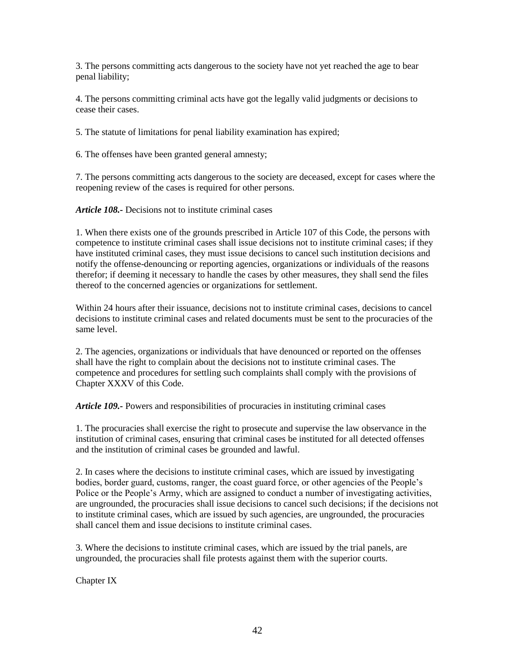3. The persons committing acts dangerous to the society have not yet reached the age to bear penal liability;

4. The persons committing criminal acts have got the legally valid judgments or decisions to cease their cases.

5. The statute of limitations for penal liability examination has expired;

6. The offenses have been granted general amnesty;

7. The persons committing acts dangerous to the society are deceased, except for cases where the reopening review of the cases is required for other persons.

*Article 108.-* Decisions not to institute criminal cases

1. When there exists one of the grounds prescribed in Article 107 of this Code, the persons with competence to institute criminal cases shall issue decisions not to institute criminal cases; if they have instituted criminal cases, they must issue decisions to cancel such institution decisions and notify the offense-denouncing or reporting agencies, organizations or individuals of the reasons therefor; if deeming it necessary to handle the cases by other measures, they shall send the files thereof to the concerned agencies or organizations for settlement.

Within 24 hours after their issuance, decisions not to institute criminal cases, decisions to cancel decisions to institute criminal cases and related documents must be sent to the procuracies of the same level.

2. The agencies, organizations or individuals that have denounced or reported on the offenses shall have the right to complain about the decisions not to institute criminal cases. The competence and procedures for settling such complaints shall comply with the provisions of Chapter XXXV of this Code.

*Article 109.-* Powers and responsibilities of procuracies in instituting criminal cases

1. The procuracies shall exercise the right to prosecute and supervise the law observance in the institution of criminal cases, ensuring that criminal cases be instituted for all detected offenses and the institution of criminal cases be grounded and lawful.

2. In cases where the decisions to institute criminal cases, which are issued by investigating bodies, border guard, customs, ranger, the coast guard force, or other agencies of the People's Police or the People's Army, which are assigned to conduct a number of investigating activities, are ungrounded, the procuracies shall issue decisions to cancel such decisions; if the decisions not to institute criminal cases, which are issued by such agencies, are ungrounded, the procuracies shall cancel them and issue decisions to institute criminal cases.

3. Where the decisions to institute criminal cases, which are issued by the trial panels, are ungrounded, the procuracies shall file protests against them with the superior courts.

Chapter IX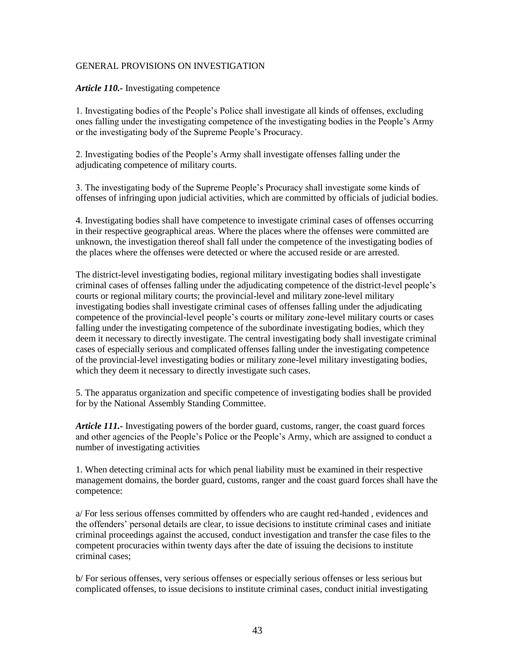#### GENERAL PROVISIONS ON INVESTIGATION

#### *Article 110.-* Investigating competence

1. Investigating bodies of the People's Police shall investigate all kinds of offenses, excluding ones falling under the investigating competence of the investigating bodies in the People's Army or the investigating body of the Supreme People's Procuracy.

2. Investigating bodies of the People's Army shall investigate offenses falling under the adjudicating competence of military courts.

3. The investigating body of the Supreme People's Procuracy shall investigate some kinds of offenses of infringing upon judicial activities, which are committed by officials of judicial bodies.

4. Investigating bodies shall have competence to investigate criminal cases of offenses occurring in their respective geographical areas. Where the places where the offenses were committed are unknown, the investigation thereof shall fall under the competence of the investigating bodies of the places where the offenses were detected or where the accused reside or are arrested.

The district-level investigating bodies, regional military investigating bodies shall investigate criminal cases of offenses falling under the adjudicating competence of the district-level people's courts or regional military courts; the provincial-level and military zone-level military investigating bodies shall investigate criminal cases of offenses falling under the adjudicating competence of the provincial-level people's courts or military zone-level military courts or cases falling under the investigating competence of the subordinate investigating bodies, which they deem it necessary to directly investigate. The central investigating body shall investigate criminal cases of especially serious and complicated offenses falling under the investigating competence of the provincial-level investigating bodies or military zone-level military investigating bodies, which they deem it necessary to directly investigate such cases.

5. The apparatus organization and specific competence of investigating bodies shall be provided for by the National Assembly Standing Committee.

*Article 111.-* Investigating powers of the border guard, customs, ranger, the coast guard forces and other agencies of the People's Police or the People's Army, which are assigned to conduct a number of investigating activities

1. When detecting criminal acts for which penal liability must be examined in their respective management domains, the border guard, customs, ranger and the coast guard forces shall have the competence:

a/ For less serious offenses committed by offenders who are caught red-handed , evidences and the offenders' personal details are clear, to issue decisions to institute criminal cases and initiate criminal proceedings against the accused, conduct investigation and transfer the case files to the competent procuracies within twenty days after the date of issuing the decisions to institute criminal cases;

b/ For serious offenses, very serious offenses or especially serious offenses or less serious but complicated offenses, to issue decisions to institute criminal cases, conduct initial investigating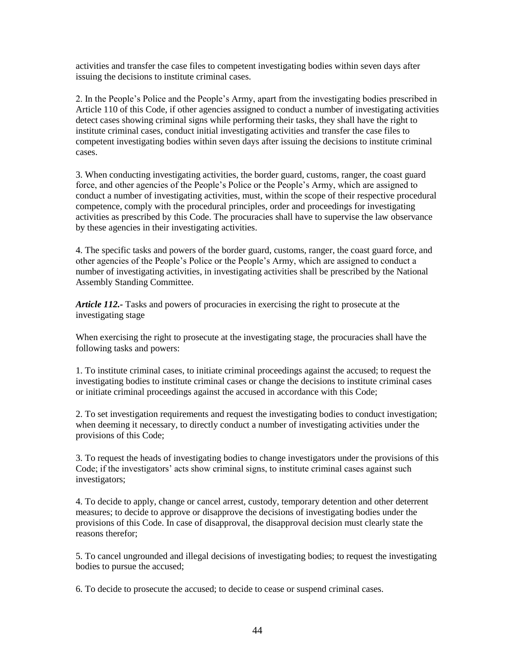activities and transfer the case files to competent investigating bodies within seven days after issuing the decisions to institute criminal cases.

2. In the People's Police and the People's Army, apart from the investigating bodies prescribed in Article 110 of this Code, if other agencies assigned to conduct a number of investigating activities detect cases showing criminal signs while performing their tasks, they shall have the right to institute criminal cases, conduct initial investigating activities and transfer the case files to competent investigating bodies within seven days after issuing the decisions to institute criminal cases.

3. When conducting investigating activities, the border guard, customs, ranger, the coast guard force, and other agencies of the People's Police or the People's Army, which are assigned to conduct a number of investigating activities, must, within the scope of their respective procedural competence, comply with the procedural principles, order and proceedings for investigating activities as prescribed by this Code. The procuracies shall have to supervise the law observance by these agencies in their investigating activities.

4. The specific tasks and powers of the border guard, customs, ranger, the coast guard force, and other agencies of the People's Police or the People's Army, which are assigned to conduct a number of investigating activities, in investigating activities shall be prescribed by the National Assembly Standing Committee.

*Article 112.-* Tasks and powers of procuracies in exercising the right to prosecute at the investigating stage

When exercising the right to prosecute at the investigating stage, the procuracies shall have the following tasks and powers:

1. To institute criminal cases, to initiate criminal proceedings against the accused; to request the investigating bodies to institute criminal cases or change the decisions to institute criminal cases or initiate criminal proceedings against the accused in accordance with this Code;

2. To set investigation requirements and request the investigating bodies to conduct investigation; when deeming it necessary, to directly conduct a number of investigating activities under the provisions of this Code;

3. To request the heads of investigating bodies to change investigators under the provisions of this Code; if the investigators' acts show criminal signs, to institute criminal cases against such investigators;

4. To decide to apply, change or cancel arrest, custody, temporary detention and other deterrent measures; to decide to approve or disapprove the decisions of investigating bodies under the provisions of this Code. In case of disapproval, the disapproval decision must clearly state the reasons therefor;

5. To cancel ungrounded and illegal decisions of investigating bodies; to request the investigating bodies to pursue the accused;

6. To decide to prosecute the accused; to decide to cease or suspend criminal cases.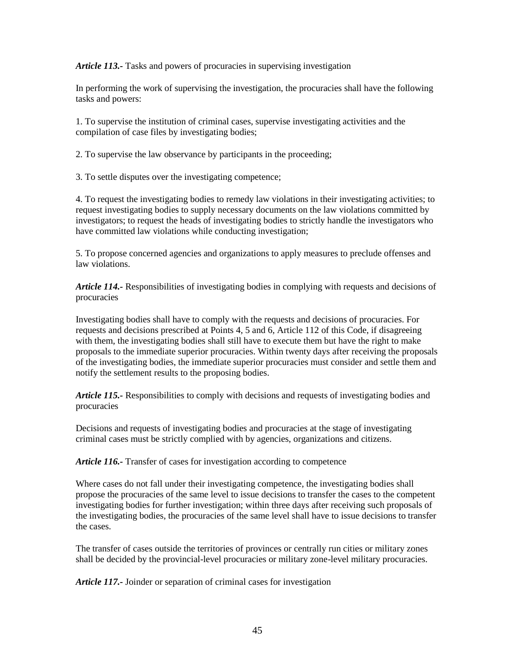*Article 113.-* Tasks and powers of procuracies in supervising investigation

In performing the work of supervising the investigation, the procuracies shall have the following tasks and powers:

1. To supervise the institution of criminal cases, supervise investigating activities and the compilation of case files by investigating bodies;

2. To supervise the law observance by participants in the proceeding;

3. To settle disputes over the investigating competence;

4. To request the investigating bodies to remedy law violations in their investigating activities; to request investigating bodies to supply necessary documents on the law violations committed by investigators; to request the heads of investigating bodies to strictly handle the investigators who have committed law violations while conducting investigation;

5. To propose concerned agencies and organizations to apply measures to preclude offenses and law violations.

*Article 114.-* Responsibilities of investigating bodies in complying with requests and decisions of procuracies

Investigating bodies shall have to comply with the requests and decisions of procuracies. For requests and decisions prescribed at Points 4, 5 and 6, Article 112 of this Code, if disagreeing with them, the investigating bodies shall still have to execute them but have the right to make proposals to the immediate superior procuracies. Within twenty days after receiving the proposals of the investigating bodies, the immediate superior procuracies must consider and settle them and notify the settlement results to the proposing bodies.

*Article 115.-* Responsibilities to comply with decisions and requests of investigating bodies and procuracies

Decisions and requests of investigating bodies and procuracies at the stage of investigating criminal cases must be strictly complied with by agencies, organizations and citizens.

*Article 116.-* Transfer of cases for investigation according to competence

Where cases do not fall under their investigating competence, the investigating bodies shall propose the procuracies of the same level to issue decisions to transfer the cases to the competent investigating bodies for further investigation; within three days after receiving such proposals of the investigating bodies, the procuracies of the same level shall have to issue decisions to transfer the cases.

The transfer of cases outside the territories of provinces or centrally run cities or military zones shall be decided by the provincial-level procuracies or military zone-level military procuracies.

*Article 117.-* Joinder or separation of criminal cases for investigation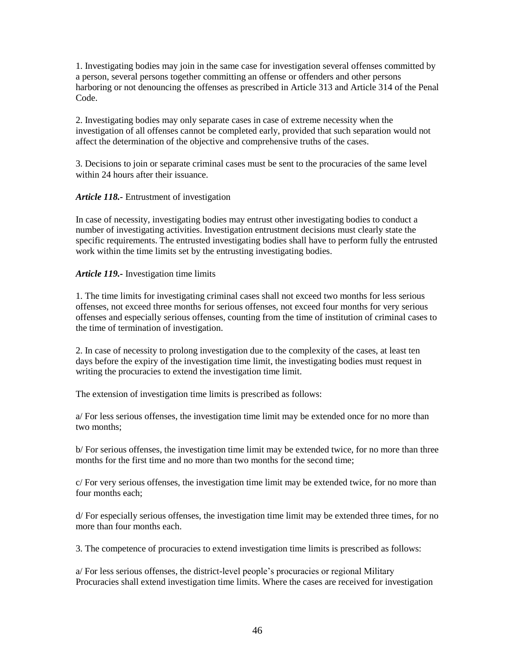1. Investigating bodies may join in the same case for investigation several offenses committed by a person, several persons together committing an offense or offenders and other persons harboring or not denouncing the offenses as prescribed in Article 313 and Article 314 of the Penal Code.

2. Investigating bodies may only separate cases in case of extreme necessity when the investigation of all offenses cannot be completed early, provided that such separation would not affect the determination of the objective and comprehensive truths of the cases.

3. Decisions to join or separate criminal cases must be sent to the procuracies of the same level within 24 hours after their issuance.

### *Article 118.-* Entrustment of investigation

In case of necessity, investigating bodies may entrust other investigating bodies to conduct a number of investigating activities. Investigation entrustment decisions must clearly state the specific requirements. The entrusted investigating bodies shall have to perform fully the entrusted work within the time limits set by the entrusting investigating bodies.

### *Article 119.-* Investigation time limits

1. The time limits for investigating criminal cases shall not exceed two months for less serious offenses, not exceed three months for serious offenses, not exceed four months for very serious offenses and especially serious offenses, counting from the time of institution of criminal cases to the time of termination of investigation.

2. In case of necessity to prolong investigation due to the complexity of the cases, at least ten days before the expiry of the investigation time limit, the investigating bodies must request in writing the procuracies to extend the investigation time limit.

The extension of investigation time limits is prescribed as follows:

a/ For less serious offenses, the investigation time limit may be extended once for no more than two months;

b/ For serious offenses, the investigation time limit may be extended twice, for no more than three months for the first time and no more than two months for the second time;

c/ For very serious offenses, the investigation time limit may be extended twice, for no more than four months each;

d/ For especially serious offenses, the investigation time limit may be extended three times, for no more than four months each.

3. The competence of procuracies to extend investigation time limits is prescribed as follows:

a/ For less serious offenses, the district-level people's procuracies or regional Military Procuracies shall extend investigation time limits. Where the cases are received for investigation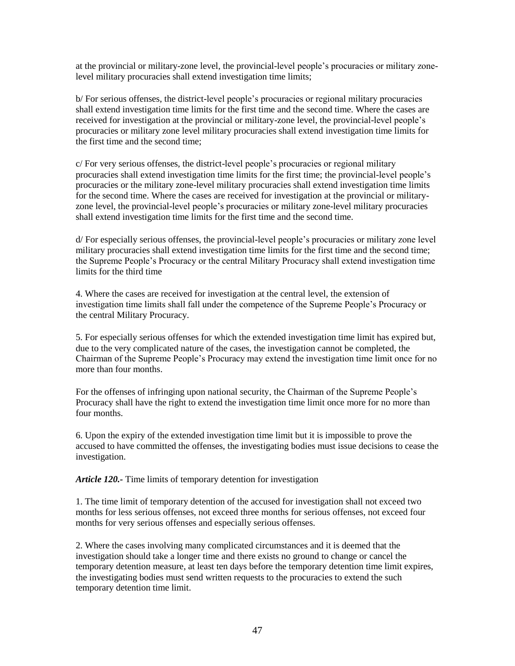at the provincial or military-zone level, the provincial-level people's procuracies or military zonelevel military procuracies shall extend investigation time limits;

b/ For serious offenses, the district-level people's procuracies or regional military procuracies shall extend investigation time limits for the first time and the second time. Where the cases are received for investigation at the provincial or military-zone level, the provincial-level people's procuracies or military zone level military procuracies shall extend investigation time limits for the first time and the second time;

c/ For very serious offenses, the district-level people's procuracies or regional military procuracies shall extend investigation time limits for the first time; the provincial-level people's procuracies or the military zone-level military procuracies shall extend investigation time limits for the second time. Where the cases are received for investigation at the provincial or militaryzone level, the provincial-level people's procuracies or military zone-level military procuracies shall extend investigation time limits for the first time and the second time.

d/ For especially serious offenses, the provincial-level people's procuracies or military zone level military procuracies shall extend investigation time limits for the first time and the second time; the Supreme People's Procuracy or the central Military Procuracy shall extend investigation time limits for the third time

4. Where the cases are received for investigation at the central level, the extension of investigation time limits shall fall under the competence of the Supreme People's Procuracy or the central Military Procuracy.

5. For especially serious offenses for which the extended investigation time limit has expired but, due to the very complicated nature of the cases, the investigation cannot be completed, the Chairman of the Supreme People's Procuracy may extend the investigation time limit once for no more than four months.

For the offenses of infringing upon national security, the Chairman of the Supreme People's Procuracy shall have the right to extend the investigation time limit once more for no more than four months.

6. Upon the expiry of the extended investigation time limit but it is impossible to prove the accused to have committed the offenses, the investigating bodies must issue decisions to cease the investigation.

*Article 120.-* Time limits of temporary detention for investigation

1. The time limit of temporary detention of the accused for investigation shall not exceed two months for less serious offenses, not exceed three months for serious offenses, not exceed four months for very serious offenses and especially serious offenses.

2. Where the cases involving many complicated circumstances and it is deemed that the investigation should take a longer time and there exists no ground to change or cancel the temporary detention measure, at least ten days before the temporary detention time limit expires, the investigating bodies must send written requests to the procuracies to extend the such temporary detention time limit.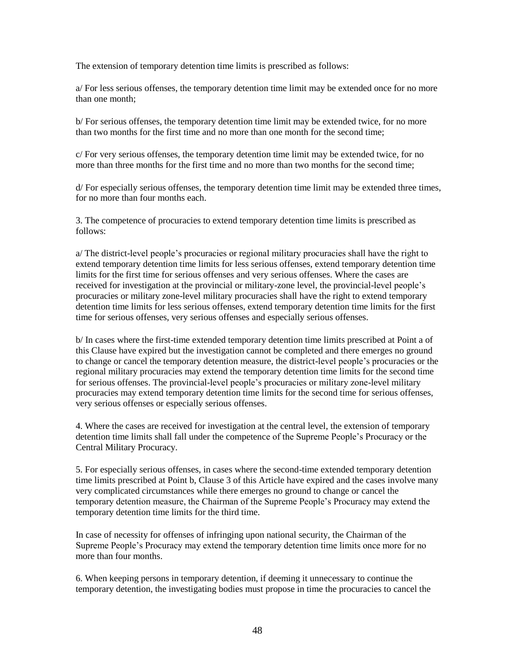The extension of temporary detention time limits is prescribed as follows:

a/ For less serious offenses, the temporary detention time limit may be extended once for no more than one month;

b/ For serious offenses, the temporary detention time limit may be extended twice, for no more than two months for the first time and no more than one month for the second time;

c/ For very serious offenses, the temporary detention time limit may be extended twice, for no more than three months for the first time and no more than two months for the second time;

d/ For especially serious offenses, the temporary detention time limit may be extended three times, for no more than four months each.

3. The competence of procuracies to extend temporary detention time limits is prescribed as follows:

a/ The district-level people's procuracies or regional military procuracies shall have the right to extend temporary detention time limits for less serious offenses, extend temporary detention time limits for the first time for serious offenses and very serious offenses. Where the cases are received for investigation at the provincial or military-zone level, the provincial-level people's procuracies or military zone-level military procuracies shall have the right to extend temporary detention time limits for less serious offenses, extend temporary detention time limits for the first time for serious offenses, very serious offenses and especially serious offenses.

b/ In cases where the first-time extended temporary detention time limits prescribed at Point a of this Clause have expired but the investigation cannot be completed and there emerges no ground to change or cancel the temporary detention measure, the district-level people's procuracies or the regional military procuracies may extend the temporary detention time limits for the second time for serious offenses. The provincial-level people's procuracies or military zone-level military procuracies may extend temporary detention time limits for the second time for serious offenses, very serious offenses or especially serious offenses.

4. Where the cases are received for investigation at the central level, the extension of temporary detention time limits shall fall under the competence of the Supreme People's Procuracy or the Central Military Procuracy.

5. For especially serious offenses, in cases where the second-time extended temporary detention time limits prescribed at Point b, Clause 3 of this Article have expired and the cases involve many very complicated circumstances while there emerges no ground to change or cancel the temporary detention measure, the Chairman of the Supreme People's Procuracy may extend the temporary detention time limits for the third time.

In case of necessity for offenses of infringing upon national security, the Chairman of the Supreme People's Procuracy may extend the temporary detention time limits once more for no more than four months.

6. When keeping persons in temporary detention, if deeming it unnecessary to continue the temporary detention, the investigating bodies must propose in time the procuracies to cancel the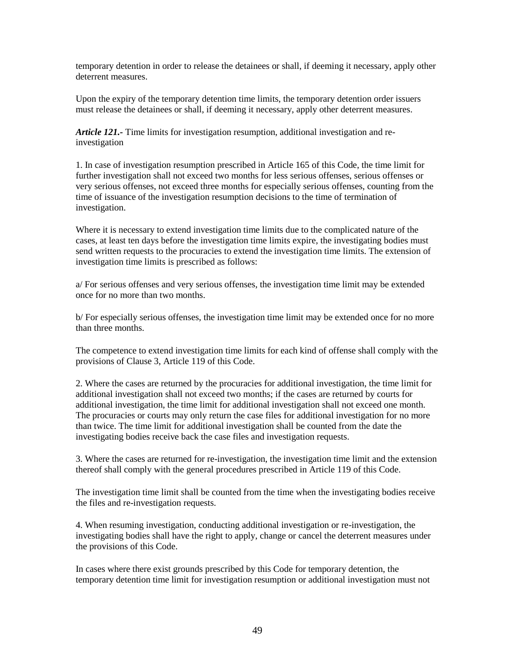temporary detention in order to release the detainees or shall, if deeming it necessary, apply other deterrent measures.

Upon the expiry of the temporary detention time limits, the temporary detention order issuers must release the detainees or shall, if deeming it necessary, apply other deterrent measures.

*Article 121.-* Time limits for investigation resumption, additional investigation and reinvestigation

1. In case of investigation resumption prescribed in Article 165 of this Code, the time limit for further investigation shall not exceed two months for less serious offenses, serious offenses or very serious offenses, not exceed three months for especially serious offenses, counting from the time of issuance of the investigation resumption decisions to the time of termination of investigation.

Where it is necessary to extend investigation time limits due to the complicated nature of the cases, at least ten days before the investigation time limits expire, the investigating bodies must send written requests to the procuracies to extend the investigation time limits. The extension of investigation time limits is prescribed as follows:

a/ For serious offenses and very serious offenses, the investigation time limit may be extended once for no more than two months.

b/ For especially serious offenses, the investigation time limit may be extended once for no more than three months.

The competence to extend investigation time limits for each kind of offense shall comply with the provisions of Clause 3, Article 119 of this Code.

2. Where the cases are returned by the procuracies for additional investigation, the time limit for additional investigation shall not exceed two months; if the cases are returned by courts for additional investigation, the time limit for additional investigation shall not exceed one month. The procuracies or courts may only return the case files for additional investigation for no more than twice. The time limit for additional investigation shall be counted from the date the investigating bodies receive back the case files and investigation requests.

3. Where the cases are returned for re-investigation, the investigation time limit and the extension thereof shall comply with the general procedures prescribed in Article 119 of this Code.

The investigation time limit shall be counted from the time when the investigating bodies receive the files and re-investigation requests.

4. When resuming investigation, conducting additional investigation or re-investigation, the investigating bodies shall have the right to apply, change or cancel the deterrent measures under the provisions of this Code.

In cases where there exist grounds prescribed by this Code for temporary detention, the temporary detention time limit for investigation resumption or additional investigation must not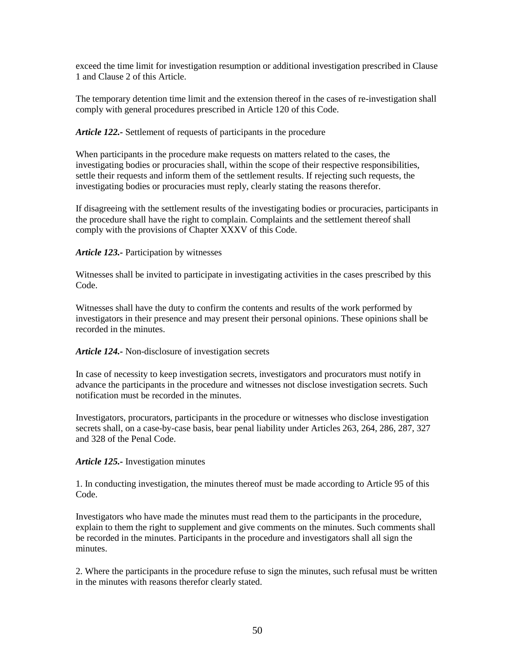exceed the time limit for investigation resumption or additional investigation prescribed in Clause 1 and Clause 2 of this Article.

The temporary detention time limit and the extension thereof in the cases of re-investigation shall comply with general procedures prescribed in Article 120 of this Code.

### *Article 122.-* Settlement of requests of participants in the procedure

When participants in the procedure make requests on matters related to the cases, the investigating bodies or procuracies shall, within the scope of their respective responsibilities, settle their requests and inform them of the settlement results. If rejecting such requests, the investigating bodies or procuracies must reply, clearly stating the reasons therefor.

If disagreeing with the settlement results of the investigating bodies or procuracies, participants in the procedure shall have the right to complain. Complaints and the settlement thereof shall comply with the provisions of Chapter XXXV of this Code.

#### *Article 123.-* Participation by witnesses

Witnesses shall be invited to participate in investigating activities in the cases prescribed by this Code.

Witnesses shall have the duty to confirm the contents and results of the work performed by investigators in their presence and may present their personal opinions. These opinions shall be recorded in the minutes.

### *Article 124.-* Non-disclosure of investigation secrets

In case of necessity to keep investigation secrets, investigators and procurators must notify in advance the participants in the procedure and witnesses not disclose investigation secrets. Such notification must be recorded in the minutes.

Investigators, procurators, participants in the procedure or witnesses who disclose investigation secrets shall, on a case-by-case basis, bear penal liability under Articles 263, 264, 286, 287, 327 and 328 of the Penal Code.

### *Article 125.-* Investigation minutes

1. In conducting investigation, the minutes thereof must be made according to Article 95 of this Code.

Investigators who have made the minutes must read them to the participants in the procedure, explain to them the right to supplement and give comments on the minutes. Such comments shall be recorded in the minutes. Participants in the procedure and investigators shall all sign the minutes.

2. Where the participants in the procedure refuse to sign the minutes, such refusal must be written in the minutes with reasons therefor clearly stated.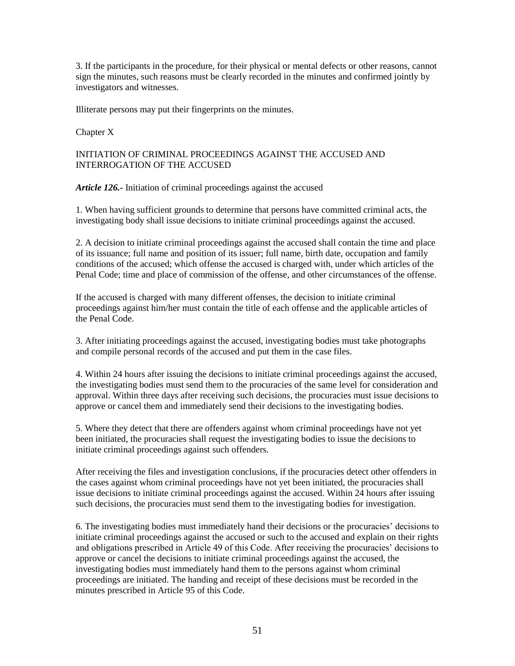3. If the participants in the procedure, for their physical or mental defects or other reasons, cannot sign the minutes, such reasons must be clearly recorded in the minutes and confirmed jointly by investigators and witnesses.

Illiterate persons may put their fingerprints on the minutes.

Chapter X

### INITIATION OF CRIMINAL PROCEEDINGS AGAINST THE ACCUSED AND INTERROGATION OF THE ACCUSED

*Article 126.-* Initiation of criminal proceedings against the accused

1. When having sufficient grounds to determine that persons have committed criminal acts, the investigating body shall issue decisions to initiate criminal proceedings against the accused.

2. A decision to initiate criminal proceedings against the accused shall contain the time and place of its issuance; full name and position of its issuer; full name, birth date, occupation and family conditions of the accused; which offense the accused is charged with, under which articles of the Penal Code; time and place of commission of the offense, and other circumstances of the offense.

If the accused is charged with many different offenses, the decision to initiate criminal proceedings against him/her must contain the title of each offense and the applicable articles of the Penal Code.

3. After initiating proceedings against the accused, investigating bodies must take photographs and compile personal records of the accused and put them in the case files.

4. Within 24 hours after issuing the decisions to initiate criminal proceedings against the accused, the investigating bodies must send them to the procuracies of the same level for consideration and approval. Within three days after receiving such decisions, the procuracies must issue decisions to approve or cancel them and immediately send their decisions to the investigating bodies.

5. Where they detect that there are offenders against whom criminal proceedings have not yet been initiated, the procuracies shall request the investigating bodies to issue the decisions to initiate criminal proceedings against such offenders.

After receiving the files and investigation conclusions, if the procuracies detect other offenders in the cases against whom criminal proceedings have not yet been initiated, the procuracies shall issue decisions to initiate criminal proceedings against the accused. Within 24 hours after issuing such decisions, the procuracies must send them to the investigating bodies for investigation.

6. The investigating bodies must immediately hand their decisions or the procuracies' decisions to initiate criminal proceedings against the accused or such to the accused and explain on their rights and obligations prescribed in Article 49 of this Code. After receiving the procuracies' decisions to approve or cancel the decisions to initiate criminal proceedings against the accused, the investigating bodies must immediately hand them to the persons against whom criminal proceedings are initiated. The handing and receipt of these decisions must be recorded in the minutes prescribed in Article 95 of this Code.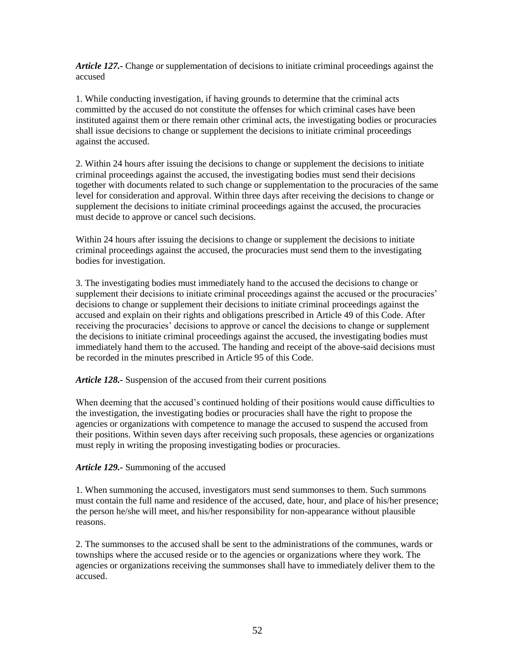*Article 127.-* Change or supplementation of decisions to initiate criminal proceedings against the accused

1. While conducting investigation, if having grounds to determine that the criminal acts committed by the accused do not constitute the offenses for which criminal cases have been instituted against them or there remain other criminal acts, the investigating bodies or procuracies shall issue decisions to change or supplement the decisions to initiate criminal proceedings against the accused.

2. Within 24 hours after issuing the decisions to change or supplement the decisions to initiate criminal proceedings against the accused, the investigating bodies must send their decisions together with documents related to such change or supplementation to the procuracies of the same level for consideration and approval. Within three days after receiving the decisions to change or supplement the decisions to initiate criminal proceedings against the accused, the procuracies must decide to approve or cancel such decisions.

Within 24 hours after issuing the decisions to change or supplement the decisions to initiate criminal proceedings against the accused, the procuracies must send them to the investigating bodies for investigation.

3. The investigating bodies must immediately hand to the accused the decisions to change or supplement their decisions to initiate criminal proceedings against the accused or the procuracies' decisions to change or supplement their decisions to initiate criminal proceedings against the accused and explain on their rights and obligations prescribed in Article 49 of this Code. After receiving the procuracies' decisions to approve or cancel the decisions to change or supplement the decisions to initiate criminal proceedings against the accused, the investigating bodies must immediately hand them to the accused. The handing and receipt of the above-said decisions must be recorded in the minutes prescribed in Article 95 of this Code.

*Article 128.-* Suspension of the accused from their current positions

When deeming that the accused's continued holding of their positions would cause difficulties to the investigation, the investigating bodies or procuracies shall have the right to propose the agencies or organizations with competence to manage the accused to suspend the accused from their positions. Within seven days after receiving such proposals, these agencies or organizations must reply in writing the proposing investigating bodies or procuracies.

# *Article 129.-* Summoning of the accused

1. When summoning the accused, investigators must send summonses to them. Such summons must contain the full name and residence of the accused, date, hour, and place of his/her presence; the person he/she will meet, and his/her responsibility for non-appearance without plausible reasons.

2. The summonses to the accused shall be sent to the administrations of the communes, wards or townships where the accused reside or to the agencies or organizations where they work. The agencies or organizations receiving the summonses shall have to immediately deliver them to the accused.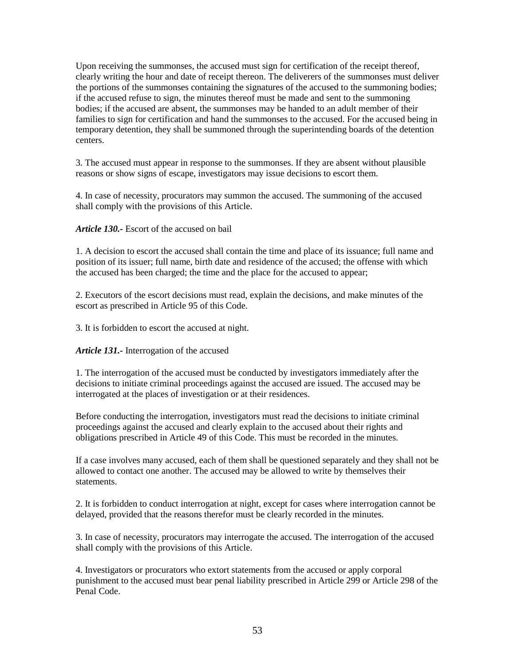Upon receiving the summonses, the accused must sign for certification of the receipt thereof, clearly writing the hour and date of receipt thereon. The deliverers of the summonses must deliver the portions of the summonses containing the signatures of the accused to the summoning bodies; if the accused refuse to sign, the minutes thereof must be made and sent to the summoning bodies; if the accused are absent, the summonses may be handed to an adult member of their families to sign for certification and hand the summonses to the accused. For the accused being in temporary detention, they shall be summoned through the superintending boards of the detention centers.

3. The accused must appear in response to the summonses. If they are absent without plausible reasons or show signs of escape, investigators may issue decisions to escort them.

4. In case of necessity, procurators may summon the accused. The summoning of the accused shall comply with the provisions of this Article.

*Article 130.-* Escort of the accused on bail

1. A decision to escort the accused shall contain the time and place of its issuance; full name and position of its issuer; full name, birth date and residence of the accused; the offense with which the accused has been charged; the time and the place for the accused to appear;

2. Executors of the escort decisions must read, explain the decisions, and make minutes of the escort as prescribed in Article 95 of this Code.

3. It is forbidden to escort the accused at night.

*Article 131.-* Interrogation of the accused

1. The interrogation of the accused must be conducted by investigators immediately after the decisions to initiate criminal proceedings against the accused are issued. The accused may be interrogated at the places of investigation or at their residences.

Before conducting the interrogation, investigators must read the decisions to initiate criminal proceedings against the accused and clearly explain to the accused about their rights and obligations prescribed in Article 49 of this Code. This must be recorded in the minutes.

If a case involves many accused, each of them shall be questioned separately and they shall not be allowed to contact one another. The accused may be allowed to write by themselves their statements.

2. It is forbidden to conduct interrogation at night, except for cases where interrogation cannot be delayed, provided that the reasons therefor must be clearly recorded in the minutes.

3. In case of necessity, procurators may interrogate the accused. The interrogation of the accused shall comply with the provisions of this Article.

4. Investigators or procurators who extort statements from the accused or apply corporal punishment to the accused must bear penal liability prescribed in Article 299 or Article 298 of the Penal Code.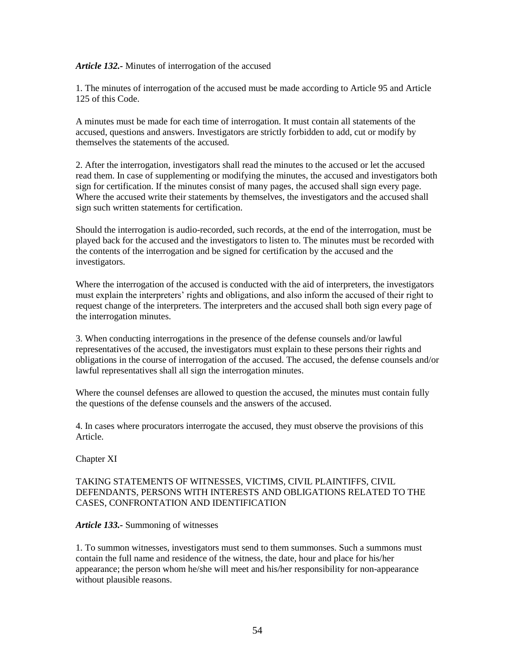#### *Article 132.-* Minutes of interrogation of the accused

1. The minutes of interrogation of the accused must be made according to Article 95 and Article 125 of this Code.

A minutes must be made for each time of interrogation. It must contain all statements of the accused, questions and answers. Investigators are strictly forbidden to add, cut or modify by themselves the statements of the accused.

2. After the interrogation, investigators shall read the minutes to the accused or let the accused read them. In case of supplementing or modifying the minutes, the accused and investigators both sign for certification. If the minutes consist of many pages, the accused shall sign every page. Where the accused write their statements by themselves, the investigators and the accused shall sign such written statements for certification.

Should the interrogation is audio-recorded, such records, at the end of the interrogation, must be played back for the accused and the investigators to listen to. The minutes must be recorded with the contents of the interrogation and be signed for certification by the accused and the investigators.

Where the interrogation of the accused is conducted with the aid of interpreters, the investigators must explain the interpreters' rights and obligations, and also inform the accused of their right to request change of the interpreters. The interpreters and the accused shall both sign every page of the interrogation minutes.

3. When conducting interrogations in the presence of the defense counsels and/or lawful representatives of the accused, the investigators must explain to these persons their rights and obligations in the course of interrogation of the accused. The accused, the defense counsels and/or lawful representatives shall all sign the interrogation minutes.

Where the counsel defenses are allowed to question the accused, the minutes must contain fully the questions of the defense counsels and the answers of the accused.

4. In cases where procurators interrogate the accused, they must observe the provisions of this Article.

Chapter XI

## TAKING STATEMENTS OF WITNESSES, VICTIMS, CIVIL PLAINTIFFS, CIVIL DEFENDANTS, PERSONS WITH INTERESTS AND OBLIGATIONS RELATED TO THE CASES, CONFRONTATION AND IDENTIFICATION

#### *Article 133.-* Summoning of witnesses

1. To summon witnesses, investigators must send to them summonses. Such a summons must contain the full name and residence of the witness, the date, hour and place for his/her appearance; the person whom he/she will meet and his/her responsibility for non-appearance without plausible reasons.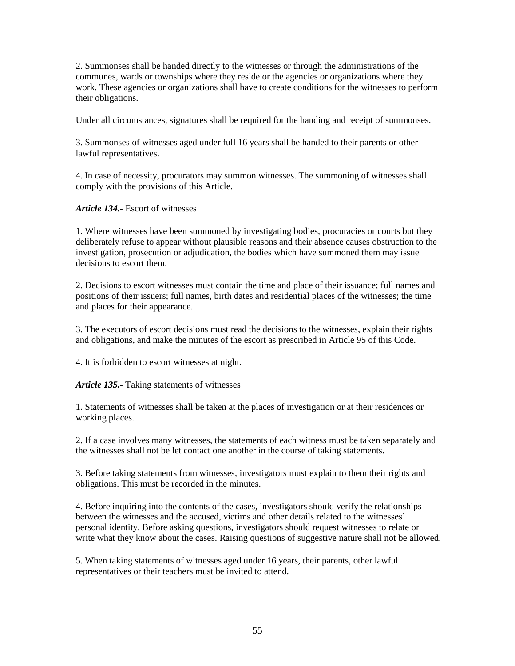2. Summonses shall be handed directly to the witnesses or through the administrations of the communes, wards or townships where they reside or the agencies or organizations where they work. These agencies or organizations shall have to create conditions for the witnesses to perform their obligations.

Under all circumstances, signatures shall be required for the handing and receipt of summonses.

3. Summonses of witnesses aged under full 16 years shall be handed to their parents or other lawful representatives.

4. In case of necessity, procurators may summon witnesses. The summoning of witnesses shall comply with the provisions of this Article.

*Article 134.-* Escort of witnesses

1. Where witnesses have been summoned by investigating bodies, procuracies or courts but they deliberately refuse to appear without plausible reasons and their absence causes obstruction to the investigation, prosecution or adjudication, the bodies which have summoned them may issue decisions to escort them.

2. Decisions to escort witnesses must contain the time and place of their issuance; full names and positions of their issuers; full names, birth dates and residential places of the witnesses; the time and places for their appearance.

3. The executors of escort decisions must read the decisions to the witnesses, explain their rights and obligations, and make the minutes of the escort as prescribed in Article 95 of this Code.

4. It is forbidden to escort witnesses at night.

*Article 135.-* Taking statements of witnesses

1. Statements of witnesses shall be taken at the places of investigation or at their residences or working places.

2. If a case involves many witnesses, the statements of each witness must be taken separately and the witnesses shall not be let contact one another in the course of taking statements.

3. Before taking statements from witnesses, investigators must explain to them their rights and obligations. This must be recorded in the minutes.

4. Before inquiring into the contents of the cases, investigators should verify the relationships between the witnesses and the accused, victims and other details related to the witnesses' personal identity. Before asking questions, investigators should request witnesses to relate or write what they know about the cases. Raising questions of suggestive nature shall not be allowed.

5. When taking statements of witnesses aged under 16 years, their parents, other lawful representatives or their teachers must be invited to attend.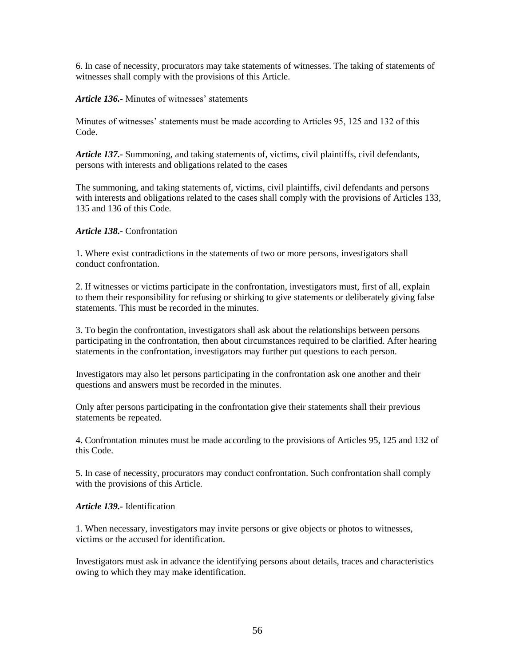6. In case of necessity, procurators may take statements of witnesses. The taking of statements of witnesses shall comply with the provisions of this Article.

*Article 136.-* Minutes of witnesses' statements

Minutes of witnesses' statements must be made according to Articles 95, 125 and 132 of this Code.

*Article 137.-* Summoning, and taking statements of, victims, civil plaintiffs, civil defendants, persons with interests and obligations related to the cases

The summoning, and taking statements of, victims, civil plaintiffs, civil defendants and persons with interests and obligations related to the cases shall comply with the provisions of Articles 133, 135 and 136 of this Code.

*Article 138.-* Confrontation

1. Where exist contradictions in the statements of two or more persons, investigators shall conduct confrontation.

2. If witnesses or victims participate in the confrontation, investigators must, first of all, explain to them their responsibility for refusing or shirking to give statements or deliberately giving false statements. This must be recorded in the minutes.

3. To begin the confrontation, investigators shall ask about the relationships between persons participating in the confrontation, then about circumstances required to be clarified. After hearing statements in the confrontation, investigators may further put questions to each person.

Investigators may also let persons participating in the confrontation ask one another and their questions and answers must be recorded in the minutes.

Only after persons participating in the confrontation give their statements shall their previous statements be repeated.

4. Confrontation minutes must be made according to the provisions of Articles 95, 125 and 132 of this Code.

5. In case of necessity, procurators may conduct confrontation. Such confrontation shall comply with the provisions of this Article.

### *Article 139.-* Identification

1. When necessary, investigators may invite persons or give objects or photos to witnesses, victims or the accused for identification.

Investigators must ask in advance the identifying persons about details, traces and characteristics owing to which they may make identification.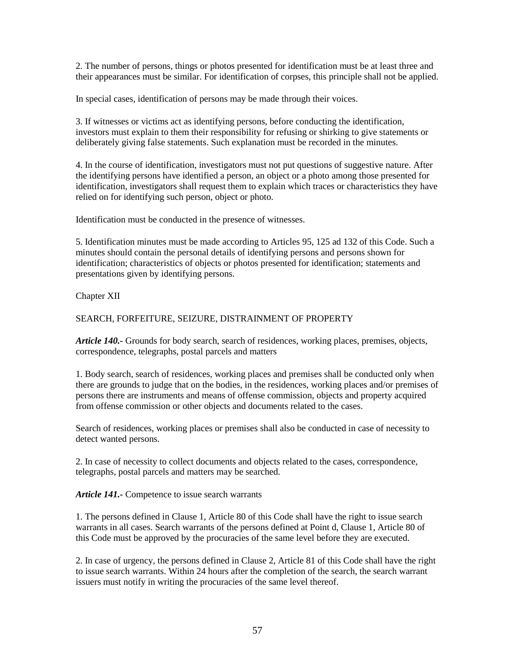2. The number of persons, things or photos presented for identification must be at least three and their appearances must be similar. For identification of corpses, this principle shall not be applied.

In special cases, identification of persons may be made through their voices.

3. If witnesses or victims act as identifying persons, before conducting the identification, investors must explain to them their responsibility for refusing or shirking to give statements or deliberately giving false statements. Such explanation must be recorded in the minutes.

4. In the course of identification, investigators must not put questions of suggestive nature. After the identifying persons have identified a person, an object or a photo among those presented for identification, investigators shall request them to explain which traces or characteristics they have relied on for identifying such person, object or photo.

Identification must be conducted in the presence of witnesses.

5. Identification minutes must be made according to Articles 95, 125 ad 132 of this Code. Such a minutes should contain the personal details of identifying persons and persons shown for identification; characteristics of objects or photos presented for identification; statements and presentations given by identifying persons.

Chapter XII

# SEARCH, FORFEITURE, SEIZURE, DISTRAINMENT OF PROPERTY

*Article 140.-* Grounds for body search, search of residences, working places, premises, objects, correspondence, telegraphs, postal parcels and matters

1. Body search, search of residences, working places and premises shall be conducted only when there are grounds to judge that on the bodies, in the residences, working places and/or premises of persons there are instruments and means of offense commission, objects and property acquired from offense commission or other objects and documents related to the cases.

Search of residences, working places or premises shall also be conducted in case of necessity to detect wanted persons.

2. In case of necessity to collect documents and objects related to the cases, correspondence, telegraphs, postal parcels and matters may be searched.

*Article 141.-* Competence to issue search warrants

1. The persons defined in Clause 1, Article 80 of this Code shall have the right to issue search warrants in all cases. Search warrants of the persons defined at Point d, Clause 1, Article 80 of this Code must be approved by the procuracies of the same level before they are executed.

2. In case of urgency, the persons defined in Clause 2, Article 81 of this Code shall have the right to issue search warrants. Within 24 hours after the completion of the search, the search warrant issuers must notify in writing the procuracies of the same level thereof.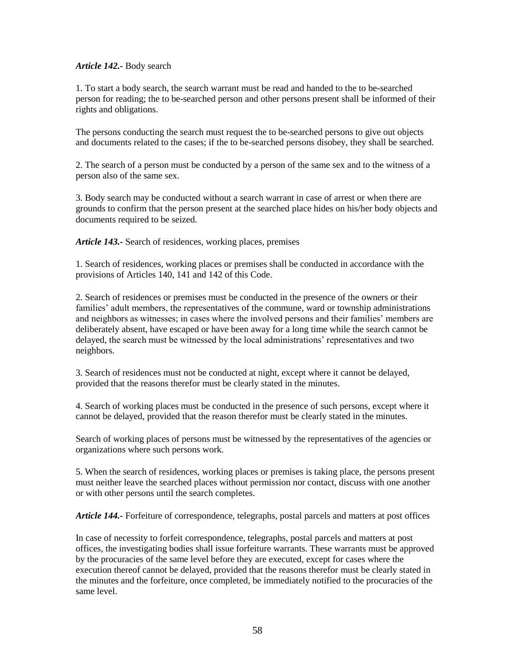### *Article 142.-* Body search

1. To start a body search, the search warrant must be read and handed to the to be-searched person for reading; the to be-searched person and other persons present shall be informed of their rights and obligations.

The persons conducting the search must request the to be-searched persons to give out objects and documents related to the cases; if the to be-searched persons disobey, they shall be searched.

2. The search of a person must be conducted by a person of the same sex and to the witness of a person also of the same sex.

3. Body search may be conducted without a search warrant in case of arrest or when there are grounds to confirm that the person present at the searched place hides on his/her body objects and documents required to be seized.

*Article 143.-* Search of residences, working places, premises

1. Search of residences, working places or premises shall be conducted in accordance with the provisions of Articles 140, 141 and 142 of this Code.

2. Search of residences or premises must be conducted in the presence of the owners or their families' adult members, the representatives of the commune, ward or township administrations and neighbors as witnesses; in cases where the involved persons and their families' members are deliberately absent, have escaped or have been away for a long time while the search cannot be delayed, the search must be witnessed by the local administrations' representatives and two neighbors.

3. Search of residences must not be conducted at night, except where it cannot be delayed, provided that the reasons therefor must be clearly stated in the minutes.

4. Search of working places must be conducted in the presence of such persons, except where it cannot be delayed, provided that the reason therefor must be clearly stated in the minutes.

Search of working places of persons must be witnessed by the representatives of the agencies or organizations where such persons work.

5. When the search of residences, working places or premises is taking place, the persons present must neither leave the searched places without permission nor contact, discuss with one another or with other persons until the search completes.

*Article 144.-* Forfeiture of correspondence, telegraphs, postal parcels and matters at post offices

In case of necessity to forfeit correspondence, telegraphs, postal parcels and matters at post offices, the investigating bodies shall issue forfeiture warrants. These warrants must be approved by the procuracies of the same level before they are executed, except for cases where the execution thereof cannot be delayed, provided that the reasons therefor must be clearly stated in the minutes and the forfeiture, once completed, be immediately notified to the procuracies of the same level.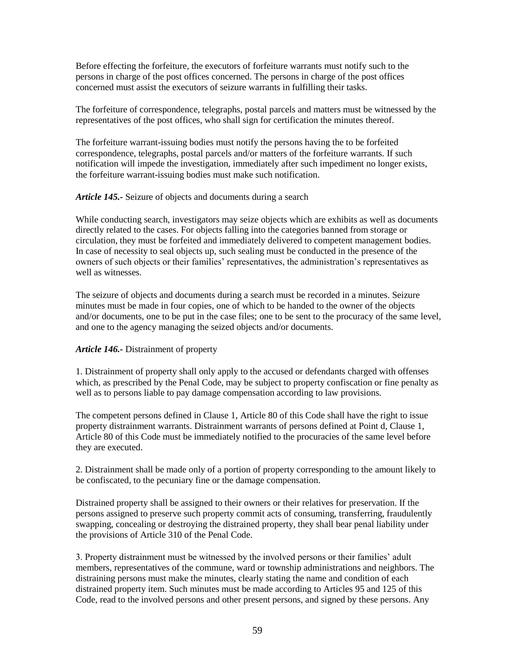Before effecting the forfeiture, the executors of forfeiture warrants must notify such to the persons in charge of the post offices concerned. The persons in charge of the post offices concerned must assist the executors of seizure warrants in fulfilling their tasks.

The forfeiture of correspondence, telegraphs, postal parcels and matters must be witnessed by the representatives of the post offices, who shall sign for certification the minutes thereof.

The forfeiture warrant-issuing bodies must notify the persons having the to be forfeited correspondence, telegraphs, postal parcels and/or matters of the forfeiture warrants. If such notification will impede the investigation, immediately after such impediment no longer exists, the forfeiture warrant-issuing bodies must make such notification.

### *Article 145.-* Seizure of objects and documents during a search

While conducting search, investigators may seize objects which are exhibits as well as documents directly related to the cases. For objects falling into the categories banned from storage or circulation, they must be forfeited and immediately delivered to competent management bodies. In case of necessity to seal objects up, such sealing must be conducted in the presence of the owners of such objects or their families' representatives, the administration's representatives as well as witnesses.

The seizure of objects and documents during a search must be recorded in a minutes. Seizure minutes must be made in four copies, one of which to be handed to the owner of the objects and/or documents, one to be put in the case files; one to be sent to the procuracy of the same level, and one to the agency managing the seized objects and/or documents.

### *Article 146.-* Distrainment of property

1. Distrainment of property shall only apply to the accused or defendants charged with offenses which, as prescribed by the Penal Code, may be subject to property confiscation or fine penalty as well as to persons liable to pay damage compensation according to law provisions.

The competent persons defined in Clause 1, Article 80 of this Code shall have the right to issue property distrainment warrants. Distrainment warrants of persons defined at Point d, Clause 1, Article 80 of this Code must be immediately notified to the procuracies of the same level before they are executed.

2. Distrainment shall be made only of a portion of property corresponding to the amount likely to be confiscated, to the pecuniary fine or the damage compensation.

Distrained property shall be assigned to their owners or their relatives for preservation. If the persons assigned to preserve such property commit acts of consuming, transferring, fraudulently swapping, concealing or destroying the distrained property, they shall bear penal liability under the provisions of Article 310 of the Penal Code.

3. Property distrainment must be witnessed by the involved persons or their families' adult members, representatives of the commune, ward or township administrations and neighbors. The distraining persons must make the minutes, clearly stating the name and condition of each distrained property item. Such minutes must be made according to Articles 95 and 125 of this Code, read to the involved persons and other present persons, and signed by these persons. Any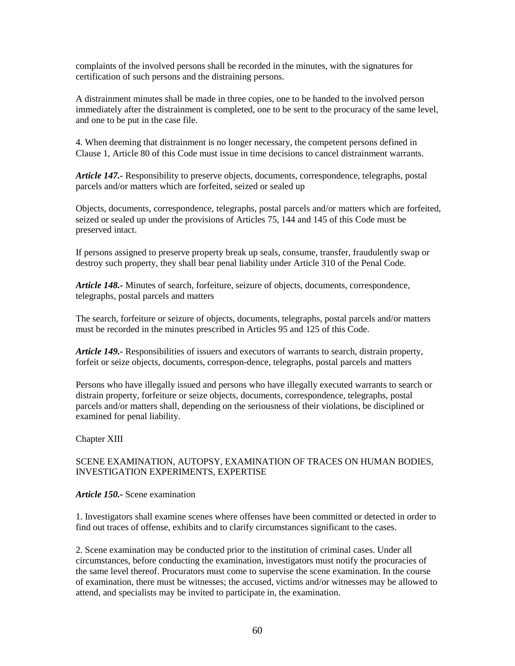complaints of the involved persons shall be recorded in the minutes, with the signatures for certification of such persons and the distraining persons.

A distrainment minutes shall be made in three copies, one to be handed to the involved person immediately after the distrainment is completed, one to be sent to the procuracy of the same level, and one to be put in the case file.

4. When deeming that distrainment is no longer necessary, the competent persons defined in Clause 1, Article 80 of this Code must issue in time decisions to cancel distrainment warrants.

*Article 147.-* Responsibility to preserve objects, documents, correspondence, telegraphs, postal parcels and/or matters which are forfeited, seized or sealed up

Objects, documents, correspondence, telegraphs, postal parcels and/or matters which are forfeited, seized or sealed up under the provisions of Articles 75, 144 and 145 of this Code must be preserved intact.

If persons assigned to preserve property break up seals, consume, transfer, fraudulently swap or destroy such property, they shall bear penal liability under Article 310 of the Penal Code.

*Article 148.-* Minutes of search, forfeiture, seizure of objects, documents, correspondence, telegraphs, postal parcels and matters

The search, forfeiture or seizure of objects, documents, telegraphs, postal parcels and/or matters must be recorded in the minutes prescribed in Articles 95 and 125 of this Code.

*Article 149.-* Responsibilities of issuers and executors of warrants to search, distrain property, forfeit or seize objects, documents, correspon-dence, telegraphs, postal parcels and matters

Persons who have illegally issued and persons who have illegally executed warrants to search or distrain property, forfeiture or seize objects, documents, correspondence, telegraphs, postal parcels and/or matters shall, depending on the seriousness of their violations, be disciplined or examined for penal liability.

Chapter XIII

### SCENE EXAMINATION, AUTOPSY, EXAMINATION OF TRACES ON HUMAN BODIES, INVESTIGATION EXPERIMENTS, EXPERTISE

### *Article 150.-* Scene examination

1. Investigators shall examine scenes where offenses have been committed or detected in order to find out traces of offense, exhibits and to clarify circumstances significant to the cases.

2. Scene examination may be conducted prior to the institution of criminal cases. Under all circumstances, before conducting the examination, investigators must notify the procuracies of the same level thereof. Procurators must come to supervise the scene examination. In the course of examination, there must be witnesses; the accused, victims and/or witnesses may be allowed to attend, and specialists may be invited to participate in, the examination.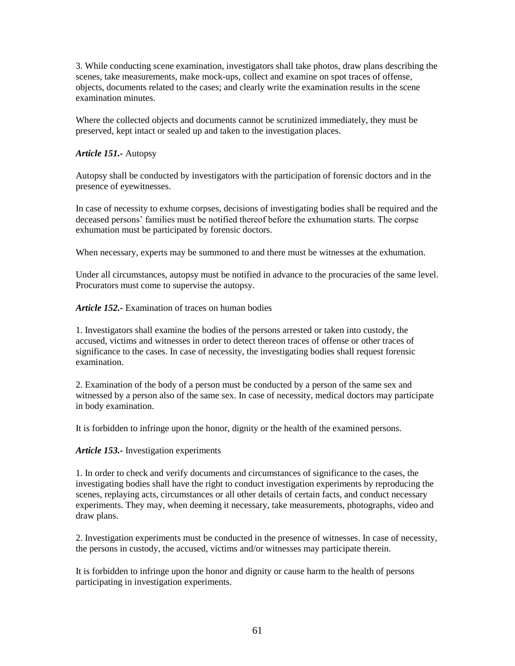3. While conducting scene examination, investigators shall take photos, draw plans describing the scenes, take measurements, make mock-ups, collect and examine on spot traces of offense, objects, documents related to the cases; and clearly write the examination results in the scene examination minutes.

Where the collected objects and documents cannot be scrutinized immediately, they must be preserved, kept intact or sealed up and taken to the investigation places.

## *Article 151.-* Autopsy

Autopsy shall be conducted by investigators with the participation of forensic doctors and in the presence of eyewitnesses.

In case of necessity to exhume corpses, decisions of investigating bodies shall be required and the deceased persons' families must be notified thereof before the exhumation starts. The corpse exhumation must be participated by forensic doctors.

When necessary, experts may be summoned to and there must be witnesses at the exhumation.

Under all circumstances, autopsy must be notified in advance to the procuracies of the same level. Procurators must come to supervise the autopsy.

*Article 152.-* Examination of traces on human bodies

1. Investigators shall examine the bodies of the persons arrested or taken into custody, the accused, victims and witnesses in order to detect thereon traces of offense or other traces of significance to the cases. In case of necessity, the investigating bodies shall request forensic examination.

2. Examination of the body of a person must be conducted by a person of the same sex and witnessed by a person also of the same sex. In case of necessity, medical doctors may participate in body examination.

It is forbidden to infringe upon the honor, dignity or the health of the examined persons.

### *Article 153.-* Investigation experiments

1. In order to check and verify documents and circumstances of significance to the cases, the investigating bodies shall have the right to conduct investigation experiments by reproducing the scenes, replaying acts, circumstances or all other details of certain facts, and conduct necessary experiments. They may, when deeming it necessary, take measurements, photographs, video and draw plans.

2. Investigation experiments must be conducted in the presence of witnesses. In case of necessity, the persons in custody, the accused, victims and/or witnesses may participate therein.

It is forbidden to infringe upon the honor and dignity or cause harm to the health of persons participating in investigation experiments.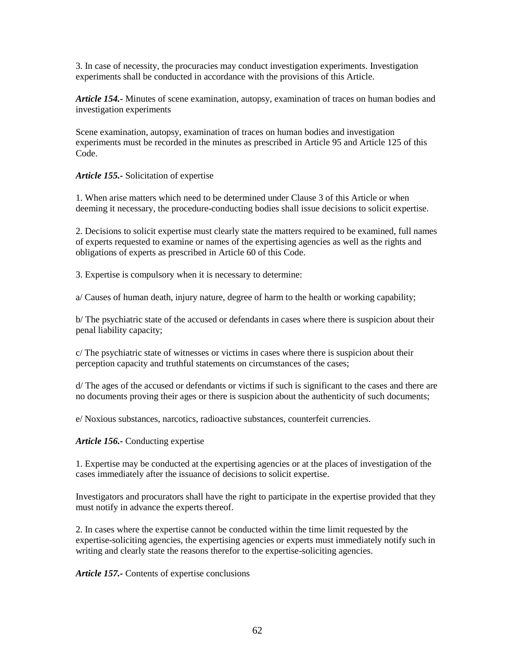3. In case of necessity, the procuracies may conduct investigation experiments. Investigation experiments shall be conducted in accordance with the provisions of this Article.

*Article 154.-* Minutes of scene examination, autopsy, examination of traces on human bodies and investigation experiments

Scene examination, autopsy, examination of traces on human bodies and investigation experiments must be recorded in the minutes as prescribed in Article 95 and Article 125 of this Code.

*Article 155.-* Solicitation of expertise

1. When arise matters which need to be determined under Clause 3 of this Article or when deeming it necessary, the procedure-conducting bodies shall issue decisions to solicit expertise.

2. Decisions to solicit expertise must clearly state the matters required to be examined, full names of experts requested to examine or names of the expertising agencies as well as the rights and obligations of experts as prescribed in Article 60 of this Code.

3. Expertise is compulsory when it is necessary to determine:

a/ Causes of human death, injury nature, degree of harm to the health or working capability;

b/ The psychiatric state of the accused or defendants in cases where there is suspicion about their penal liability capacity;

c/ The psychiatric state of witnesses or victims in cases where there is suspicion about their perception capacity and truthful statements on circumstances of the cases;

d/ The ages of the accused or defendants or victims if such is significant to the cases and there are no documents proving their ages or there is suspicion about the authenticity of such documents;

e/ Noxious substances, narcotics, radioactive substances, counterfeit currencies.

*Article 156.-* Conducting expertise

1. Expertise may be conducted at the expertising agencies or at the places of investigation of the cases immediately after the issuance of decisions to solicit expertise.

Investigators and procurators shall have the right to participate in the expertise provided that they must notify in advance the experts thereof.

2. In cases where the expertise cannot be conducted within the time limit requested by the expertise-soliciting agencies, the expertising agencies or experts must immediately notify such in writing and clearly state the reasons therefor to the expertise-soliciting agencies.

*Article 157.-* Contents of expertise conclusions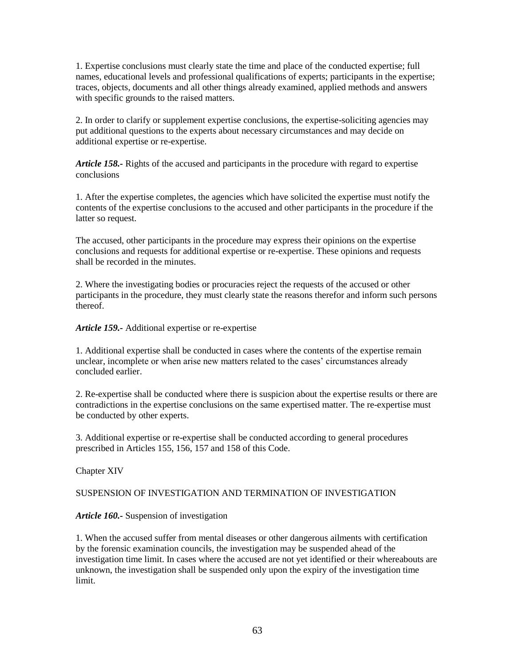1. Expertise conclusions must clearly state the time and place of the conducted expertise; full names, educational levels and professional qualifications of experts; participants in the expertise; traces, objects, documents and all other things already examined, applied methods and answers with specific grounds to the raised matters.

2. In order to clarify or supplement expertise conclusions, the expertise-soliciting agencies may put additional questions to the experts about necessary circumstances and may decide on additional expertise or re-expertise.

*Article 158.-* Rights of the accused and participants in the procedure with regard to expertise conclusions

1. After the expertise completes, the agencies which have solicited the expertise must notify the contents of the expertise conclusions to the accused and other participants in the procedure if the latter so request.

The accused, other participants in the procedure may express their opinions on the expertise conclusions and requests for additional expertise or re-expertise. These opinions and requests shall be recorded in the minutes.

2. Where the investigating bodies or procuracies reject the requests of the accused or other participants in the procedure, they must clearly state the reasons therefor and inform such persons thereof.

*Article 159.-* Additional expertise or re-expertise

1. Additional expertise shall be conducted in cases where the contents of the expertise remain unclear, incomplete or when arise new matters related to the cases' circumstances already concluded earlier.

2. Re-expertise shall be conducted where there is suspicion about the expertise results or there are contradictions in the expertise conclusions on the same expertised matter. The re-expertise must be conducted by other experts.

3. Additional expertise or re-expertise shall be conducted according to general procedures prescribed in Articles 155, 156, 157 and 158 of this Code.

Chapter XIV

### SUSPENSION OF INVESTIGATION AND TERMINATION OF INVESTIGATION

### *Article 160.-* Suspension of investigation

1. When the accused suffer from mental diseases or other dangerous ailments with certification by the forensic examination councils, the investigation may be suspended ahead of the investigation time limit. In cases where the accused are not yet identified or their whereabouts are unknown, the investigation shall be suspended only upon the expiry of the investigation time limit.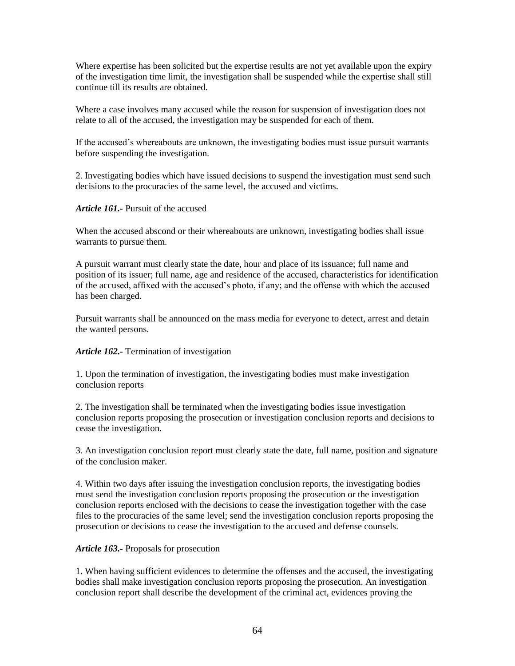Where expertise has been solicited but the expertise results are not yet available upon the expiry of the investigation time limit, the investigation shall be suspended while the expertise shall still continue till its results are obtained.

Where a case involves many accused while the reason for suspension of investigation does not relate to all of the accused, the investigation may be suspended for each of them.

If the accused's whereabouts are unknown, the investigating bodies must issue pursuit warrants before suspending the investigation.

2. Investigating bodies which have issued decisions to suspend the investigation must send such decisions to the procuracies of the same level, the accused and victims.

*Article 161.-* Pursuit of the accused

When the accused abscond or their whereabouts are unknown, investigating bodies shall issue warrants to pursue them.

A pursuit warrant must clearly state the date, hour and place of its issuance; full name and position of its issuer; full name, age and residence of the accused, characteristics for identification of the accused, affixed with the accused's photo, if any; and the offense with which the accused has been charged.

Pursuit warrants shall be announced on the mass media for everyone to detect, arrest and detain the wanted persons.

### *Article 162.-* Termination of investigation

1. Upon the termination of investigation, the investigating bodies must make investigation conclusion reports

2. The investigation shall be terminated when the investigating bodies issue investigation conclusion reports proposing the prosecution or investigation conclusion reports and decisions to cease the investigation.

3. An investigation conclusion report must clearly state the date, full name, position and signature of the conclusion maker.

4. Within two days after issuing the investigation conclusion reports, the investigating bodies must send the investigation conclusion reports proposing the prosecution or the investigation conclusion reports enclosed with the decisions to cease the investigation together with the case files to the procuracies of the same level; send the investigation conclusion reports proposing the prosecution or decisions to cease the investigation to the accused and defense counsels.

### *Article 163.-* Proposals for prosecution

1. When having sufficient evidences to determine the offenses and the accused, the investigating bodies shall make investigation conclusion reports proposing the prosecution. An investigation conclusion report shall describe the development of the criminal act, evidences proving the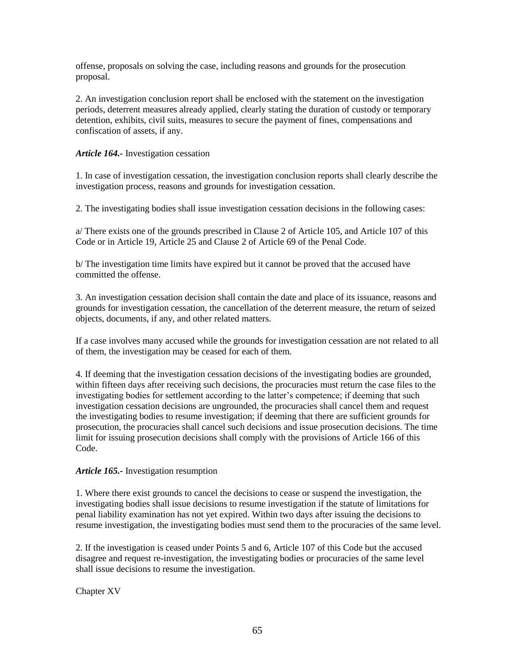offense, proposals on solving the case, including reasons and grounds for the prosecution proposal.

2. An investigation conclusion report shall be enclosed with the statement on the investigation periods, deterrent measures already applied, clearly stating the duration of custody or temporary detention, exhibits, civil suits, measures to secure the payment of fines, compensations and confiscation of assets, if any.

## *Article 164.-* Investigation cessation

1. In case of investigation cessation, the investigation conclusion reports shall clearly describe the investigation process, reasons and grounds for investigation cessation.

2. The investigating bodies shall issue investigation cessation decisions in the following cases:

a/ There exists one of the grounds prescribed in Clause 2 of Article 105, and Article 107 of this Code or in Article 19, Article 25 and Clause 2 of Article 69 of the Penal Code.

b/ The investigation time limits have expired but it cannot be proved that the accused have committed the offense.

3. An investigation cessation decision shall contain the date and place of its issuance, reasons and grounds for investigation cessation, the cancellation of the deterrent measure, the return of seized objects, documents, if any, and other related matters.

If a case involves many accused while the grounds for investigation cessation are not related to all of them, the investigation may be ceased for each of them.

4. If deeming that the investigation cessation decisions of the investigating bodies are grounded, within fifteen days after receiving such decisions, the procuracies must return the case files to the investigating bodies for settlement according to the latter's competence; if deeming that such investigation cessation decisions are ungrounded, the procuracies shall cancel them and request the investigating bodies to resume investigation; if deeming that there are sufficient grounds for prosecution, the procuracies shall cancel such decisions and issue prosecution decisions. The time limit for issuing prosecution decisions shall comply with the provisions of Article 166 of this Code.

### *Article 165.-* Investigation resumption

1. Where there exist grounds to cancel the decisions to cease or suspend the investigation, the investigating bodies shall issue decisions to resume investigation if the statute of limitations for penal liability examination has not yet expired. Within two days after issuing the decisions to resume investigation, the investigating bodies must send them to the procuracies of the same level.

2. If the investigation is ceased under Points 5 and 6, Article 107 of this Code but the accused disagree and request re-investigation, the investigating bodies or procuracies of the same level shall issue decisions to resume the investigation.

Chapter XV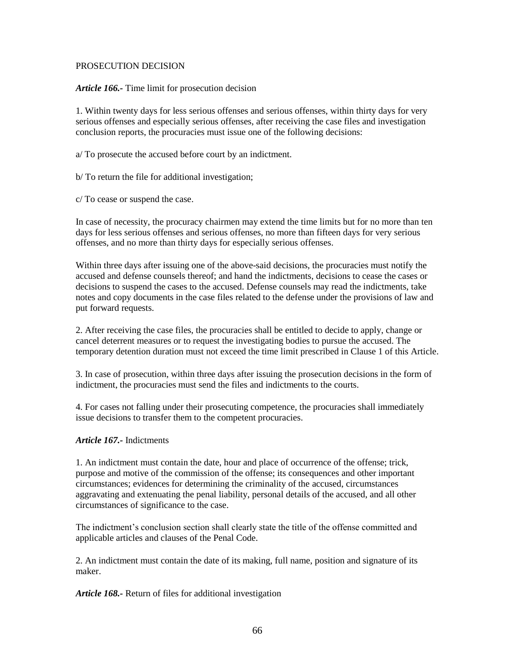#### PROSECUTION DECISION

*Article 166.-* Time limit for prosecution decision

1. Within twenty days for less serious offenses and serious offenses, within thirty days for very serious offenses and especially serious offenses, after receiving the case files and investigation conclusion reports, the procuracies must issue one of the following decisions:

a/ To prosecute the accused before court by an indictment.

b/ To return the file for additional investigation;

c/ To cease or suspend the case.

In case of necessity, the procuracy chairmen may extend the time limits but for no more than ten days for less serious offenses and serious offenses, no more than fifteen days for very serious offenses, and no more than thirty days for especially serious offenses.

Within three days after issuing one of the above-said decisions, the procuracies must notify the accused and defense counsels thereof; and hand the indictments, decisions to cease the cases or decisions to suspend the cases to the accused. Defense counsels may read the indictments, take notes and copy documents in the case files related to the defense under the provisions of law and put forward requests.

2. After receiving the case files, the procuracies shall be entitled to decide to apply, change or cancel deterrent measures or to request the investigating bodies to pursue the accused. The temporary detention duration must not exceed the time limit prescribed in Clause 1 of this Article.

3. In case of prosecution, within three days after issuing the prosecution decisions in the form of indictment, the procuracies must send the files and indictments to the courts.

4. For cases not falling under their prosecuting competence, the procuracies shall immediately issue decisions to transfer them to the competent procuracies.

### *Article 167.-* Indictments

1. An indictment must contain the date, hour and place of occurrence of the offense; trick, purpose and motive of the commission of the offense; its consequences and other important circumstances; evidences for determining the criminality of the accused, circumstances aggravating and extenuating the penal liability, personal details of the accused, and all other circumstances of significance to the case.

The indictment's conclusion section shall clearly state the title of the offense committed and applicable articles and clauses of the Penal Code.

2. An indictment must contain the date of its making, full name, position and signature of its maker.

*Article 168.-* Return of files for additional investigation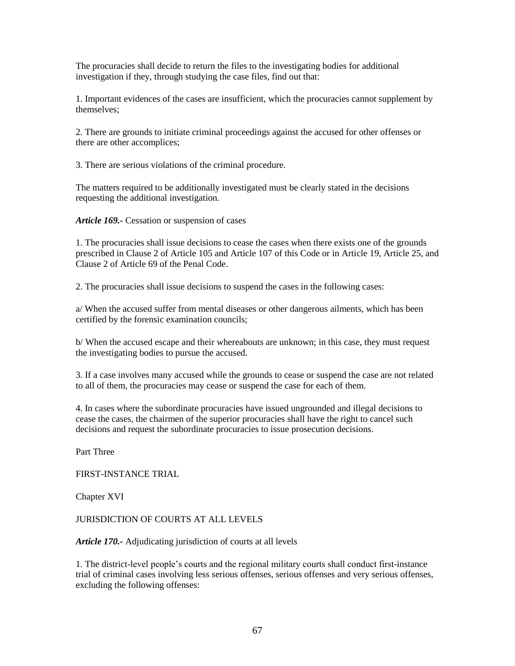The procuracies shall decide to return the files to the investigating bodies for additional investigation if they, through studying the case files, find out that:

1. Important evidences of the cases are insufficient, which the procuracies cannot supplement by themselves;

2. There are grounds to initiate criminal proceedings against the accused for other offenses or there are other accomplices;

3. There are serious violations of the criminal procedure.

The matters required to be additionally investigated must be clearly stated in the decisions requesting the additional investigation.

*Article 169.-* Cessation or suspension of cases

1. The procuracies shall issue decisions to cease the cases when there exists one of the grounds prescribed in Clause 2 of Article 105 and Article 107 of this Code or in Article 19, Article 25, and Clause 2 of Article 69 of the Penal Code.

2. The procuracies shall issue decisions to suspend the cases in the following cases:

a/ When the accused suffer from mental diseases or other dangerous ailments, which has been certified by the forensic examination councils;

b/ When the accused escape and their whereabouts are unknown; in this case, they must request the investigating bodies to pursue the accused.

3. If a case involves many accused while the grounds to cease or suspend the case are not related to all of them, the procuracies may cease or suspend the case for each of them.

4. In cases where the subordinate procuracies have issued ungrounded and illegal decisions to cease the cases, the chairmen of the superior procuracies shall have the right to cancel such decisions and request the subordinate procuracies to issue prosecution decisions.

Part Three

FIRST-INSTANCE TRIAL

Chapter XVI

JURISDICTION OF COURTS AT ALL LEVELS

*Article 170.-* Adjudicating jurisdiction of courts at all levels

1. The district-level people's courts and the regional military courts shall conduct first-instance trial of criminal cases involving less serious offenses, serious offenses and very serious offenses, excluding the following offenses: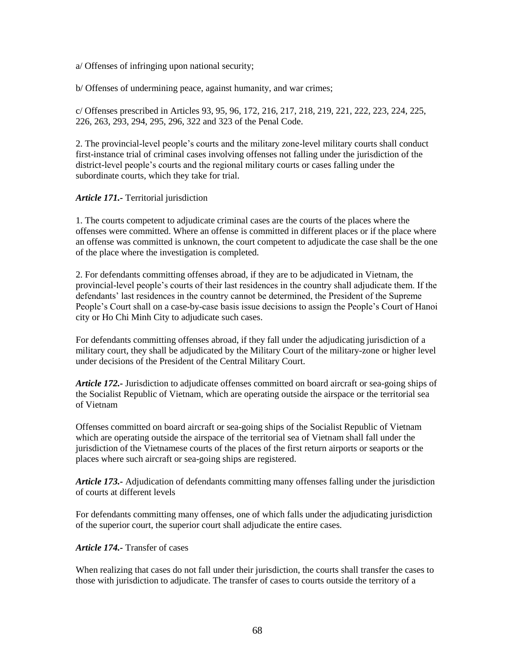a/ Offenses of infringing upon national security;

b/ Offenses of undermining peace, against humanity, and war crimes;

c/ Offenses prescribed in Articles 93, 95, 96, 172, 216, 217, 218, 219, 221, 222, 223, 224, 225, 226, 263, 293, 294, 295, 296, 322 and 323 of the Penal Code.

2. The provincial-level people's courts and the military zone-level military courts shall conduct first-instance trial of criminal cases involving offenses not falling under the jurisdiction of the district-level people's courts and the regional military courts or cases falling under the subordinate courts, which they take for trial.

### *Article 171.-* Territorial jurisdiction

1. The courts competent to adjudicate criminal cases are the courts of the places where the offenses were committed. Where an offense is committed in different places or if the place where an offense was committed is unknown, the court competent to adjudicate the case shall be the one of the place where the investigation is completed.

2. For defendants committing offenses abroad, if they are to be adjudicated in Vietnam, the provincial-level people's courts of their last residences in the country shall adjudicate them. If the defendants' last residences in the country cannot be determined, the President of the Supreme People's Court shall on a case-by-case basis issue decisions to assign the People's Court of Hanoi city or Ho Chi Minh City to adjudicate such cases.

For defendants committing offenses abroad, if they fall under the adjudicating jurisdiction of a military court, they shall be adjudicated by the Military Court of the military-zone or higher level under decisions of the President of the Central Military Court.

*Article 172.-* Jurisdiction to adjudicate offenses committed on board aircraft or sea-going ships of the Socialist Republic of Vietnam, which are operating outside the airspace or the territorial sea of Vietnam

Offenses committed on board aircraft or sea-going ships of the Socialist Republic of Vietnam which are operating outside the airspace of the territorial sea of Vietnam shall fall under the jurisdiction of the Vietnamese courts of the places of the first return airports or seaports or the places where such aircraft or sea-going ships are registered.

*Article 173.-* Adjudication of defendants committing many offenses falling under the jurisdiction of courts at different levels

For defendants committing many offenses, one of which falls under the adjudicating jurisdiction of the superior court, the superior court shall adjudicate the entire cases.

#### *Article 174.-* Transfer of cases

When realizing that cases do not fall under their jurisdiction, the courts shall transfer the cases to those with jurisdiction to adjudicate. The transfer of cases to courts outside the territory of a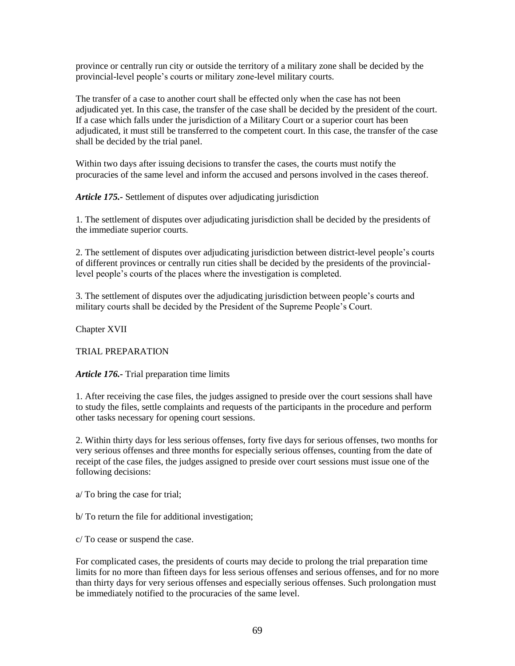province or centrally run city or outside the territory of a military zone shall be decided by the provincial-level people's courts or military zone-level military courts.

The transfer of a case to another court shall be effected only when the case has not been adjudicated yet. In this case, the transfer of the case shall be decided by the president of the court. If a case which falls under the jurisdiction of a Military Court or a superior court has been adjudicated, it must still be transferred to the competent court. In this case, the transfer of the case shall be decided by the trial panel.

Within two days after issuing decisions to transfer the cases, the courts must notify the procuracies of the same level and inform the accused and persons involved in the cases thereof.

*Article 175.-* Settlement of disputes over adjudicating jurisdiction

1. The settlement of disputes over adjudicating jurisdiction shall be decided by the presidents of the immediate superior courts.

2. The settlement of disputes over adjudicating jurisdiction between district-level people's courts of different provinces or centrally run cities shall be decided by the presidents of the provinciallevel people's courts of the places where the investigation is completed.

3. The settlement of disputes over the adjudicating jurisdiction between people's courts and military courts shall be decided by the President of the Supreme People's Court.

Chapter XVII

TRIAL PREPARATION

*Article 176.-* Trial preparation time limits

1. After receiving the case files, the judges assigned to preside over the court sessions shall have to study the files, settle complaints and requests of the participants in the procedure and perform other tasks necessary for opening court sessions.

2. Within thirty days for less serious offenses, forty five days for serious offenses, two months for very serious offenses and three months for especially serious offenses, counting from the date of receipt of the case files, the judges assigned to preside over court sessions must issue one of the following decisions:

a/ To bring the case for trial;

b/ To return the file for additional investigation;

c/ To cease or suspend the case.

For complicated cases, the presidents of courts may decide to prolong the trial preparation time limits for no more than fifteen days for less serious offenses and serious offenses, and for no more than thirty days for very serious offenses and especially serious offenses. Such prolongation must be immediately notified to the procuracies of the same level.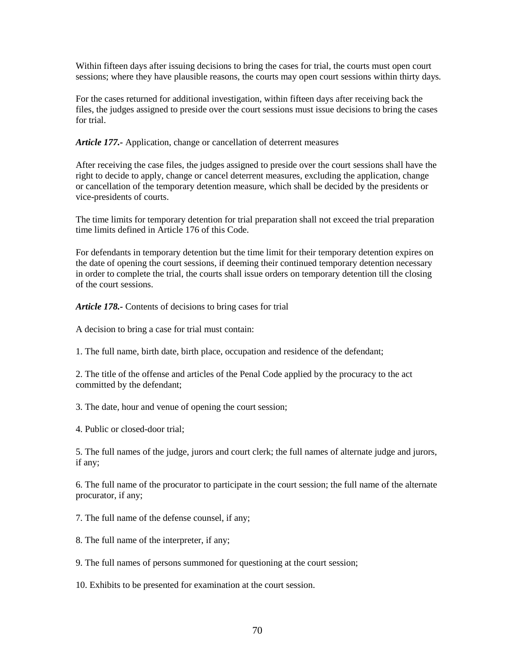Within fifteen days after issuing decisions to bring the cases for trial, the courts must open court sessions; where they have plausible reasons, the courts may open court sessions within thirty days.

For the cases returned for additional investigation, within fifteen days after receiving back the files, the judges assigned to preside over the court sessions must issue decisions to bring the cases for trial.

*Article 177.-* Application, change or cancellation of deterrent measures

After receiving the case files, the judges assigned to preside over the court sessions shall have the right to decide to apply, change or cancel deterrent measures, excluding the application, change or cancellation of the temporary detention measure, which shall be decided by the presidents or vice-presidents of courts.

The time limits for temporary detention for trial preparation shall not exceed the trial preparation time limits defined in Article 176 of this Code.

For defendants in temporary detention but the time limit for their temporary detention expires on the date of opening the court sessions, if deeming their continued temporary detention necessary in order to complete the trial, the courts shall issue orders on temporary detention till the closing of the court sessions.

*Article 178.-* Contents of decisions to bring cases for trial

A decision to bring a case for trial must contain:

1. The full name, birth date, birth place, occupation and residence of the defendant;

2. The title of the offense and articles of the Penal Code applied by the procuracy to the act committed by the defendant;

3. The date, hour and venue of opening the court session;

4. Public or closed-door trial;

5. The full names of the judge, jurors and court clerk; the full names of alternate judge and jurors, if any;

6. The full name of the procurator to participate in the court session; the full name of the alternate procurator, if any;

7. The full name of the defense counsel, if any;

8. The full name of the interpreter, if any;

9. The full names of persons summoned for questioning at the court session;

10. Exhibits to be presented for examination at the court session.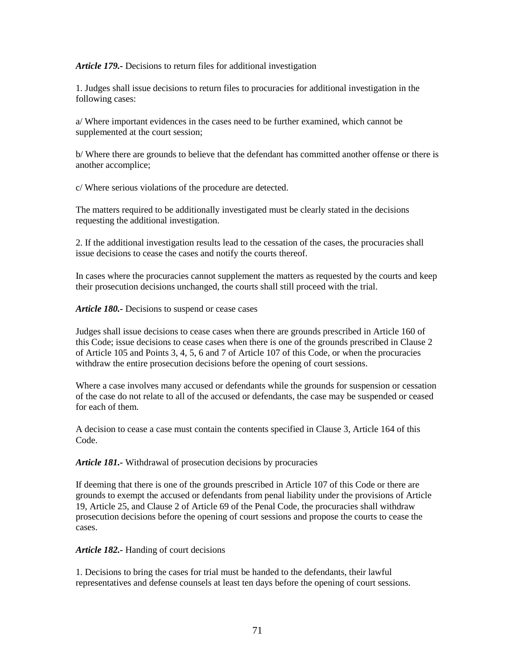#### *Article 179.-* Decisions to return files for additional investigation

1. Judges shall issue decisions to return files to procuracies for additional investigation in the following cases:

a/ Where important evidences in the cases need to be further examined, which cannot be supplemented at the court session;

b/ Where there are grounds to believe that the defendant has committed another offense or there is another accomplice;

c/ Where serious violations of the procedure are detected.

The matters required to be additionally investigated must be clearly stated in the decisions requesting the additional investigation.

2. If the additional investigation results lead to the cessation of the cases, the procuracies shall issue decisions to cease the cases and notify the courts thereof.

In cases where the procuracies cannot supplement the matters as requested by the courts and keep their prosecution decisions unchanged, the courts shall still proceed with the trial.

*Article 180.-* Decisions to suspend or cease cases

Judges shall issue decisions to cease cases when there are grounds prescribed in Article 160 of this Code; issue decisions to cease cases when there is one of the grounds prescribed in Clause 2 of Article 105 and Points 3, 4, 5, 6 and 7 of Article 107 of this Code, or when the procuracies withdraw the entire prosecution decisions before the opening of court sessions.

Where a case involves many accused or defendants while the grounds for suspension or cessation of the case do not relate to all of the accused or defendants, the case may be suspended or ceased for each of them.

A decision to cease a case must contain the contents specified in Clause 3, Article 164 of this Code.

*Article 181.-* Withdrawal of prosecution decisions by procuracies

If deeming that there is one of the grounds prescribed in Article 107 of this Code or there are grounds to exempt the accused or defendants from penal liability under the provisions of Article 19, Article 25, and Clause 2 of Article 69 of the Penal Code, the procuracies shall withdraw prosecution decisions before the opening of court sessions and propose the courts to cease the cases.

*Article 182.-* Handing of court decisions

1. Decisions to bring the cases for trial must be handed to the defendants, their lawful representatives and defense counsels at least ten days before the opening of court sessions.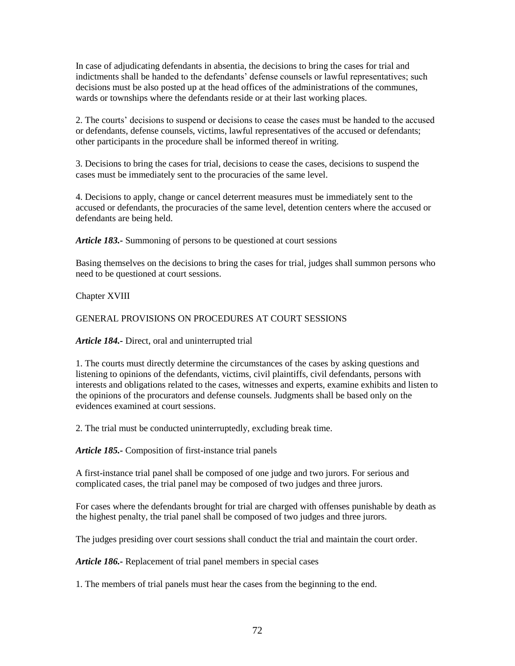In case of adjudicating defendants in absentia, the decisions to bring the cases for trial and indictments shall be handed to the defendants' defense counsels or lawful representatives; such decisions must be also posted up at the head offices of the administrations of the communes, wards or townships where the defendants reside or at their last working places.

2. The courts' decisions to suspend or decisions to cease the cases must be handed to the accused or defendants, defense counsels, victims, lawful representatives of the accused or defendants; other participants in the procedure shall be informed thereof in writing.

3. Decisions to bring the cases for trial, decisions to cease the cases, decisions to suspend the cases must be immediately sent to the procuracies of the same level.

4. Decisions to apply, change or cancel deterrent measures must be immediately sent to the accused or defendants, the procuracies of the same level, detention centers where the accused or defendants are being held.

*Article 183.-* Summoning of persons to be questioned at court sessions

Basing themselves on the decisions to bring the cases for trial, judges shall summon persons who need to be questioned at court sessions.

Chapter XVIII

#### GENERAL PROVISIONS ON PROCEDURES AT COURT SESSIONS

*Article 184.-* Direct, oral and uninterrupted trial

1. The courts must directly determine the circumstances of the cases by asking questions and listening to opinions of the defendants, victims, civil plaintiffs, civil defendants, persons with interests and obligations related to the cases, witnesses and experts, examine exhibits and listen to the opinions of the procurators and defense counsels. Judgments shall be based only on the evidences examined at court sessions.

2. The trial must be conducted uninterruptedly, excluding break time.

*Article 185.-* Composition of first-instance trial panels

A first-instance trial panel shall be composed of one judge and two jurors. For serious and complicated cases, the trial panel may be composed of two judges and three jurors.

For cases where the defendants brought for trial are charged with offenses punishable by death as the highest penalty, the trial panel shall be composed of two judges and three jurors.

The judges presiding over court sessions shall conduct the trial and maintain the court order.

*Article 186.-* Replacement of trial panel members in special cases

1. The members of trial panels must hear the cases from the beginning to the end.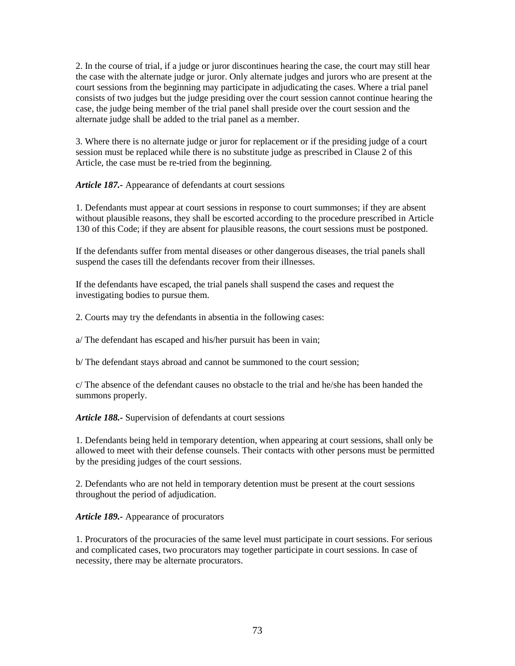2. In the course of trial, if a judge or juror discontinues hearing the case, the court may still hear the case with the alternate judge or juror. Only alternate judges and jurors who are present at the court sessions from the beginning may participate in adjudicating the cases. Where a trial panel consists of two judges but the judge presiding over the court session cannot continue hearing the case, the judge being member of the trial panel shall preside over the court session and the alternate judge shall be added to the trial panel as a member.

3. Where there is no alternate judge or juror for replacement or if the presiding judge of a court session must be replaced while there is no substitute judge as prescribed in Clause 2 of this Article, the case must be re-tried from the beginning.

*Article 187.-* Appearance of defendants at court sessions

1. Defendants must appear at court sessions in response to court summonses; if they are absent without plausible reasons, they shall be escorted according to the procedure prescribed in Article 130 of this Code; if they are absent for plausible reasons, the court sessions must be postponed.

If the defendants suffer from mental diseases or other dangerous diseases, the trial panels shall suspend the cases till the defendants recover from their illnesses.

If the defendants have escaped, the trial panels shall suspend the cases and request the investigating bodies to pursue them.

2. Courts may try the defendants in absentia in the following cases:

a/ The defendant has escaped and his/her pursuit has been in vain;

b/ The defendant stays abroad and cannot be summoned to the court session;

c/ The absence of the defendant causes no obstacle to the trial and he/she has been handed the summons properly.

*Article 188.-* Supervision of defendants at court sessions

1. Defendants being held in temporary detention, when appearing at court sessions, shall only be allowed to meet with their defense counsels. Their contacts with other persons must be permitted by the presiding judges of the court sessions.

2. Defendants who are not held in temporary detention must be present at the court sessions throughout the period of adjudication.

*Article 189.-* Appearance of procurators

1. Procurators of the procuracies of the same level must participate in court sessions. For serious and complicated cases, two procurators may together participate in court sessions. In case of necessity, there may be alternate procurators.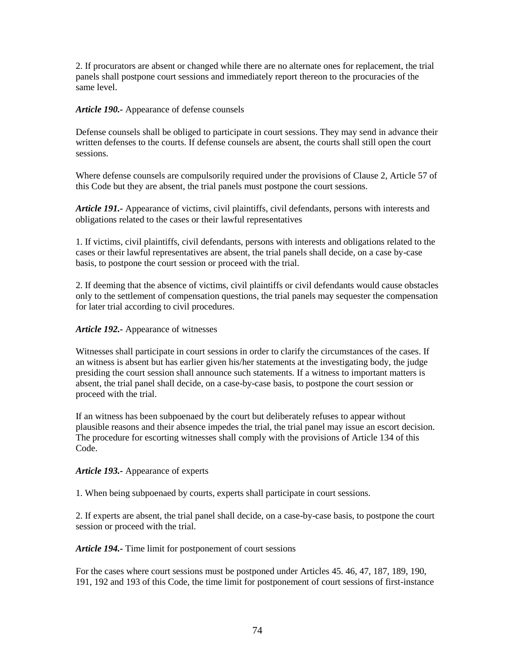2. If procurators are absent or changed while there are no alternate ones for replacement, the trial panels shall postpone court sessions and immediately report thereon to the procuracies of the same level.

## *Article 190.-* Appearance of defense counsels

Defense counsels shall be obliged to participate in court sessions. They may send in advance their written defenses to the courts. If defense counsels are absent, the courts shall still open the court sessions.

Where defense counsels are compulsorily required under the provisions of Clause 2, Article 57 of this Code but they are absent, the trial panels must postpone the court sessions.

*Article 191.-* Appearance of victims, civil plaintiffs, civil defendants, persons with interests and obligations related to the cases or their lawful representatives

1. If victims, civil plaintiffs, civil defendants, persons with interests and obligations related to the cases or their lawful representatives are absent, the trial panels shall decide, on a case by-case basis, to postpone the court session or proceed with the trial.

2. If deeming that the absence of victims, civil plaintiffs or civil defendants would cause obstacles only to the settlement of compensation questions, the trial panels may sequester the compensation for later trial according to civil procedures.

## *Article 192.-* Appearance of witnesses

Witnesses shall participate in court sessions in order to clarify the circumstances of the cases. If an witness is absent but has earlier given his/her statements at the investigating body, the judge presiding the court session shall announce such statements. If a witness to important matters is absent, the trial panel shall decide, on a case-by-case basis, to postpone the court session or proceed with the trial.

If an witness has been subpoenaed by the court but deliberately refuses to appear without plausible reasons and their absence impedes the trial, the trial panel may issue an escort decision. The procedure for escorting witnesses shall comply with the provisions of Article 134 of this Code.

## *Article 193.-* Appearance of experts

1. When being subpoenaed by courts, experts shall participate in court sessions.

2. If experts are absent, the trial panel shall decide, on a case-by-case basis, to postpone the court session or proceed with the trial.

*Article 194.-* Time limit for postponement of court sessions

For the cases where court sessions must be postponed under Articles 45. 46, 47, 187, 189, 190, 191, 192 and 193 of this Code, the time limit for postponement of court sessions of first-instance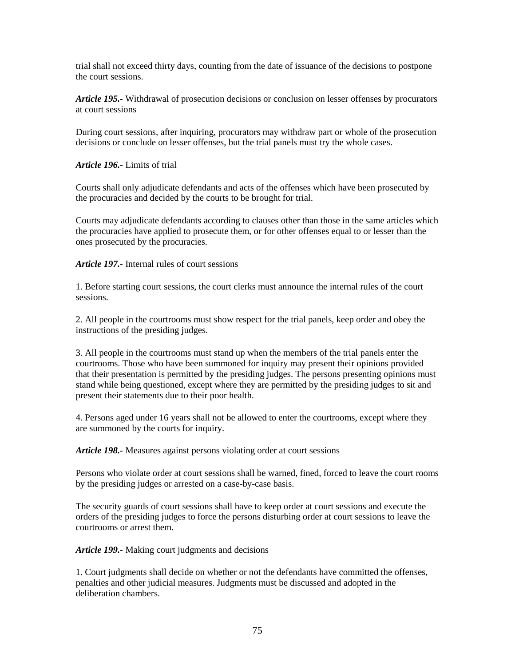trial shall not exceed thirty days, counting from the date of issuance of the decisions to postpone the court sessions.

*Article 195.-* Withdrawal of prosecution decisions or conclusion on lesser offenses by procurators at court sessions

During court sessions, after inquiring, procurators may withdraw part or whole of the prosecution decisions or conclude on lesser offenses, but the trial panels must try the whole cases.

*Article 196.-* Limits of trial

Courts shall only adjudicate defendants and acts of the offenses which have been prosecuted by the procuracies and decided by the courts to be brought for trial.

Courts may adjudicate defendants according to clauses other than those in the same articles which the procuracies have applied to prosecute them, or for other offenses equal to or lesser than the ones prosecuted by the procuracies.

*Article 197.-* Internal rules of court sessions

1. Before starting court sessions, the court clerks must announce the internal rules of the court sessions.

2. All people in the courtrooms must show respect for the trial panels, keep order and obey the instructions of the presiding judges.

3. All people in the courtrooms must stand up when the members of the trial panels enter the courtrooms. Those who have been summoned for inquiry may present their opinions provided that their presentation is permitted by the presiding judges. The persons presenting opinions must stand while being questioned, except where they are permitted by the presiding judges to sit and present their statements due to their poor health.

4. Persons aged under 16 years shall not be allowed to enter the courtrooms, except where they are summoned by the courts for inquiry.

*Article 198.-* Measures against persons violating order at court sessions

Persons who violate order at court sessions shall be warned, fined, forced to leave the court rooms by the presiding judges or arrested on a case-by-case basis.

The security guards of court sessions shall have to keep order at court sessions and execute the orders of the presiding judges to force the persons disturbing order at court sessions to leave the courtrooms or arrest them.

*Article 199.-* Making court judgments and decisions

1. Court judgments shall decide on whether or not the defendants have committed the offenses, penalties and other judicial measures. Judgments must be discussed and adopted in the deliberation chambers.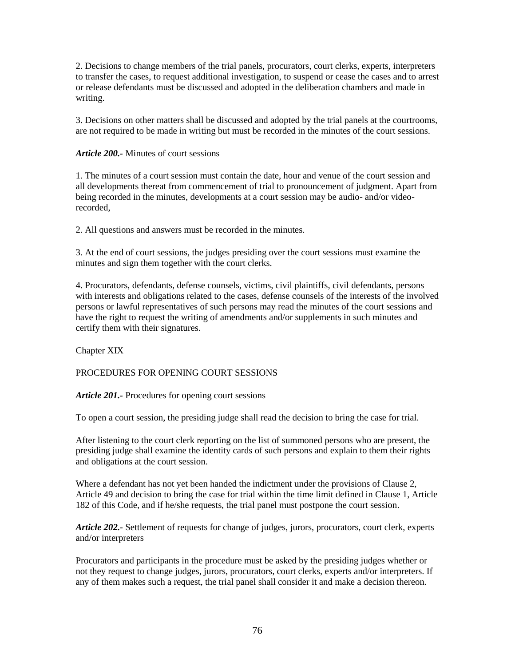2. Decisions to change members of the trial panels, procurators, court clerks, experts, interpreters to transfer the cases, to request additional investigation, to suspend or cease the cases and to arrest or release defendants must be discussed and adopted in the deliberation chambers and made in writing.

3. Decisions on other matters shall be discussed and adopted by the trial panels at the courtrooms, are not required to be made in writing but must be recorded in the minutes of the court sessions.

*Article 200.-* Minutes of court sessions

1. The minutes of a court session must contain the date, hour and venue of the court session and all developments thereat from commencement of trial to pronouncement of judgment. Apart from being recorded in the minutes, developments at a court session may be audio- and/or videorecorded,

2. All questions and answers must be recorded in the minutes.

3. At the end of court sessions, the judges presiding over the court sessions must examine the minutes and sign them together with the court clerks.

4. Procurators, defendants, defense counsels, victims, civil plaintiffs, civil defendants, persons with interests and obligations related to the cases, defense counsels of the interests of the involved persons or lawful representatives of such persons may read the minutes of the court sessions and have the right to request the writing of amendments and/or supplements in such minutes and certify them with their signatures.

Chapter XIX

## PROCEDURES FOR OPENING COURT SESSIONS

*Article 201.-* Procedures for opening court sessions

To open a court session, the presiding judge shall read the decision to bring the case for trial.

After listening to the court clerk reporting on the list of summoned persons who are present, the presiding judge shall examine the identity cards of such persons and explain to them their rights and obligations at the court session.

Where a defendant has not yet been handed the indictment under the provisions of Clause 2, Article 49 and decision to bring the case for trial within the time limit defined in Clause 1, Article 182 of this Code, and if he/she requests, the trial panel must postpone the court session.

*Article 202.-* Settlement of requests for change of judges, jurors, procurators, court clerk, experts and/or interpreters

Procurators and participants in the procedure must be asked by the presiding judges whether or not they request to change judges, jurors, procurators, court clerks, experts and/or interpreters. If any of them makes such a request, the trial panel shall consider it and make a decision thereon.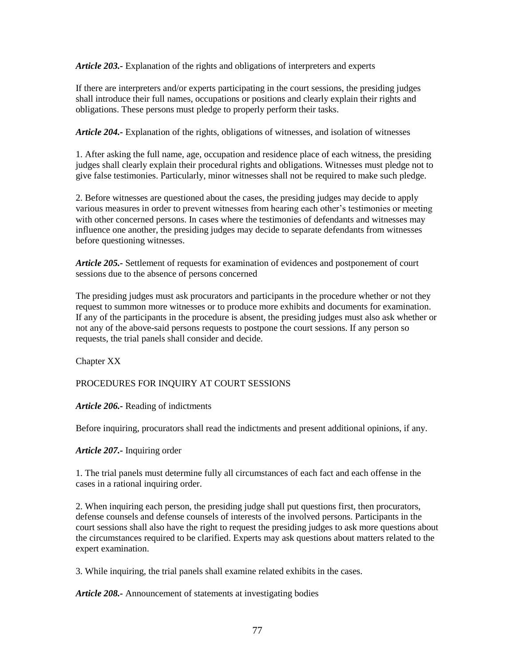*Article 203.-* Explanation of the rights and obligations of interpreters and experts

If there are interpreters and/or experts participating in the court sessions, the presiding judges shall introduce their full names, occupations or positions and clearly explain their rights and obligations. These persons must pledge to properly perform their tasks.

*Article 204.-* Explanation of the rights, obligations of witnesses, and isolation of witnesses

1. After asking the full name, age, occupation and residence place of each witness, the presiding judges shall clearly explain their procedural rights and obligations. Witnesses must pledge not to give false testimonies. Particularly, minor witnesses shall not be required to make such pledge.

2. Before witnesses are questioned about the cases, the presiding judges may decide to apply various measures in order to prevent witnesses from hearing each other's testimonies or meeting with other concerned persons. In cases where the testimonies of defendants and witnesses may influence one another, the presiding judges may decide to separate defendants from witnesses before questioning witnesses.

*Article 205.-* Settlement of requests for examination of evidences and postponement of court sessions due to the absence of persons concerned

The presiding judges must ask procurators and participants in the procedure whether or not they request to summon more witnesses or to produce more exhibits and documents for examination. If any of the participants in the procedure is absent, the presiding judges must also ask whether or not any of the above-said persons requests to postpone the court sessions. If any person so requests, the trial panels shall consider and decide.

Chapter XX

PROCEDURES FOR INQUIRY AT COURT SESSIONS

*Article 206.-* Reading of indictments

Before inquiring, procurators shall read the indictments and present additional opinions, if any.

*Article 207.-* Inquiring order

1. The trial panels must determine fully all circumstances of each fact and each offense in the cases in a rational inquiring order.

2. When inquiring each person, the presiding judge shall put questions first, then procurators, defense counsels and defense counsels of interests of the involved persons. Participants in the court sessions shall also have the right to request the presiding judges to ask more questions about the circumstances required to be clarified. Experts may ask questions about matters related to the expert examination.

3. While inquiring, the trial panels shall examine related exhibits in the cases.

*Article 208.-* Announcement of statements at investigating bodies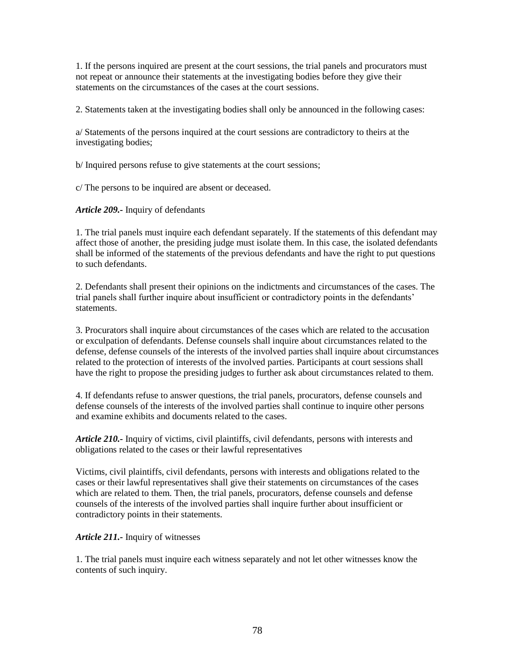1. If the persons inquired are present at the court sessions, the trial panels and procurators must not repeat or announce their statements at the investigating bodies before they give their statements on the circumstances of the cases at the court sessions.

2. Statements taken at the investigating bodies shall only be announced in the following cases:

a/ Statements of the persons inquired at the court sessions are contradictory to theirs at the investigating bodies;

b/ Inquired persons refuse to give statements at the court sessions;

c/ The persons to be inquired are absent or deceased.

*Article 209.-* Inquiry of defendants

1. The trial panels must inquire each defendant separately. If the statements of this defendant may affect those of another, the presiding judge must isolate them. In this case, the isolated defendants shall be informed of the statements of the previous defendants and have the right to put questions to such defendants.

2. Defendants shall present their opinions on the indictments and circumstances of the cases. The trial panels shall further inquire about insufficient or contradictory points in the defendants' statements.

3. Procurators shall inquire about circumstances of the cases which are related to the accusation or exculpation of defendants. Defense counsels shall inquire about circumstances related to the defense, defense counsels of the interests of the involved parties shall inquire about circumstances related to the protection of interests of the involved parties. Participants at court sessions shall have the right to propose the presiding judges to further ask about circumstances related to them.

4. If defendants refuse to answer questions, the trial panels, procurators, defense counsels and defense counsels of the interests of the involved parties shall continue to inquire other persons and examine exhibits and documents related to the cases.

*Article 210.-* Inquiry of victims, civil plaintiffs, civil defendants, persons with interests and obligations related to the cases or their lawful representatives

Victims, civil plaintiffs, civil defendants, persons with interests and obligations related to the cases or their lawful representatives shall give their statements on circumstances of the cases which are related to them. Then, the trial panels, procurators, defense counsels and defense counsels of the interests of the involved parties shall inquire further about insufficient or contradictory points in their statements.

## *Article 211.-* Inquiry of witnesses

1. The trial panels must inquire each witness separately and not let other witnesses know the contents of such inquiry.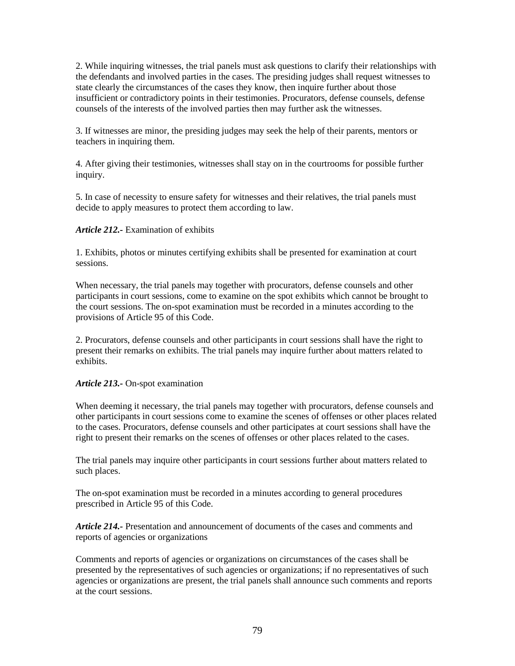2. While inquiring witnesses, the trial panels must ask questions to clarify their relationships with the defendants and involved parties in the cases. The presiding judges shall request witnesses to state clearly the circumstances of the cases they know, then inquire further about those insufficient or contradictory points in their testimonies. Procurators, defense counsels, defense counsels of the interests of the involved parties then may further ask the witnesses.

3. If witnesses are minor, the presiding judges may seek the help of their parents, mentors or teachers in inquiring them.

4. After giving their testimonies, witnesses shall stay on in the courtrooms for possible further inquiry.

5. In case of necessity to ensure safety for witnesses and their relatives, the trial panels must decide to apply measures to protect them according to law.

#### *Article 212.-* Examination of exhibits

1. Exhibits, photos or minutes certifying exhibits shall be presented for examination at court sessions.

When necessary, the trial panels may together with procurators, defense counsels and other participants in court sessions, come to examine on the spot exhibits which cannot be brought to the court sessions. The on-spot examination must be recorded in a minutes according to the provisions of Article 95 of this Code.

2. Procurators, defense counsels and other participants in court sessions shall have the right to present their remarks on exhibits. The trial panels may inquire further about matters related to exhibits.

#### *Article 213.-* On-spot examination

When deeming it necessary, the trial panels may together with procurators, defense counsels and other participants in court sessions come to examine the scenes of offenses or other places related to the cases. Procurators, defense counsels and other participates at court sessions shall have the right to present their remarks on the scenes of offenses or other places related to the cases.

The trial panels may inquire other participants in court sessions further about matters related to such places.

The on-spot examination must be recorded in a minutes according to general procedures prescribed in Article 95 of this Code.

*Article 214.-* Presentation and announcement of documents of the cases and comments and reports of agencies or organizations

Comments and reports of agencies or organizations on circumstances of the cases shall be presented by the representatives of such agencies or organizations; if no representatives of such agencies or organizations are present, the trial panels shall announce such comments and reports at the court sessions.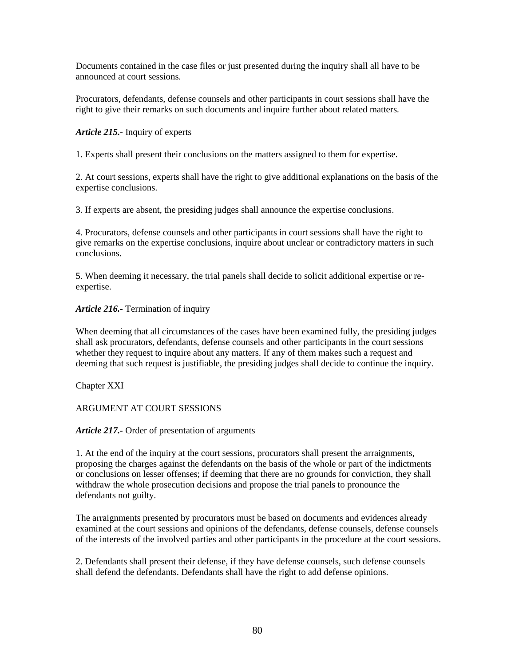Documents contained in the case files or just presented during the inquiry shall all have to be announced at court sessions.

Procurators, defendants, defense counsels and other participants in court sessions shall have the right to give their remarks on such documents and inquire further about related matters.

*Article 215.-* Inquiry of experts

1. Experts shall present their conclusions on the matters assigned to them for expertise.

2. At court sessions, experts shall have the right to give additional explanations on the basis of the expertise conclusions.

3. If experts are absent, the presiding judges shall announce the expertise conclusions.

4. Procurators, defense counsels and other participants in court sessions shall have the right to give remarks on the expertise conclusions, inquire about unclear or contradictory matters in such conclusions.

5. When deeming it necessary, the trial panels shall decide to solicit additional expertise or reexpertise.

## *Article 216.-* Termination of inquiry

When deeming that all circumstances of the cases have been examined fully, the presiding judges shall ask procurators, defendants, defense counsels and other participants in the court sessions whether they request to inquire about any matters. If any of them makes such a request and deeming that such request is justifiable, the presiding judges shall decide to continue the inquiry.

Chapter XXI

ARGUMENT AT COURT SESSIONS

*Article 217.-* Order of presentation of arguments

1. At the end of the inquiry at the court sessions, procurators shall present the arraignments, proposing the charges against the defendants on the basis of the whole or part of the indictments or conclusions on lesser offenses; if deeming that there are no grounds for conviction, they shall withdraw the whole prosecution decisions and propose the trial panels to pronounce the defendants not guilty.

The arraignments presented by procurators must be based on documents and evidences already examined at the court sessions and opinions of the defendants, defense counsels, defense counsels of the interests of the involved parties and other participants in the procedure at the court sessions.

2. Defendants shall present their defense, if they have defense counsels, such defense counsels shall defend the defendants. Defendants shall have the right to add defense opinions.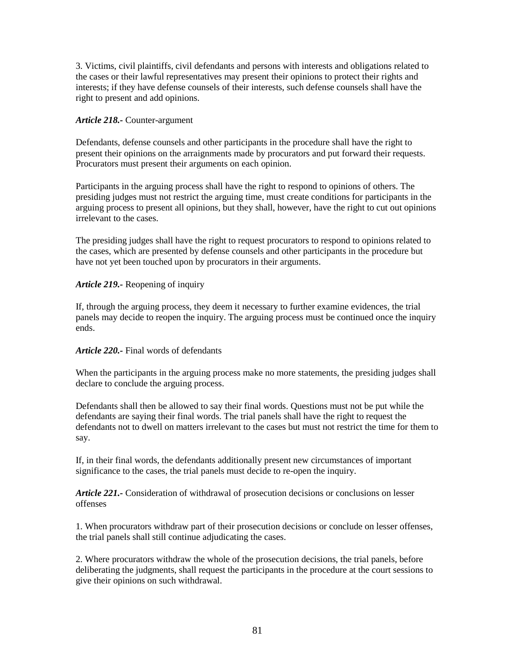3. Victims, civil plaintiffs, civil defendants and persons with interests and obligations related to the cases or their lawful representatives may present their opinions to protect their rights and interests; if they have defense counsels of their interests, such defense counsels shall have the right to present and add opinions.

## *Article 218.-* Counter-argument

Defendants, defense counsels and other participants in the procedure shall have the right to present their opinions on the arraignments made by procurators and put forward their requests. Procurators must present their arguments on each opinion.

Participants in the arguing process shall have the right to respond to opinions of others. The presiding judges must not restrict the arguing time, must create conditions for participants in the arguing process to present all opinions, but they shall, however, have the right to cut out opinions irrelevant to the cases.

The presiding judges shall have the right to request procurators to respond to opinions related to the cases, which are presented by defense counsels and other participants in the procedure but have not yet been touched upon by procurators in their arguments.

# *Article 219.-* Reopening of inquiry

If, through the arguing process, they deem it necessary to further examine evidences, the trial panels may decide to reopen the inquiry. The arguing process must be continued once the inquiry ends.

## *Article 220.-* Final words of defendants

When the participants in the arguing process make no more statements, the presiding judges shall declare to conclude the arguing process.

Defendants shall then be allowed to say their final words. Questions must not be put while the defendants are saying their final words. The trial panels shall have the right to request the defendants not to dwell on matters irrelevant to the cases but must not restrict the time for them to say.

If, in their final words, the defendants additionally present new circumstances of important significance to the cases, the trial panels must decide to re-open the inquiry.

*Article 221.-* Consideration of withdrawal of prosecution decisions or conclusions on lesser offenses

1. When procurators withdraw part of their prosecution decisions or conclude on lesser offenses, the trial panels shall still continue adjudicating the cases.

2. Where procurators withdraw the whole of the prosecution decisions, the trial panels, before deliberating the judgments, shall request the participants in the procedure at the court sessions to give their opinions on such withdrawal.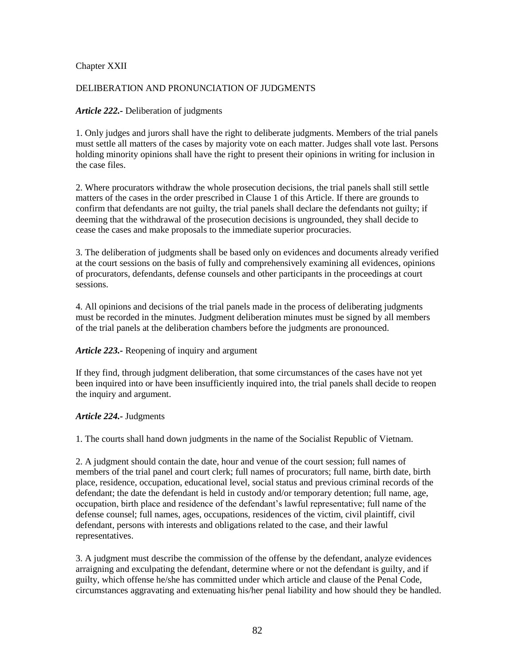## Chapter XXII

# DELIBERATION AND PRONUNCIATION OF JUDGMENTS

## *Article 222.-* Deliberation of judgments

1. Only judges and jurors shall have the right to deliberate judgments. Members of the trial panels must settle all matters of the cases by majority vote on each matter. Judges shall vote last. Persons holding minority opinions shall have the right to present their opinions in writing for inclusion in the case files.

2. Where procurators withdraw the whole prosecution decisions, the trial panels shall still settle matters of the cases in the order prescribed in Clause 1 of this Article. If there are grounds to confirm that defendants are not guilty, the trial panels shall declare the defendants not guilty; if deeming that the withdrawal of the prosecution decisions is ungrounded, they shall decide to cease the cases and make proposals to the immediate superior procuracies.

3. The deliberation of judgments shall be based only on evidences and documents already verified at the court sessions on the basis of fully and comprehensively examining all evidences, opinions of procurators, defendants, defense counsels and other participants in the proceedings at court sessions.

4. All opinions and decisions of the trial panels made in the process of deliberating judgments must be recorded in the minutes. Judgment deliberation minutes must be signed by all members of the trial panels at the deliberation chambers before the judgments are pronounced.

## *Article 223.-* Reopening of inquiry and argument

If they find, through judgment deliberation, that some circumstances of the cases have not yet been inquired into or have been insufficiently inquired into, the trial panels shall decide to reopen the inquiry and argument.

## *Article 224.-* Judgments

1. The courts shall hand down judgments in the name of the Socialist Republic of Vietnam.

2. A judgment should contain the date, hour and venue of the court session; full names of members of the trial panel and court clerk; full names of procurators; full name, birth date, birth place, residence, occupation, educational level, social status and previous criminal records of the defendant; the date the defendant is held in custody and/or temporary detention; full name, age, occupation, birth place and residence of the defendant's lawful representative; full name of the defense counsel; full names, ages, occupations, residences of the victim, civil plaintiff, civil defendant, persons with interests and obligations related to the case, and their lawful representatives.

3. A judgment must describe the commission of the offense by the defendant, analyze evidences arraigning and exculpating the defendant, determine where or not the defendant is guilty, and if guilty, which offense he/she has committed under which article and clause of the Penal Code, circumstances aggravating and extenuating his/her penal liability and how should they be handled.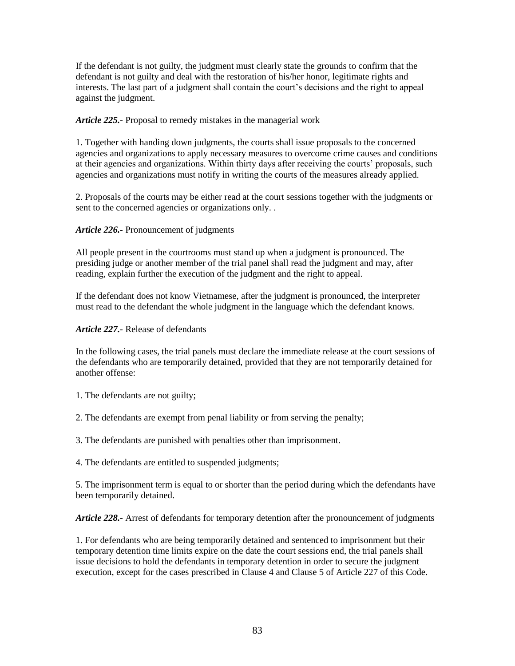If the defendant is not guilty, the judgment must clearly state the grounds to confirm that the defendant is not guilty and deal with the restoration of his/her honor, legitimate rights and interests. The last part of a judgment shall contain the court's decisions and the right to appeal against the judgment.

*Article 225.-* Proposal to remedy mistakes in the managerial work

1. Together with handing down judgments, the courts shall issue proposals to the concerned agencies and organizations to apply necessary measures to overcome crime causes and conditions at their agencies and organizations. Within thirty days after receiving the courts' proposals, such agencies and organizations must notify in writing the courts of the measures already applied.

2. Proposals of the courts may be either read at the court sessions together with the judgments or sent to the concerned agencies or organizations only. .

# *Article 226.-* Pronouncement of judgments

All people present in the courtrooms must stand up when a judgment is pronounced. The presiding judge or another member of the trial panel shall read the judgment and may, after reading, explain further the execution of the judgment and the right to appeal.

If the defendant does not know Vietnamese, after the judgment is pronounced, the interpreter must read to the defendant the whole judgment in the language which the defendant knows.

## *Article 227.-* Release of defendants

In the following cases, the trial panels must declare the immediate release at the court sessions of the defendants who are temporarily detained, provided that they are not temporarily detained for another offense:

1. The defendants are not guilty;

2. The defendants are exempt from penal liability or from serving the penalty;

3. The defendants are punished with penalties other than imprisonment.

4. The defendants are entitled to suspended judgments;

5. The imprisonment term is equal to or shorter than the period during which the defendants have been temporarily detained.

*Article 228.-* Arrest of defendants for temporary detention after the pronouncement of judgments

1. For defendants who are being temporarily detained and sentenced to imprisonment but their temporary detention time limits expire on the date the court sessions end, the trial panels shall issue decisions to hold the defendants in temporary detention in order to secure the judgment execution, except for the cases prescribed in Clause 4 and Clause 5 of Article 227 of this Code.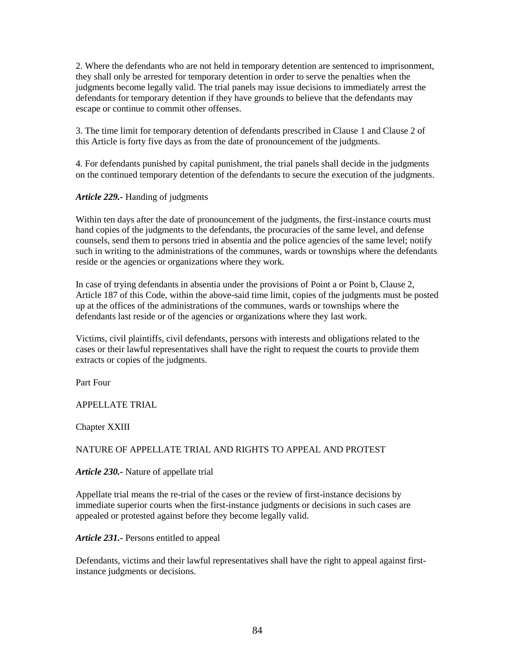2. Where the defendants who are not held in temporary detention are sentenced to imprisonment, they shall only be arrested for temporary detention in order to serve the penalties when the judgments become legally valid. The trial panels may issue decisions to immediately arrest the defendants for temporary detention if they have grounds to believe that the defendants may escape or continue to commit other offenses.

3. The time limit for temporary detention of defendants prescribed in Clause 1 and Clause 2 of this Article is forty five days as from the date of pronouncement of the judgments.

4. For defendants punished by capital punishment, the trial panels shall decide in the judgments on the continued temporary detention of the defendants to secure the execution of the judgments.

*Article 229.-* Handing of judgments

Within ten days after the date of pronouncement of the judgments, the first-instance courts must hand copies of the judgments to the defendants, the procuracies of the same level, and defense counsels, send them to persons tried in absentia and the police agencies of the same level; notify such in writing to the administrations of the communes, wards or townships where the defendants reside or the agencies or organizations where they work.

In case of trying defendants in absentia under the provisions of Point a or Point b, Clause 2, Article 187 of this Code, within the above-said time limit, copies of the judgments must be posted up at the offices of the administrations of the communes, wards or townships where the defendants last reside or of the agencies or organizations where they last work.

Victims, civil plaintiffs, civil defendants, persons with interests and obligations related to the cases or their lawful representatives shall have the right to request the courts to provide them extracts or copies of the judgments.

Part Four

APPELLATE TRIAL

Chapter XXIII

## NATURE OF APPELLATE TRIAL AND RIGHTS TO APPEAL AND PROTEST

*Article 230.-* Nature of appellate trial

Appellate trial means the re-trial of the cases or the review of first-instance decisions by immediate superior courts when the first-instance judgments or decisions in such cases are appealed or protested against before they become legally valid.

*Article 231.-* Persons entitled to appeal

Defendants, victims and their lawful representatives shall have the right to appeal against firstinstance judgments or decisions.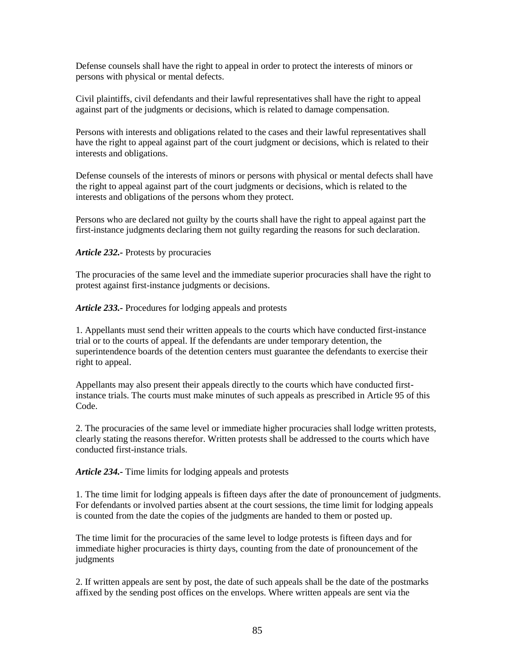Defense counsels shall have the right to appeal in order to protect the interests of minors or persons with physical or mental defects.

Civil plaintiffs, civil defendants and their lawful representatives shall have the right to appeal against part of the judgments or decisions, which is related to damage compensation.

Persons with interests and obligations related to the cases and their lawful representatives shall have the right to appeal against part of the court judgment or decisions, which is related to their interests and obligations.

Defense counsels of the interests of minors or persons with physical or mental defects shall have the right to appeal against part of the court judgments or decisions, which is related to the interests and obligations of the persons whom they protect.

Persons who are declared not guilty by the courts shall have the right to appeal against part the first-instance judgments declaring them not guilty regarding the reasons for such declaration.

#### *Article 232.-* Protests by procuracies

The procuracies of the same level and the immediate superior procuracies shall have the right to protest against first-instance judgments or decisions.

*Article 233.-* Procedures for lodging appeals and protests

1. Appellants must send their written appeals to the courts which have conducted first-instance trial or to the courts of appeal. If the defendants are under temporary detention, the superintendence boards of the detention centers must guarantee the defendants to exercise their right to appeal.

Appellants may also present their appeals directly to the courts which have conducted firstinstance trials. The courts must make minutes of such appeals as prescribed in Article 95 of this Code.

2. The procuracies of the same level or immediate higher procuracies shall lodge written protests, clearly stating the reasons therefor. Written protests shall be addressed to the courts which have conducted first-instance trials.

*Article 234.-* Time limits for lodging appeals and protests

1. The time limit for lodging appeals is fifteen days after the date of pronouncement of judgments. For defendants or involved parties absent at the court sessions, the time limit for lodging appeals is counted from the date the copies of the judgments are handed to them or posted up.

The time limit for the procuracies of the same level to lodge protests is fifteen days and for immediate higher procuracies is thirty days, counting from the date of pronouncement of the judgments

2. If written appeals are sent by post, the date of such appeals shall be the date of the postmarks affixed by the sending post offices on the envelops. Where written appeals are sent via the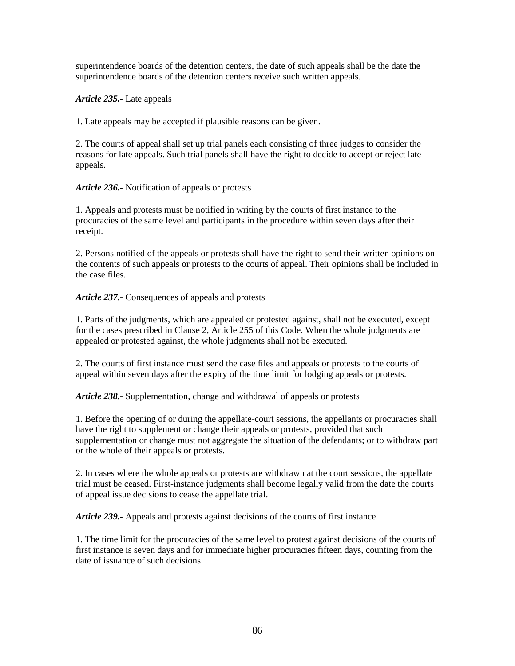superintendence boards of the detention centers, the date of such appeals shall be the date the superintendence boards of the detention centers receive such written appeals.

*Article 235.-* Late appeals

1. Late appeals may be accepted if plausible reasons can be given.

2. The courts of appeal shall set up trial panels each consisting of three judges to consider the reasons for late appeals. Such trial panels shall have the right to decide to accept or reject late appeals.

*Article 236.-* Notification of appeals or protests

1. Appeals and protests must be notified in writing by the courts of first instance to the procuracies of the same level and participants in the procedure within seven days after their receipt.

2. Persons notified of the appeals or protests shall have the right to send their written opinions on the contents of such appeals or protests to the courts of appeal. Their opinions shall be included in the case files.

*Article 237.-* Consequences of appeals and protests

1. Parts of the judgments, which are appealed or protested against, shall not be executed, except for the cases prescribed in Clause 2, Article 255 of this Code. When the whole judgments are appealed or protested against, the whole judgments shall not be executed.

2. The courts of first instance must send the case files and appeals or protests to the courts of appeal within seven days after the expiry of the time limit for lodging appeals or protests.

*Article 238.-* Supplementation, change and withdrawal of appeals or protests

1. Before the opening of or during the appellate-court sessions, the appellants or procuracies shall have the right to supplement or change their appeals or protests, provided that such supplementation or change must not aggregate the situation of the defendants; or to withdraw part or the whole of their appeals or protests.

2. In cases where the whole appeals or protests are withdrawn at the court sessions, the appellate trial must be ceased. First-instance judgments shall become legally valid from the date the courts of appeal issue decisions to cease the appellate trial.

*Article 239.-* Appeals and protests against decisions of the courts of first instance

1. The time limit for the procuracies of the same level to protest against decisions of the courts of first instance is seven days and for immediate higher procuracies fifteen days, counting from the date of issuance of such decisions.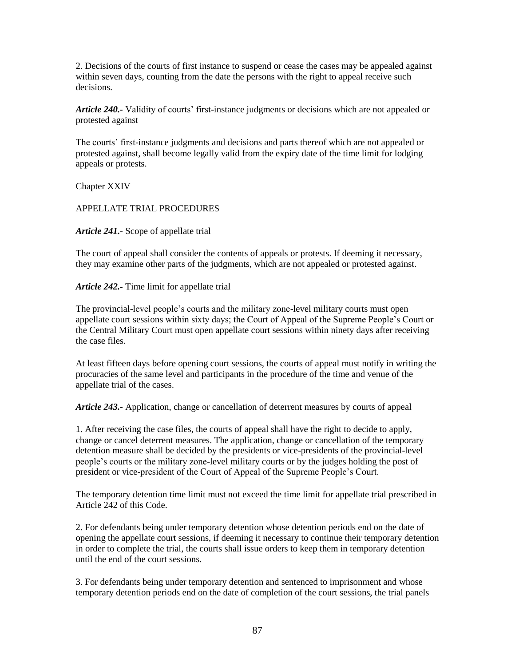2. Decisions of the courts of first instance to suspend or cease the cases may be appealed against within seven days, counting from the date the persons with the right to appeal receive such decisions.

*Article 240.-* Validity of courts' first-instance judgments or decisions which are not appealed or protested against

The courts' first-instance judgments and decisions and parts thereof which are not appealed or protested against, shall become legally valid from the expiry date of the time limit for lodging appeals or protests.

Chapter XXIV

APPELLATE TRIAL PROCEDURES

*Article 241.-* Scope of appellate trial

The court of appeal shall consider the contents of appeals or protests. If deeming it necessary, they may examine other parts of the judgments, which are not appealed or protested against.

*Article 242.-* Time limit for appellate trial

The provincial-level people's courts and the military zone-level military courts must open appellate court sessions within sixty days; the Court of Appeal of the Supreme People's Court or the Central Military Court must open appellate court sessions within ninety days after receiving the case files.

At least fifteen days before opening court sessions, the courts of appeal must notify in writing the procuracies of the same level and participants in the procedure of the time and venue of the appellate trial of the cases.

*Article 243.-* Application, change or cancellation of deterrent measures by courts of appeal

1. After receiving the case files, the courts of appeal shall have the right to decide to apply, change or cancel deterrent measures. The application, change or cancellation of the temporary detention measure shall be decided by the presidents or vice-presidents of the provincial-level people's courts or the military zone-level military courts or by the judges holding the post of president or vice-president of the Court of Appeal of the Supreme People's Court.

The temporary detention time limit must not exceed the time limit for appellate trial prescribed in Article 242 of this Code.

2. For defendants being under temporary detention whose detention periods end on the date of opening the appellate court sessions, if deeming it necessary to continue their temporary detention in order to complete the trial, the courts shall issue orders to keep them in temporary detention until the end of the court sessions.

3. For defendants being under temporary detention and sentenced to imprisonment and whose temporary detention periods end on the date of completion of the court sessions, the trial panels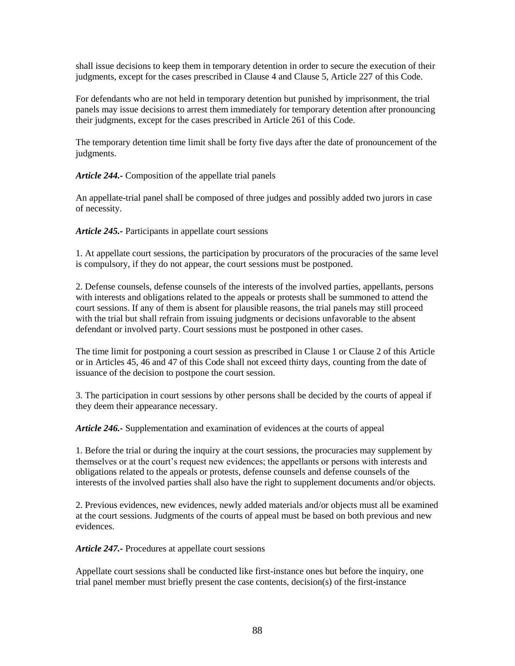shall issue decisions to keep them in temporary detention in order to secure the execution of their judgments, except for the cases prescribed in Clause 4 and Clause 5, Article 227 of this Code.

For defendants who are not held in temporary detention but punished by imprisonment, the trial panels may issue decisions to arrest them immediately for temporary detention after pronouncing their judgments, except for the cases prescribed in Article 261 of this Code.

The temporary detention time limit shall be forty five days after the date of pronouncement of the judgments.

*Article 244.-* Composition of the appellate trial panels

An appellate-trial panel shall be composed of three judges and possibly added two jurors in case of necessity.

*Article 245.-* Participants in appellate court sessions

1. At appellate court sessions, the participation by procurators of the procuracies of the same level is compulsory, if they do not appear, the court sessions must be postponed.

2. Defense counsels, defense counsels of the interests of the involved parties, appellants, persons with interests and obligations related to the appeals or protests shall be summoned to attend the court sessions. If any of them is absent for plausible reasons, the trial panels may still proceed with the trial but shall refrain from issuing judgments or decisions unfavorable to the absent defendant or involved party. Court sessions must be postponed in other cases.

The time limit for postponing a court session as prescribed in Clause 1 or Clause 2 of this Article or in Articles 45, 46 and 47 of this Code shall not exceed thirty days, counting from the date of issuance of the decision to postpone the court session.

3. The participation in court sessions by other persons shall be decided by the courts of appeal if they deem their appearance necessary.

*Article 246.-* Supplementation and examination of evidences at the courts of appeal

1. Before the trial or during the inquiry at the court sessions, the procuracies may supplement by themselves or at the court's request new evidences; the appellants or persons with interests and obligations related to the appeals or protests, defense counsels and defense counsels of the interests of the involved parties shall also have the right to supplement documents and/or objects.

2. Previous evidences, new evidences, newly added materials and/or objects must all be examined at the court sessions. Judgments of the courts of appeal must be based on both previous and new evidences.

*Article 247.-* Procedures at appellate court sessions

Appellate court sessions shall be conducted like first-instance ones but before the inquiry, one trial panel member must briefly present the case contents, decision(s) of the first-instance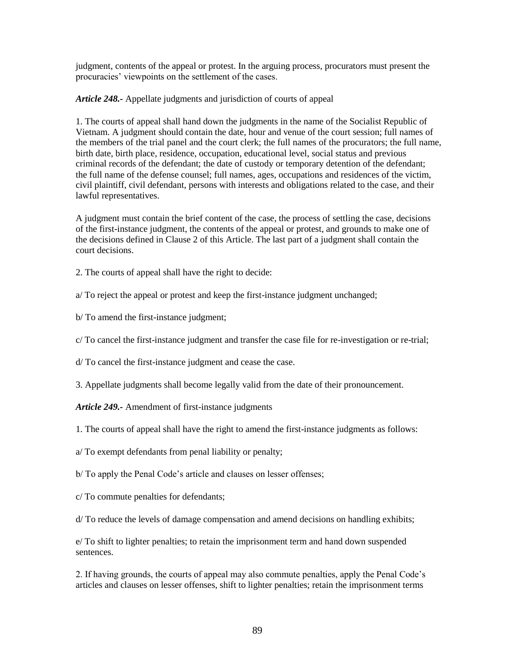judgment, contents of the appeal or protest. In the arguing process, procurators must present the procuracies' viewpoints on the settlement of the cases.

*Article 248.-* Appellate judgments and jurisdiction of courts of appeal

1. The courts of appeal shall hand down the judgments in the name of the Socialist Republic of Vietnam. A judgment should contain the date, hour and venue of the court session; full names of the members of the trial panel and the court clerk; the full names of the procurators; the full name, birth date, birth place, residence, occupation, educational level, social status and previous criminal records of the defendant; the date of custody or temporary detention of the defendant; the full name of the defense counsel; full names, ages, occupations and residences of the victim, civil plaintiff, civil defendant, persons with interests and obligations related to the case, and their lawful representatives.

A judgment must contain the brief content of the case, the process of settling the case, decisions of the first-instance judgment, the contents of the appeal or protest, and grounds to make one of the decisions defined in Clause 2 of this Article. The last part of a judgment shall contain the court decisions.

2. The courts of appeal shall have the right to decide:

a/ To reject the appeal or protest and keep the first-instance judgment unchanged;

b/ To amend the first-instance judgment;

c/ To cancel the first-instance judgment and transfer the case file for re-investigation or re-trial;

d/ To cancel the first-instance judgment and cease the case.

3. Appellate judgments shall become legally valid from the date of their pronouncement.

*Article 249.-* Amendment of first-instance judgments

1. The courts of appeal shall have the right to amend the first-instance judgments as follows:

a/ To exempt defendants from penal liability or penalty;

b/ To apply the Penal Code's article and clauses on lesser offenses;

c/ To commute penalties for defendants;

d/ To reduce the levels of damage compensation and amend decisions on handling exhibits;

e/ To shift to lighter penalties; to retain the imprisonment term and hand down suspended sentences.

2. If having grounds, the courts of appeal may also commute penalties, apply the Penal Code's articles and clauses on lesser offenses, shift to lighter penalties; retain the imprisonment terms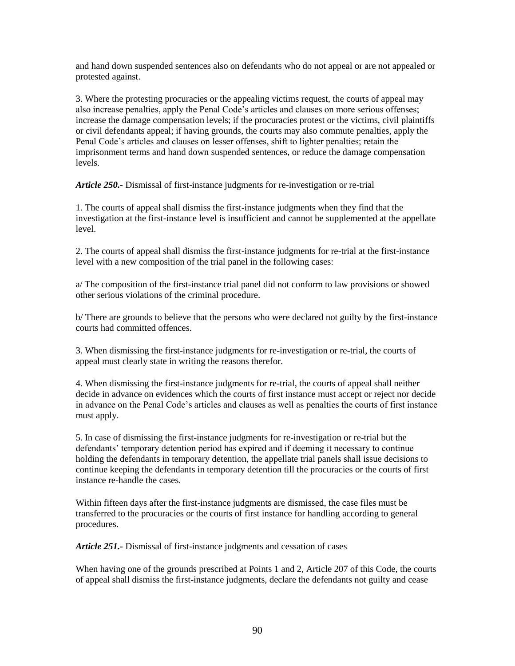and hand down suspended sentences also on defendants who do not appeal or are not appealed or protested against.

3. Where the protesting procuracies or the appealing victims request, the courts of appeal may also increase penalties, apply the Penal Code's articles and clauses on more serious offenses; increase the damage compensation levels; if the procuracies protest or the victims, civil plaintiffs or civil defendants appeal; if having grounds, the courts may also commute penalties, apply the Penal Code's articles and clauses on lesser offenses, shift to lighter penalties; retain the imprisonment terms and hand down suspended sentences, or reduce the damage compensation levels.

*Article 250.-* Dismissal of first-instance judgments for re-investigation or re-trial

1. The courts of appeal shall dismiss the first-instance judgments when they find that the investigation at the first-instance level is insufficient and cannot be supplemented at the appellate level.

2. The courts of appeal shall dismiss the first-instance judgments for re-trial at the first-instance level with a new composition of the trial panel in the following cases:

a/ The composition of the first-instance trial panel did not conform to law provisions or showed other serious violations of the criminal procedure.

b/ There are grounds to believe that the persons who were declared not guilty by the first-instance courts had committed offences.

3. When dismissing the first-instance judgments for re-investigation or re-trial, the courts of appeal must clearly state in writing the reasons therefor.

4. When dismissing the first-instance judgments for re-trial, the courts of appeal shall neither decide in advance on evidences which the courts of first instance must accept or reject nor decide in advance on the Penal Code's articles and clauses as well as penalties the courts of first instance must apply.

5. In case of dismissing the first-instance judgments for re-investigation or re-trial but the defendants' temporary detention period has expired and if deeming it necessary to continue holding the defendants in temporary detention, the appellate trial panels shall issue decisions to continue keeping the defendants in temporary detention till the procuracies or the courts of first instance re-handle the cases.

Within fifteen days after the first-instance judgments are dismissed, the case files must be transferred to the procuracies or the courts of first instance for handling according to general procedures.

*Article 251.-* Dismissal of first-instance judgments and cessation of cases

When having one of the grounds prescribed at Points 1 and 2, Article 207 of this Code, the courts of appeal shall dismiss the first-instance judgments, declare the defendants not guilty and cease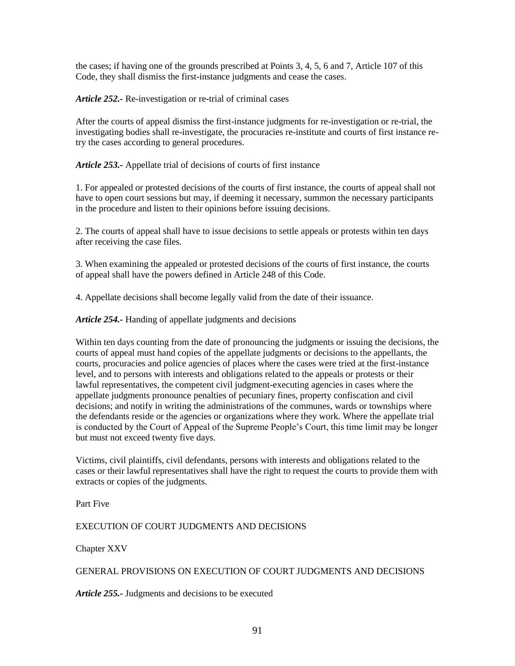the cases; if having one of the grounds prescribed at Points 3, 4, 5, 6 and 7, Article 107 of this Code, they shall dismiss the first-instance judgments and cease the cases.

*Article 252.-* Re-investigation or re-trial of criminal cases

After the courts of appeal dismiss the first-instance judgments for re-investigation or re-trial, the investigating bodies shall re-investigate, the procuracies re-institute and courts of first instance retry the cases according to general procedures.

*Article 253.-* Appellate trial of decisions of courts of first instance

1. For appealed or protested decisions of the courts of first instance, the courts of appeal shall not have to open court sessions but may, if deeming it necessary, summon the necessary participants in the procedure and listen to their opinions before issuing decisions.

2. The courts of appeal shall have to issue decisions to settle appeals or protests within ten days after receiving the case files.

3. When examining the appealed or protested decisions of the courts of first instance, the courts of appeal shall have the powers defined in Article 248 of this Code.

4. Appellate decisions shall become legally valid from the date of their issuance.

*Article 254.-* Handing of appellate judgments and decisions

Within ten days counting from the date of pronouncing the judgments or issuing the decisions, the courts of appeal must hand copies of the appellate judgments or decisions to the appellants, the courts, procuracies and police agencies of places where the cases were tried at the first-instance level, and to persons with interests and obligations related to the appeals or protests or their lawful representatives, the competent civil judgment-executing agencies in cases where the appellate judgments pronounce penalties of pecuniary fines, property confiscation and civil decisions; and notify in writing the administrations of the communes, wards or townships where the defendants reside or the agencies or organizations where they work. Where the appellate trial is conducted by the Court of Appeal of the Supreme People's Court, this time limit may be longer but must not exceed twenty five days.

Victims, civil plaintiffs, civil defendants, persons with interests and obligations related to the cases or their lawful representatives shall have the right to request the courts to provide them with extracts or copies of the judgments.

Part Five

EXECUTION OF COURT JUDGMENTS AND DECISIONS

Chapter XXV

## GENERAL PROVISIONS ON EXECUTION OF COURT JUDGMENTS AND DECISIONS

*Article 255.-* Judgments and decisions to be executed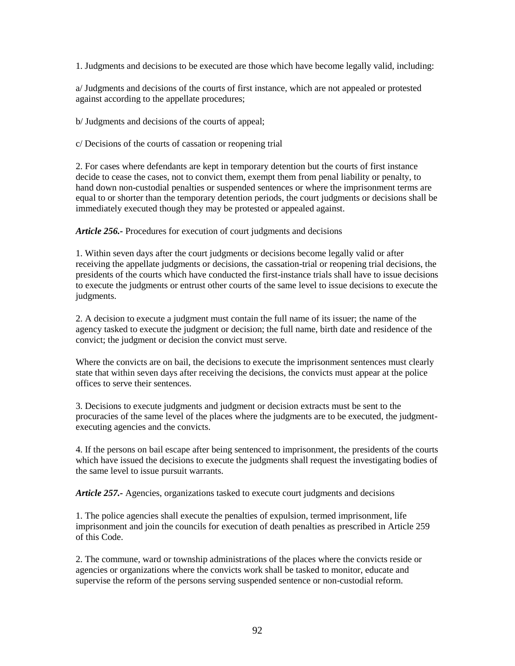1. Judgments and decisions to be executed are those which have become legally valid, including:

a/ Judgments and decisions of the courts of first instance, which are not appealed or protested against according to the appellate procedures;

b/ Judgments and decisions of the courts of appeal;

c/ Decisions of the courts of cassation or reopening trial

2. For cases where defendants are kept in temporary detention but the courts of first instance decide to cease the cases, not to convict them, exempt them from penal liability or penalty, to hand down non-custodial penalties or suspended sentences or where the imprisonment terms are equal to or shorter than the temporary detention periods, the court judgments or decisions shall be immediately executed though they may be protested or appealed against.

*Article 256.-* Procedures for execution of court judgments and decisions

1. Within seven days after the court judgments or decisions become legally valid or after receiving the appellate judgments or decisions, the cassation-trial or reopening trial decisions, the presidents of the courts which have conducted the first-instance trials shall have to issue decisions to execute the judgments or entrust other courts of the same level to issue decisions to execute the judgments.

2. A decision to execute a judgment must contain the full name of its issuer; the name of the agency tasked to execute the judgment or decision; the full name, birth date and residence of the convict; the judgment or decision the convict must serve.

Where the convicts are on bail, the decisions to execute the imprisonment sentences must clearly state that within seven days after receiving the decisions, the convicts must appear at the police offices to serve their sentences.

3. Decisions to execute judgments and judgment or decision extracts must be sent to the procuracies of the same level of the places where the judgments are to be executed, the judgmentexecuting agencies and the convicts.

4. If the persons on bail escape after being sentenced to imprisonment, the presidents of the courts which have issued the decisions to execute the judgments shall request the investigating bodies of the same level to issue pursuit warrants.

*Article 257.-* Agencies, organizations tasked to execute court judgments and decisions

1. The police agencies shall execute the penalties of expulsion, termed imprisonment, life imprisonment and join the councils for execution of death penalties as prescribed in Article 259 of this Code.

2. The commune, ward or township administrations of the places where the convicts reside or agencies or organizations where the convicts work shall be tasked to monitor, educate and supervise the reform of the persons serving suspended sentence or non-custodial reform.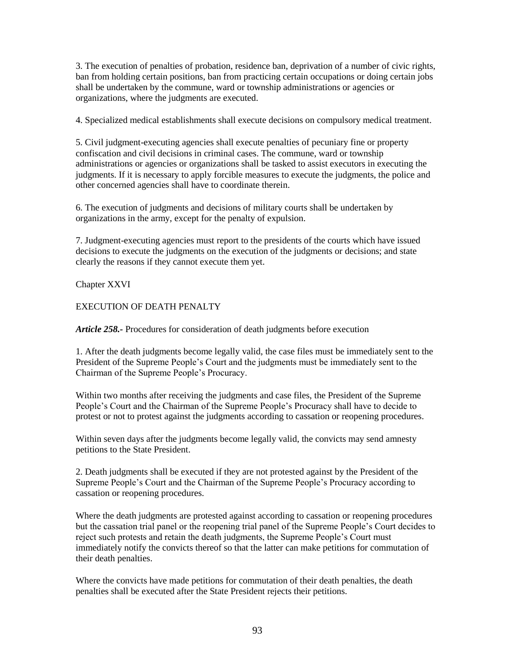3. The execution of penalties of probation, residence ban, deprivation of a number of civic rights, ban from holding certain positions, ban from practicing certain occupations or doing certain jobs shall be undertaken by the commune, ward or township administrations or agencies or organizations, where the judgments are executed.

4. Specialized medical establishments shall execute decisions on compulsory medical treatment.

5. Civil judgment-executing agencies shall execute penalties of pecuniary fine or property confiscation and civil decisions in criminal cases. The commune, ward or township administrations or agencies or organizations shall be tasked to assist executors in executing the judgments. If it is necessary to apply forcible measures to execute the judgments, the police and other concerned agencies shall have to coordinate therein.

6. The execution of judgments and decisions of military courts shall be undertaken by organizations in the army, except for the penalty of expulsion.

7. Judgment-executing agencies must report to the presidents of the courts which have issued decisions to execute the judgments on the execution of the judgments or decisions; and state clearly the reasons if they cannot execute them yet.

Chapter XXVI

# EXECUTION OF DEATH PENALTY

*Article 258.-* Procedures for consideration of death judgments before execution

1. After the death judgments become legally valid, the case files must be immediately sent to the President of the Supreme People's Court and the judgments must be immediately sent to the Chairman of the Supreme People's Procuracy.

Within two months after receiving the judgments and case files, the President of the Supreme People's Court and the Chairman of the Supreme People's Procuracy shall have to decide to protest or not to protest against the judgments according to cassation or reopening procedures.

Within seven days after the judgments become legally valid, the convicts may send amnesty petitions to the State President.

2. Death judgments shall be executed if they are not protested against by the President of the Supreme People's Court and the Chairman of the Supreme People's Procuracy according to cassation or reopening procedures.

Where the death judgments are protested against according to cassation or reopening procedures but the cassation trial panel or the reopening trial panel of the Supreme People's Court decides to reject such protests and retain the death judgments, the Supreme People's Court must immediately notify the convicts thereof so that the latter can make petitions for commutation of their death penalties.

Where the convicts have made petitions for commutation of their death penalties, the death penalties shall be executed after the State President rejects their petitions.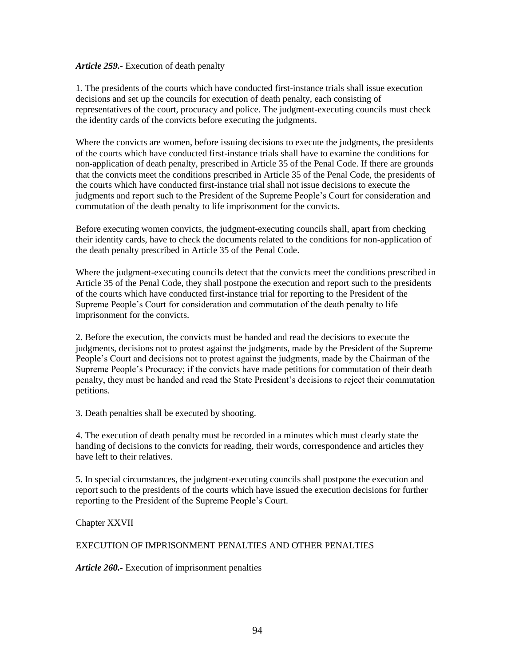#### *Article 259.-* Execution of death penalty

1. The presidents of the courts which have conducted first-instance trials shall issue execution decisions and set up the councils for execution of death penalty, each consisting of representatives of the court, procuracy and police. The judgment-executing councils must check the identity cards of the convicts before executing the judgments.

Where the convicts are women, before issuing decisions to execute the judgments, the presidents of the courts which have conducted first-instance trials shall have to examine the conditions for non-application of death penalty, prescribed in Article 35 of the Penal Code. If there are grounds that the convicts meet the conditions prescribed in Article 35 of the Penal Code, the presidents of the courts which have conducted first-instance trial shall not issue decisions to execute the judgments and report such to the President of the Supreme People's Court for consideration and commutation of the death penalty to life imprisonment for the convicts.

Before executing women convicts, the judgment-executing councils shall, apart from checking their identity cards, have to check the documents related to the conditions for non-application of the death penalty prescribed in Article 35 of the Penal Code.

Where the judgment-executing councils detect that the convicts meet the conditions prescribed in Article 35 of the Penal Code, they shall postpone the execution and report such to the presidents of the courts which have conducted first-instance trial for reporting to the President of the Supreme People's Court for consideration and commutation of the death penalty to life imprisonment for the convicts.

2. Before the execution, the convicts must be handed and read the decisions to execute the judgments, decisions not to protest against the judgments, made by the President of the Supreme People's Court and decisions not to protest against the judgments, made by the Chairman of the Supreme People's Procuracy; if the convicts have made petitions for commutation of their death penalty, they must be handed and read the State President's decisions to reject their commutation petitions.

3. Death penalties shall be executed by shooting.

4. The execution of death penalty must be recorded in a minutes which must clearly state the handing of decisions to the convicts for reading, their words, correspondence and articles they have left to their relatives.

5. In special circumstances, the judgment-executing councils shall postpone the execution and report such to the presidents of the courts which have issued the execution decisions for further reporting to the President of the Supreme People's Court.

Chapter XXVII

## EXECUTION OF IMPRISONMENT PENALTIES AND OTHER PENALTIES

*Article 260.-* Execution of imprisonment penalties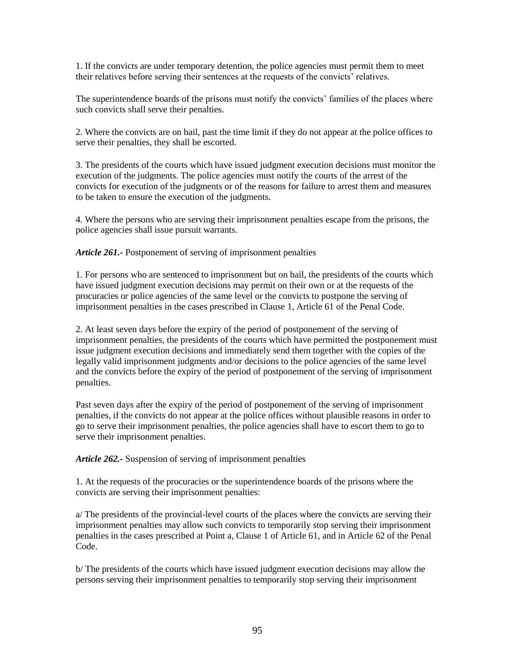1. If the convicts are under temporary detention, the police agencies must permit them to meet their relatives before serving their sentences at the requests of the convicts' relatives.

The superintendence boards of the prisons must notify the convicts' families of the places where such convicts shall serve their penalties.

2. Where the convicts are on bail, past the time limit if they do not appear at the police offices to serve their penalties, they shall be escorted.

3. The presidents of the courts which have issued judgment execution decisions must monitor the execution of the judgments. The police agencies must notify the courts of the arrest of the convicts for execution of the judgments or of the reasons for failure to arrest them and measures to be taken to ensure the execution of the judgments.

4. Where the persons who are serving their imprisonment penalties escape from the prisons, the police agencies shall issue pursuit warrants.

*Article 261.-* Postponement of serving of imprisonment penalties

1. For persons who are sentenced to imprisonment but on bail, the presidents of the courts which have issued judgment execution decisions may permit on their own or at the requests of the procuracies or police agencies of the same level or the convicts to postpone the serving of imprisonment penalties in the cases prescribed in Clause 1, Article 61 of the Penal Code.

2. At least seven days before the expiry of the period of postponement of the serving of imprisonment penalties, the presidents of the courts which have permitted the postponement must issue judgment execution decisions and immediately send them together with the copies of the legally valid imprisonment judgments and/or decisions to the police agencies of the same level and the convicts before the expiry of the period of postponement of the serving of imprisonment penalties.

Past seven days after the expiry of the period of postponement of the serving of imprisonment penalties, if the convicts do not appear at the police offices without plausible reasons in order to go to serve their imprisonment penalties, the police agencies shall have to escort them to go to serve their imprisonment penalties.

*Article 262.-* Suspension of serving of imprisonment penalties

1. At the requests of the procuracies or the superintendence boards of the prisons where the convicts are serving their imprisonment penalties:

a/ The presidents of the provincial-level courts of the places where the convicts are serving their imprisonment penalties may allow such convicts to temporarily stop serving their imprisonment penalties in the cases prescribed at Point a, Clause 1 of Article 61, and in Article 62 of the Penal Code.

b/ The presidents of the courts which have issued judgment execution decisions may allow the persons serving their imprisonment penalties to temporarily stop serving their imprisonment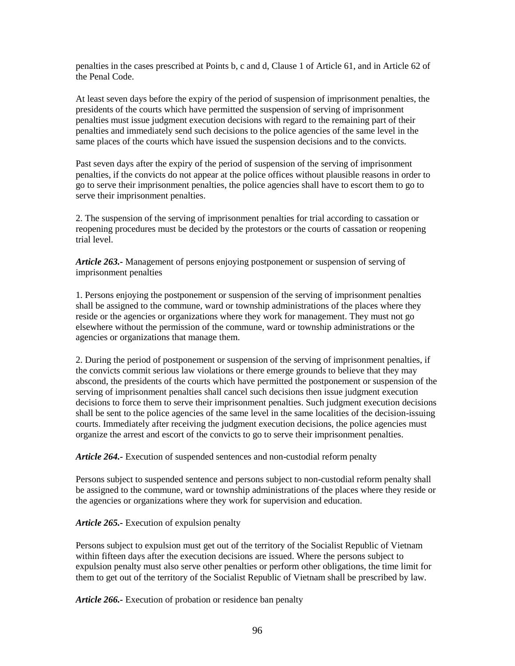penalties in the cases prescribed at Points b, c and d, Clause 1 of Article 61, and in Article 62 of the Penal Code.

At least seven days before the expiry of the period of suspension of imprisonment penalties, the presidents of the courts which have permitted the suspension of serving of imprisonment penalties must issue judgment execution decisions with regard to the remaining part of their penalties and immediately send such decisions to the police agencies of the same level in the same places of the courts which have issued the suspension decisions and to the convicts.

Past seven days after the expiry of the period of suspension of the serving of imprisonment penalties, if the convicts do not appear at the police offices without plausible reasons in order to go to serve their imprisonment penalties, the police agencies shall have to escort them to go to serve their imprisonment penalties.

2. The suspension of the serving of imprisonment penalties for trial according to cassation or reopening procedures must be decided by the protestors or the courts of cassation or reopening trial level.

*Article 263.-* Management of persons enjoying postponement or suspension of serving of imprisonment penalties

1. Persons enjoying the postponement or suspension of the serving of imprisonment penalties shall be assigned to the commune, ward or township administrations of the places where they reside or the agencies or organizations where they work for management. They must not go elsewhere without the permission of the commune, ward or township administrations or the agencies or organizations that manage them.

2. During the period of postponement or suspension of the serving of imprisonment penalties, if the convicts commit serious law violations or there emerge grounds to believe that they may abscond, the presidents of the courts which have permitted the postponement or suspension of the serving of imprisonment penalties shall cancel such decisions then issue judgment execution decisions to force them to serve their imprisonment penalties. Such judgment execution decisions shall be sent to the police agencies of the same level in the same localities of the decision-issuing courts. Immediately after receiving the judgment execution decisions, the police agencies must organize the arrest and escort of the convicts to go to serve their imprisonment penalties.

*Article 264.-* Execution of suspended sentences and non-custodial reform penalty

Persons subject to suspended sentence and persons subject to non-custodial reform penalty shall be assigned to the commune, ward or township administrations of the places where they reside or the agencies or organizations where they work for supervision and education.

## *Article 265.-* Execution of expulsion penalty

Persons subject to expulsion must get out of the territory of the Socialist Republic of Vietnam within fifteen days after the execution decisions are issued. Where the persons subject to expulsion penalty must also serve other penalties or perform other obligations, the time limit for them to get out of the territory of the Socialist Republic of Vietnam shall be prescribed by law.

*Article 266.-* Execution of probation or residence ban penalty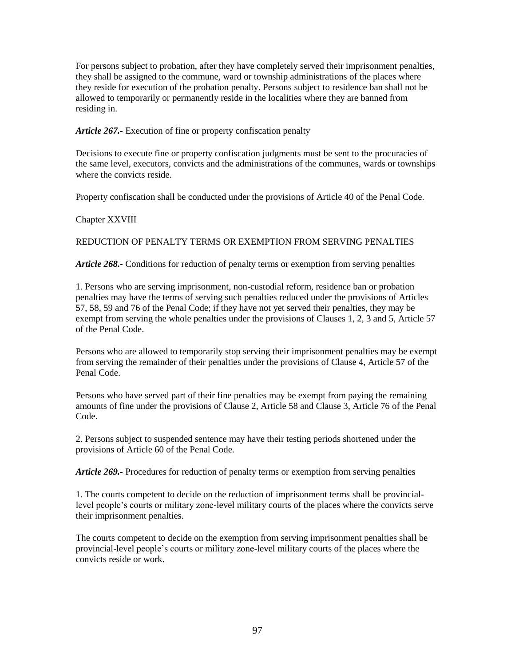For persons subject to probation, after they have completely served their imprisonment penalties, they shall be assigned to the commune, ward or township administrations of the places where they reside for execution of the probation penalty. Persons subject to residence ban shall not be allowed to temporarily or permanently reside in the localities where they are banned from residing in.

*Article 267.-* Execution of fine or property confiscation penalty

Decisions to execute fine or property confiscation judgments must be sent to the procuracies of the same level, executors, convicts and the administrations of the communes, wards or townships where the convicts reside.

Property confiscation shall be conducted under the provisions of Article 40 of the Penal Code.

# Chapter XXVIII

# REDUCTION OF PENALTY TERMS OR EXEMPTION FROM SERVING PENALTIES

*Article 268.-* Conditions for reduction of penalty terms or exemption from serving penalties

1. Persons who are serving imprisonment, non-custodial reform, residence ban or probation penalties may have the terms of serving such penalties reduced under the provisions of Articles 57, 58, 59 and 76 of the Penal Code; if they have not yet served their penalties, they may be exempt from serving the whole penalties under the provisions of Clauses 1, 2, 3 and 5, Article 57 of the Penal Code.

Persons who are allowed to temporarily stop serving their imprisonment penalties may be exempt from serving the remainder of their penalties under the provisions of Clause 4, Article 57 of the Penal Code.

Persons who have served part of their fine penalties may be exempt from paying the remaining amounts of fine under the provisions of Clause 2, Article 58 and Clause 3, Article 76 of the Penal Code.

2. Persons subject to suspended sentence may have their testing periods shortened under the provisions of Article 60 of the Penal Code.

*Article 269.-* Procedures for reduction of penalty terms or exemption from serving penalties

1. The courts competent to decide on the reduction of imprisonment terms shall be provinciallevel people's courts or military zone-level military courts of the places where the convicts serve their imprisonment penalties.

The courts competent to decide on the exemption from serving imprisonment penalties shall be provincial-level people's courts or military zone-level military courts of the places where the convicts reside or work.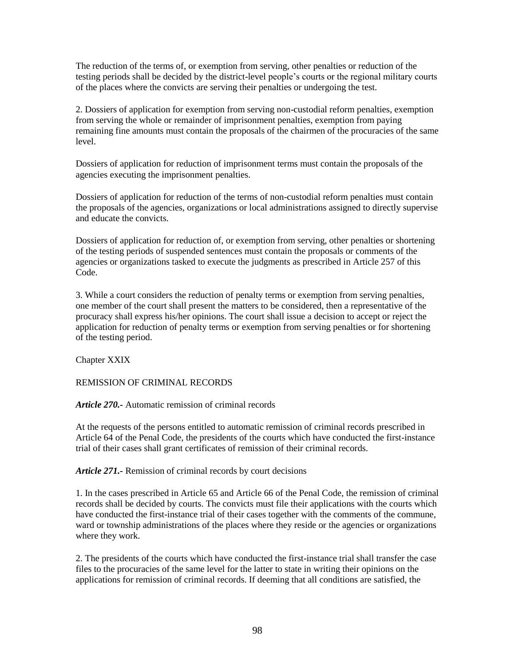The reduction of the terms of, or exemption from serving, other penalties or reduction of the testing periods shall be decided by the district-level people's courts or the regional military courts of the places where the convicts are serving their penalties or undergoing the test.

2. Dossiers of application for exemption from serving non-custodial reform penalties, exemption from serving the whole or remainder of imprisonment penalties, exemption from paying remaining fine amounts must contain the proposals of the chairmen of the procuracies of the same level.

Dossiers of application for reduction of imprisonment terms must contain the proposals of the agencies executing the imprisonment penalties.

Dossiers of application for reduction of the terms of non-custodial reform penalties must contain the proposals of the agencies, organizations or local administrations assigned to directly supervise and educate the convicts.

Dossiers of application for reduction of, or exemption from serving, other penalties or shortening of the testing periods of suspended sentences must contain the proposals or comments of the agencies or organizations tasked to execute the judgments as prescribed in Article 257 of this Code.

3. While a court considers the reduction of penalty terms or exemption from serving penalties, one member of the court shall present the matters to be considered, then a representative of the procuracy shall express his/her opinions. The court shall issue a decision to accept or reject the application for reduction of penalty terms or exemption from serving penalties or for shortening of the testing period.

Chapter XXIX

REMISSION OF CRIMINAL RECORDS

*Article 270.-* Automatic remission of criminal records

At the requests of the persons entitled to automatic remission of criminal records prescribed in Article 64 of the Penal Code, the presidents of the courts which have conducted the first-instance trial of their cases shall grant certificates of remission of their criminal records.

*Article 271.-* Remission of criminal records by court decisions

1. In the cases prescribed in Article 65 and Article 66 of the Penal Code, the remission of criminal records shall be decided by courts. The convicts must file their applications with the courts which have conducted the first-instance trial of their cases together with the comments of the commune, ward or township administrations of the places where they reside or the agencies or organizations where they work.

2. The presidents of the courts which have conducted the first-instance trial shall transfer the case files to the procuracies of the same level for the latter to state in writing their opinions on the applications for remission of criminal records. If deeming that all conditions are satisfied, the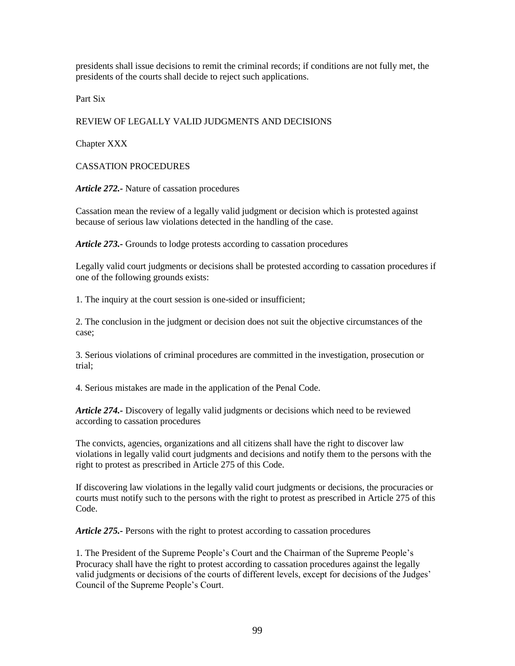presidents shall issue decisions to remit the criminal records; if conditions are not fully met, the presidents of the courts shall decide to reject such applications.

Part Six

# REVIEW OF LEGALLY VALID JUDGMENTS AND DECISIONS

Chapter XXX

CASSATION PROCEDURES

*Article 272.-* Nature of cassation procedures

Cassation mean the review of a legally valid judgment or decision which is protested against because of serious law violations detected in the handling of the case.

*Article 273.-* Grounds to lodge protests according to cassation procedures

Legally valid court judgments or decisions shall be protested according to cassation procedures if one of the following grounds exists:

1. The inquiry at the court session is one-sided or insufficient;

2. The conclusion in the judgment or decision does not suit the objective circumstances of the case;

3. Serious violations of criminal procedures are committed in the investigation, prosecution or trial;

4. Serious mistakes are made in the application of the Penal Code.

*Article 274.-* Discovery of legally valid judgments or decisions which need to be reviewed according to cassation procedures

The convicts, agencies, organizations and all citizens shall have the right to discover law violations in legally valid court judgments and decisions and notify them to the persons with the right to protest as prescribed in Article 275 of this Code.

If discovering law violations in the legally valid court judgments or decisions, the procuracies or courts must notify such to the persons with the right to protest as prescribed in Article 275 of this Code.

*Article 275.-* Persons with the right to protest according to cassation procedures

1. The President of the Supreme People's Court and the Chairman of the Supreme People's Procuracy shall have the right to protest according to cassation procedures against the legally valid judgments or decisions of the courts of different levels, except for decisions of the Judges' Council of the Supreme People's Court.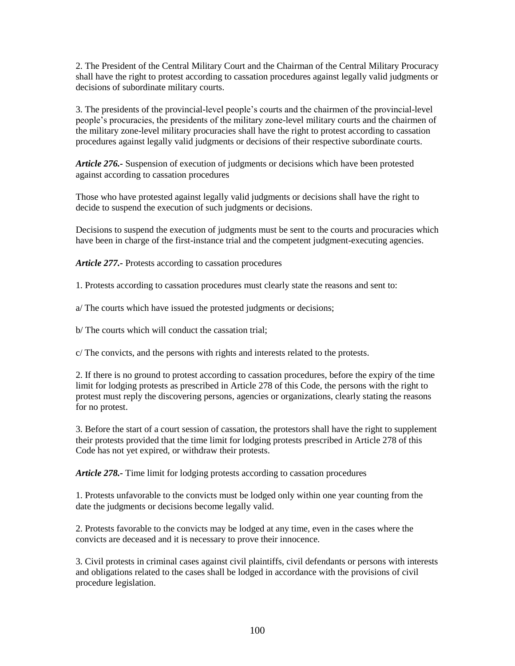2. The President of the Central Military Court and the Chairman of the Central Military Procuracy shall have the right to protest according to cassation procedures against legally valid judgments or decisions of subordinate military courts.

3. The presidents of the provincial-level people's courts and the chairmen of the provincial-level people's procuracies, the presidents of the military zone-level military courts and the chairmen of the military zone-level military procuracies shall have the right to protest according to cassation procedures against legally valid judgments or decisions of their respective subordinate courts.

*Article 276.-* Suspension of execution of judgments or decisions which have been protested against according to cassation procedures

Those who have protested against legally valid judgments or decisions shall have the right to decide to suspend the execution of such judgments or decisions.

Decisions to suspend the execution of judgments must be sent to the courts and procuracies which have been in charge of the first-instance trial and the competent judgment-executing agencies.

*Article 277.-* Protests according to cassation procedures

1. Protests according to cassation procedures must clearly state the reasons and sent to:

a/ The courts which have issued the protested judgments or decisions;

b/ The courts which will conduct the cassation trial;

c/ The convicts, and the persons with rights and interests related to the protests.

2. If there is no ground to protest according to cassation procedures, before the expiry of the time limit for lodging protests as prescribed in Article 278 of this Code, the persons with the right to protest must reply the discovering persons, agencies or organizations, clearly stating the reasons for no protest.

3. Before the start of a court session of cassation, the protestors shall have the right to supplement their protests provided that the time limit for lodging protests prescribed in Article 278 of this Code has not yet expired, or withdraw their protests.

*Article 278.-* Time limit for lodging protests according to cassation procedures

1. Protests unfavorable to the convicts must be lodged only within one year counting from the date the judgments or decisions become legally valid.

2. Protests favorable to the convicts may be lodged at any time, even in the cases where the convicts are deceased and it is necessary to prove their innocence.

3. Civil protests in criminal cases against civil plaintiffs, civil defendants or persons with interests and obligations related to the cases shall be lodged in accordance with the provisions of civil procedure legislation.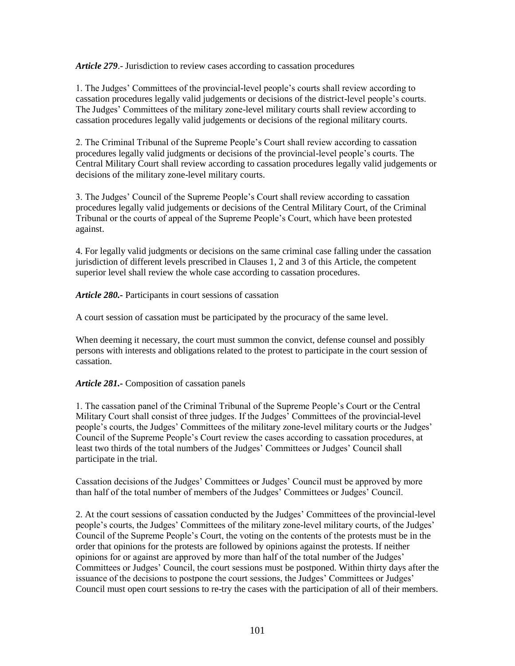*Article 279*.- Jurisdiction to review cases according to cassation procedures

1. The Judges' Committees of the provincial-level people's courts shall review according to cassation procedures legally valid judgements or decisions of the district-level people's courts. The Judges' Committees of the military zone-level military courts shall review according to cassation procedures legally valid judgements or decisions of the regional military courts.

2. The Criminal Tribunal of the Supreme People's Court shall review according to cassation procedures legally valid judgments or decisions of the provincial-level people's courts. The Central Military Court shall review according to cassation procedures legally valid judgements or decisions of the military zone-level military courts.

3. The Judges' Council of the Supreme People's Court shall review according to cassation procedures legally valid judgements or decisions of the Central Military Court, of the Criminal Tribunal or the courts of appeal of the Supreme People's Court, which have been protested against.

4. For legally valid judgments or decisions on the same criminal case falling under the cassation jurisdiction of different levels prescribed in Clauses 1, 2 and 3 of this Article, the competent superior level shall review the whole case according to cassation procedures.

*Article 280.-* Participants in court sessions of cassation

A court session of cassation must be participated by the procuracy of the same level.

When deeming it necessary, the court must summon the convict, defense counsel and possibly persons with interests and obligations related to the protest to participate in the court session of cassation.

## *Article 281.-* Composition of cassation panels

1. The cassation panel of the Criminal Tribunal of the Supreme People's Court or the Central Military Court shall consist of three judges. If the Judges' Committees of the provincial-level people's courts, the Judges' Committees of the military zone-level military courts or the Judges' Council of the Supreme People's Court review the cases according to cassation procedures, at least two thirds of the total numbers of the Judges' Committees or Judges' Council shall participate in the trial.

Cassation decisions of the Judges' Committees or Judges' Council must be approved by more than half of the total number of members of the Judges' Committees or Judges' Council.

2. At the court sessions of cassation conducted by the Judges' Committees of the provincial-level people's courts, the Judges' Committees of the military zone-level military courts, of the Judges' Council of the Supreme People's Court, the voting on the contents of the protests must be in the order that opinions for the protests are followed by opinions against the protests. If neither opinions for or against are approved by more than half of the total number of the Judges' Committees or Judges' Council, the court sessions must be postponed. Within thirty days after the issuance of the decisions to postpone the court sessions, the Judges' Committees or Judges' Council must open court sessions to re-try the cases with the participation of all of their members.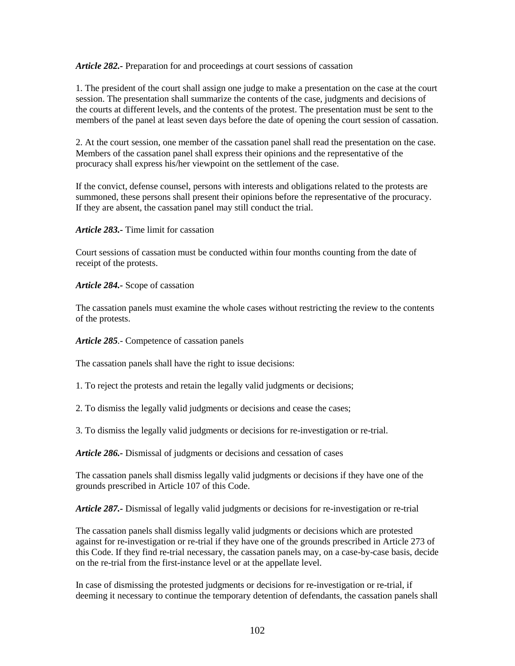*Article 282.-* Preparation for and proceedings at court sessions of cassation

1. The president of the court shall assign one judge to make a presentation on the case at the court session. The presentation shall summarize the contents of the case, judgments and decisions of the courts at different levels, and the contents of the protest. The presentation must be sent to the members of the panel at least seven days before the date of opening the court session of cassation.

2. At the court session, one member of the cassation panel shall read the presentation on the case. Members of the cassation panel shall express their opinions and the representative of the procuracy shall express his/her viewpoint on the settlement of the case.

If the convict, defense counsel, persons with interests and obligations related to the protests are summoned, these persons shall present their opinions before the representative of the procuracy. If they are absent, the cassation panel may still conduct the trial.

*Article 283.-* Time limit for cassation

Court sessions of cassation must be conducted within four months counting from the date of receipt of the protests.

*Article 284.-* Scope of cassation

The cassation panels must examine the whole cases without restricting the review to the contents of the protests.

*Article 285.-* Competence of cassation panels

The cassation panels shall have the right to issue decisions:

1. To reject the protests and retain the legally valid judgments or decisions;

2. To dismiss the legally valid judgments or decisions and cease the cases;

3. To dismiss the legally valid judgments or decisions for re-investigation or re-trial.

*Article 286.-* Dismissal of judgments or decisions and cessation of cases

The cassation panels shall dismiss legally valid judgments or decisions if they have one of the grounds prescribed in Article 107 of this Code.

*Article 287.-* Dismissal of legally valid judgments or decisions for re-investigation or re-trial

The cassation panels shall dismiss legally valid judgments or decisions which are protested against for re-investigation or re-trial if they have one of the grounds prescribed in Article 273 of this Code. If they find re-trial necessary, the cassation panels may, on a case-by-case basis, decide on the re-trial from the first-instance level or at the appellate level.

In case of dismissing the protested judgments or decisions for re-investigation or re-trial, if deeming it necessary to continue the temporary detention of defendants, the cassation panels shall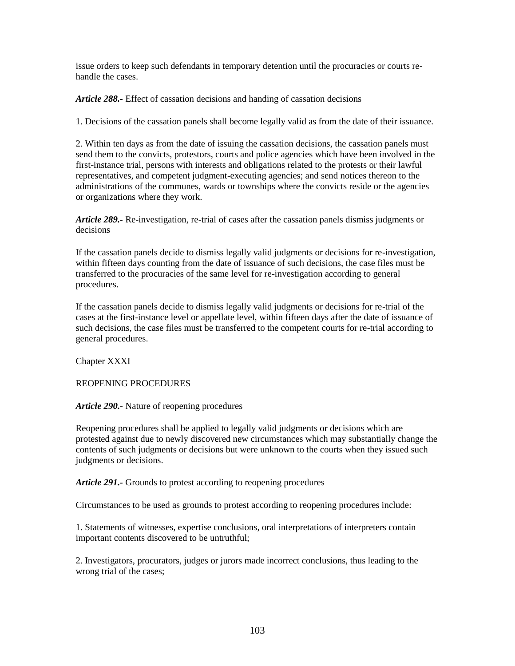issue orders to keep such defendants in temporary detention until the procuracies or courts rehandle the cases.

*Article 288.-* Effect of cassation decisions and handing of cassation decisions

1. Decisions of the cassation panels shall become legally valid as from the date of their issuance.

2. Within ten days as from the date of issuing the cassation decisions, the cassation panels must send them to the convicts, protestors, courts and police agencies which have been involved in the first-instance trial, persons with interests and obligations related to the protests or their lawful representatives, and competent judgment-executing agencies; and send notices thereon to the administrations of the communes, wards or townships where the convicts reside or the agencies or organizations where they work.

*Article 289.-* Re-investigation, re-trial of cases after the cassation panels dismiss judgments or decisions

If the cassation panels decide to dismiss legally valid judgments or decisions for re-investigation, within fifteen days counting from the date of issuance of such decisions, the case files must be transferred to the procuracies of the same level for re-investigation according to general procedures.

If the cassation panels decide to dismiss legally valid judgments or decisions for re-trial of the cases at the first-instance level or appellate level, within fifteen days after the date of issuance of such decisions, the case files must be transferred to the competent courts for re-trial according to general procedures.

Chapter XXXI

REOPENING PROCEDURES

*Article 290.-* Nature of reopening procedures

Reopening procedures shall be applied to legally valid judgments or decisions which are protested against due to newly discovered new circumstances which may substantially change the contents of such judgments or decisions but were unknown to the courts when they issued such judgments or decisions.

*Article 291.-* Grounds to protest according to reopening procedures

Circumstances to be used as grounds to protest according to reopening procedures include:

1. Statements of witnesses, expertise conclusions, oral interpretations of interpreters contain important contents discovered to be untruthful;

2. Investigators, procurators, judges or jurors made incorrect conclusions, thus leading to the wrong trial of the cases;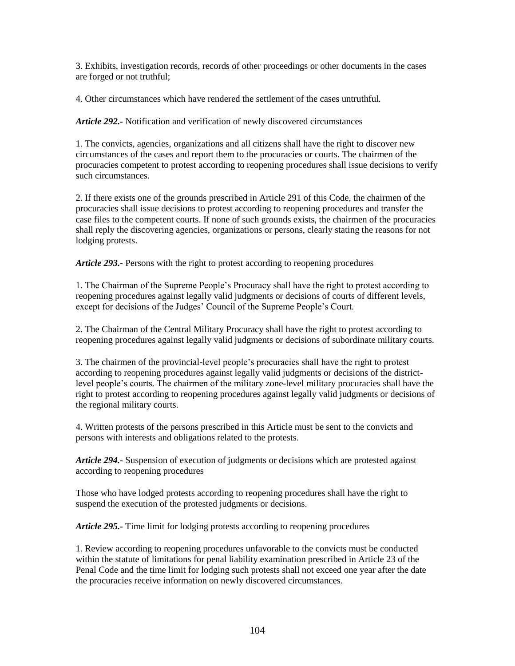3. Exhibits, investigation records, records of other proceedings or other documents in the cases are forged or not truthful;

4. Other circumstances which have rendered the settlement of the cases untruthful.

*Article 292.-* Notification and verification of newly discovered circumstances

1. The convicts, agencies, organizations and all citizens shall have the right to discover new circumstances of the cases and report them to the procuracies or courts. The chairmen of the procuracies competent to protest according to reopening procedures shall issue decisions to verify such circumstances.

2. If there exists one of the grounds prescribed in Article 291 of this Code, the chairmen of the procuracies shall issue decisions to protest according to reopening procedures and transfer the case files to the competent courts. If none of such grounds exists, the chairmen of the procuracies shall reply the discovering agencies, organizations or persons, clearly stating the reasons for not lodging protests.

*Article 293.-* Persons with the right to protest according to reopening procedures

1. The Chairman of the Supreme People's Procuracy shall have the right to protest according to reopening procedures against legally valid judgments or decisions of courts of different levels, except for decisions of the Judges' Council of the Supreme People's Court.

2. The Chairman of the Central Military Procuracy shall have the right to protest according to reopening procedures against legally valid judgments or decisions of subordinate military courts.

3. The chairmen of the provincial-level people's procuracies shall have the right to protest according to reopening procedures against legally valid judgments or decisions of the districtlevel people's courts. The chairmen of the military zone-level military procuracies shall have the right to protest according to reopening procedures against legally valid judgments or decisions of the regional military courts.

4. Written protests of the persons prescribed in this Article must be sent to the convicts and persons with interests and obligations related to the protests.

*Article 294.-* Suspension of execution of judgments or decisions which are protested against according to reopening procedures

Those who have lodged protests according to reopening procedures shall have the right to suspend the execution of the protested judgments or decisions.

*Article 295.-* Time limit for lodging protests according to reopening procedures

1. Review according to reopening procedures unfavorable to the convicts must be conducted within the statute of limitations for penal liability examination prescribed in Article 23 of the Penal Code and the time limit for lodging such protests shall not exceed one year after the date the procuracies receive information on newly discovered circumstances.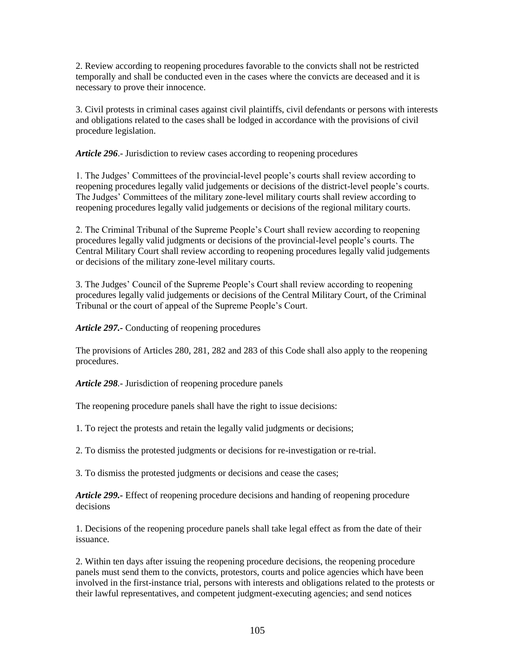2. Review according to reopening procedures favorable to the convicts shall not be restricted temporally and shall be conducted even in the cases where the convicts are deceased and it is necessary to prove their innocence.

3. Civil protests in criminal cases against civil plaintiffs, civil defendants or persons with interests and obligations related to the cases shall be lodged in accordance with the provisions of civil procedure legislation.

*Article 296*.- Jurisdiction to review cases according to reopening procedures

1. The Judges' Committees of the provincial-level people's courts shall review according to reopening procedures legally valid judgements or decisions of the district-level people's courts. The Judges' Committees of the military zone-level military courts shall review according to reopening procedures legally valid judgements or decisions of the regional military courts.

2. The Criminal Tribunal of the Supreme People's Court shall review according to reopening procedures legally valid judgments or decisions of the provincial-level people's courts. The Central Military Court shall review according to reopening procedures legally valid judgements or decisions of the military zone-level military courts.

3. The Judges' Council of the Supreme People's Court shall review according to reopening procedures legally valid judgements or decisions of the Central Military Court, of the Criminal Tribunal or the court of appeal of the Supreme People's Court.

*Article 297.-* Conducting of reopening procedures

The provisions of Articles 280, 281, 282 and 283 of this Code shall also apply to the reopening procedures.

*Article 298.-* Jurisdiction of reopening procedure panels

The reopening procedure panels shall have the right to issue decisions:

1. To reject the protests and retain the legally valid judgments or decisions;

2. To dismiss the protested judgments or decisions for re-investigation or re-trial.

3. To dismiss the protested judgments or decisions and cease the cases;

*Article 299.-* Effect of reopening procedure decisions and handing of reopening procedure decisions

1. Decisions of the reopening procedure panels shall take legal effect as from the date of their issuance.

2. Within ten days after issuing the reopening procedure decisions, the reopening procedure panels must send them to the convicts, protestors, courts and police agencies which have been involved in the first-instance trial, persons with interests and obligations related to the protests or their lawful representatives, and competent judgment-executing agencies; and send notices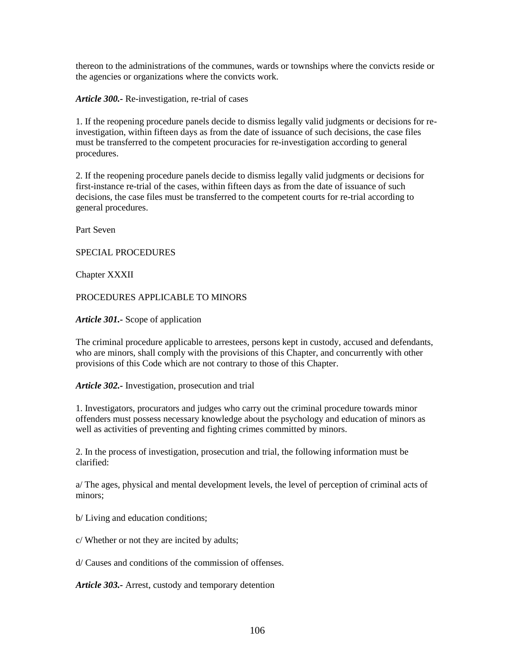thereon to the administrations of the communes, wards or townships where the convicts reside or the agencies or organizations where the convicts work.

*Article 300.-* Re-investigation, re-trial of cases

1. If the reopening procedure panels decide to dismiss legally valid judgments or decisions for reinvestigation, within fifteen days as from the date of issuance of such decisions, the case files must be transferred to the competent procuracies for re-investigation according to general procedures.

2. If the reopening procedure panels decide to dismiss legally valid judgments or decisions for first-instance re-trial of the cases, within fifteen days as from the date of issuance of such decisions, the case files must be transferred to the competent courts for re-trial according to general procedures.

Part Seven

SPECIAL PROCEDURES

Chapter XXXII

PROCEDURES APPLICABLE TO MINORS

*Article 301.-* Scope of application

The criminal procedure applicable to arrestees, persons kept in custody, accused and defendants, who are minors, shall comply with the provisions of this Chapter, and concurrently with other provisions of this Code which are not contrary to those of this Chapter.

*Article 302.-* Investigation, prosecution and trial

1. Investigators, procurators and judges who carry out the criminal procedure towards minor offenders must possess necessary knowledge about the psychology and education of minors as well as activities of preventing and fighting crimes committed by minors.

2. In the process of investigation, prosecution and trial, the following information must be clarified:

a/ The ages, physical and mental development levels, the level of perception of criminal acts of minors;

b/ Living and education conditions;

c/ Whether or not they are incited by adults;

d/ Causes and conditions of the commission of offenses.

*Article 303.-* Arrest, custody and temporary detention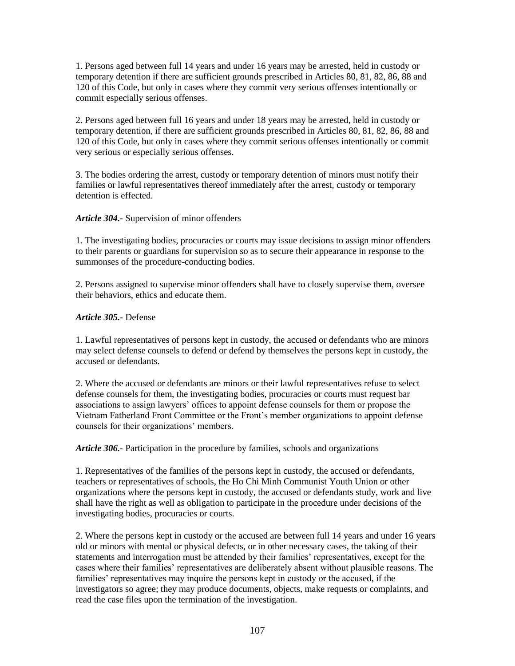1. Persons aged between full 14 years and under 16 years may be arrested, held in custody or temporary detention if there are sufficient grounds prescribed in Articles 80, 81, 82, 86, 88 and 120 of this Code, but only in cases where they commit very serious offenses intentionally or commit especially serious offenses.

2. Persons aged between full 16 years and under 18 years may be arrested, held in custody or temporary detention, if there are sufficient grounds prescribed in Articles 80, 81, 82, 86, 88 and 120 of this Code, but only in cases where they commit serious offenses intentionally or commit very serious or especially serious offenses.

3. The bodies ordering the arrest, custody or temporary detention of minors must notify their families or lawful representatives thereof immediately after the arrest, custody or temporary detention is effected.

# *Article 304.-* Supervision of minor offenders

1. The investigating bodies, procuracies or courts may issue decisions to assign minor offenders to their parents or guardians for supervision so as to secure their appearance in response to the summonses of the procedure-conducting bodies.

2. Persons assigned to supervise minor offenders shall have to closely supervise them, oversee their behaviors, ethics and educate them.

# *Article 305.-* Defense

1. Lawful representatives of persons kept in custody, the accused or defendants who are minors may select defense counsels to defend or defend by themselves the persons kept in custody, the accused or defendants.

2. Where the accused or defendants are minors or their lawful representatives refuse to select defense counsels for them, the investigating bodies, procuracies or courts must request bar associations to assign lawyers' offices to appoint defense counsels for them or propose the Vietnam Fatherland Front Committee or the Front's member organizations to appoint defense counsels for their organizations' members.

*Article 306.-* Participation in the procedure by families, schools and organizations

1. Representatives of the families of the persons kept in custody, the accused or defendants, teachers or representatives of schools, the Ho Chi Minh Communist Youth Union or other organizations where the persons kept in custody, the accused or defendants study, work and live shall have the right as well as obligation to participate in the procedure under decisions of the investigating bodies, procuracies or courts.

2. Where the persons kept in custody or the accused are between full 14 years and under 16 years old or minors with mental or physical defects, or in other necessary cases, the taking of their statements and interrogation must be attended by their families' representatives, except for the cases where their families' representatives are deliberately absent without plausible reasons. The families' representatives may inquire the persons kept in custody or the accused, if the investigators so agree; they may produce documents, objects, make requests or complaints, and read the case files upon the termination of the investigation.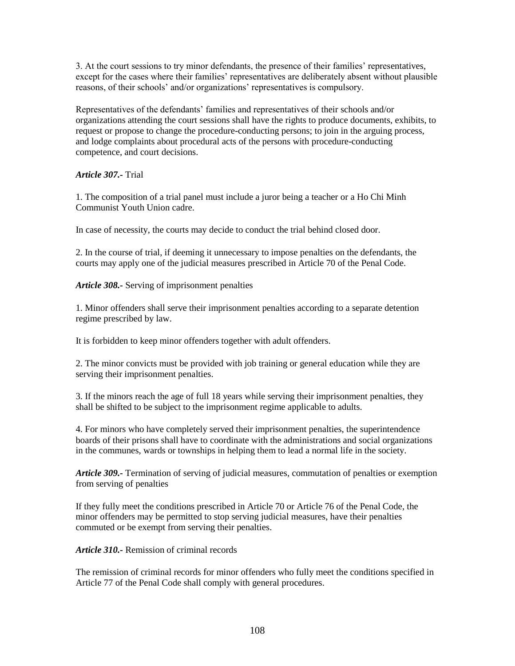3. At the court sessions to try minor defendants, the presence of their families' representatives, except for the cases where their families' representatives are deliberately absent without plausible reasons, of their schools' and/or organizations' representatives is compulsory.

Representatives of the defendants' families and representatives of their schools and/or organizations attending the court sessions shall have the rights to produce documents, exhibits, to request or propose to change the procedure-conducting persons; to join in the arguing process, and lodge complaints about procedural acts of the persons with procedure-conducting competence, and court decisions.

# *Article 307.-* Trial

1. The composition of a trial panel must include a juror being a teacher or a Ho Chi Minh Communist Youth Union cadre.

In case of necessity, the courts may decide to conduct the trial behind closed door.

2. In the course of trial, if deeming it unnecessary to impose penalties on the defendants, the courts may apply one of the judicial measures prescribed in Article 70 of the Penal Code.

*Article 308.-* Serving of imprisonment penalties

1. Minor offenders shall serve their imprisonment penalties according to a separate detention regime prescribed by law.

It is forbidden to keep minor offenders together with adult offenders.

2. The minor convicts must be provided with job training or general education while they are serving their imprisonment penalties.

3. If the minors reach the age of full 18 years while serving their imprisonment penalties, they shall be shifted to be subject to the imprisonment regime applicable to adults.

4. For minors who have completely served their imprisonment penalties, the superintendence boards of their prisons shall have to coordinate with the administrations and social organizations in the communes, wards or townships in helping them to lead a normal life in the society.

*Article 309.-* Termination of serving of judicial measures, commutation of penalties or exemption from serving of penalties

If they fully meet the conditions prescribed in Article 70 or Article 76 of the Penal Code, the minor offenders may be permitted to stop serving judicial measures, have their penalties commuted or be exempt from serving their penalties.

*Article 310.-* Remission of criminal records

The remission of criminal records for minor offenders who fully meet the conditions specified in Article 77 of the Penal Code shall comply with general procedures.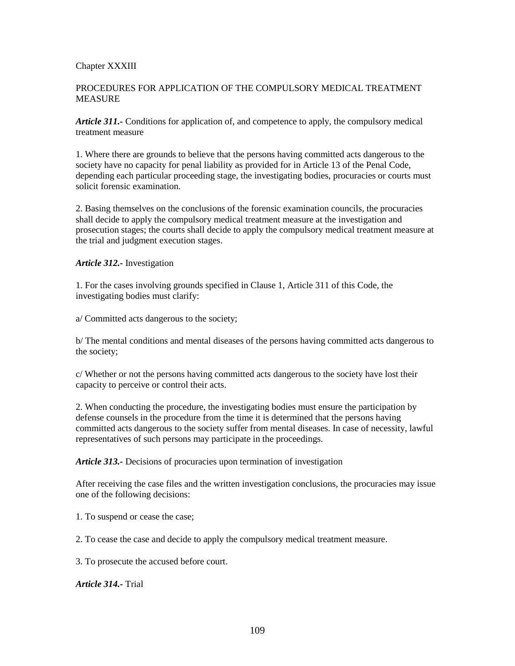### Chapter XXXIII

### PROCEDURES FOR APPLICATION OF THE COMPULSORY MEDICAL TREATMENT MEASURE

*Article 311.-* Conditions for application of, and competence to apply, the compulsory medical treatment measure

1. Where there are grounds to believe that the persons having committed acts dangerous to the society have no capacity for penal liability as provided for in Article 13 of the Penal Code, depending each particular proceeding stage, the investigating bodies, procuracies or courts must solicit forensic examination.

2. Basing themselves on the conclusions of the forensic examination councils, the procuracies shall decide to apply the compulsory medical treatment measure at the investigation and prosecution stages; the courts shall decide to apply the compulsory medical treatment measure at the trial and judgment execution stages.

*Article 312.-* Investigation

1. For the cases involving grounds specified in Clause 1, Article 311 of this Code, the investigating bodies must clarify:

a/ Committed acts dangerous to the society;

b/ The mental conditions and mental diseases of the persons having committed acts dangerous to the society;

c/ Whether or not the persons having committed acts dangerous to the society have lost their capacity to perceive or control their acts.

2. When conducting the procedure, the investigating bodies must ensure the participation by defense counsels in the procedure from the time it is determined that the persons having committed acts dangerous to the society suffer from mental diseases. In case of necessity, lawful representatives of such persons may participate in the proceedings.

*Article 313.-* Decisions of procuracies upon termination of investigation

After receiving the case files and the written investigation conclusions, the procuracies may issue one of the following decisions:

1. To suspend or cease the case;

2. To cease the case and decide to apply the compulsory medical treatment measure.

3. To prosecute the accused before court.

*Article 314.-* Trial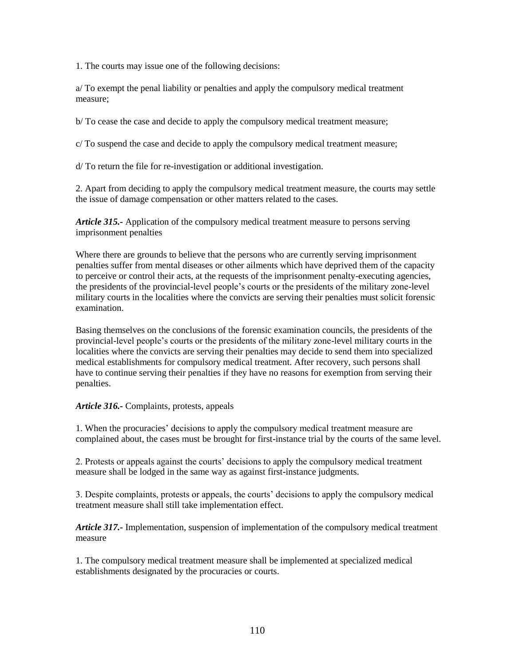1. The courts may issue one of the following decisions:

a/ To exempt the penal liability or penalties and apply the compulsory medical treatment measure;

b/ To cease the case and decide to apply the compulsory medical treatment measure;

c/ To suspend the case and decide to apply the compulsory medical treatment measure;

d/ To return the file for re-investigation or additional investigation.

2. Apart from deciding to apply the compulsory medical treatment measure, the courts may settle the issue of damage compensation or other matters related to the cases.

*Article 315.-* Application of the compulsory medical treatment measure to persons serving imprisonment penalties

Where there are grounds to believe that the persons who are currently serving imprisonment penalties suffer from mental diseases or other ailments which have deprived them of the capacity to perceive or control their acts, at the requests of the imprisonment penalty-executing agencies, the presidents of the provincial-level people's courts or the presidents of the military zone-level military courts in the localities where the convicts are serving their penalties must solicit forensic examination.

Basing themselves on the conclusions of the forensic examination councils, the presidents of the provincial-level people's courts or the presidents of the military zone-level military courts in the localities where the convicts are serving their penalties may decide to send them into specialized medical establishments for compulsory medical treatment. After recovery, such persons shall have to continue serving their penalties if they have no reasons for exemption from serving their penalties.

#### *Article 316.-* Complaints, protests, appeals

1. When the procuracies' decisions to apply the compulsory medical treatment measure are complained about, the cases must be brought for first-instance trial by the courts of the same level.

2. Protests or appeals against the courts' decisions to apply the compulsory medical treatment measure shall be lodged in the same way as against first-instance judgments.

3. Despite complaints, protests or appeals, the courts' decisions to apply the compulsory medical treatment measure shall still take implementation effect.

*Article 317.-* Implementation, suspension of implementation of the compulsory medical treatment measure

1. The compulsory medical treatment measure shall be implemented at specialized medical establishments designated by the procuracies or courts.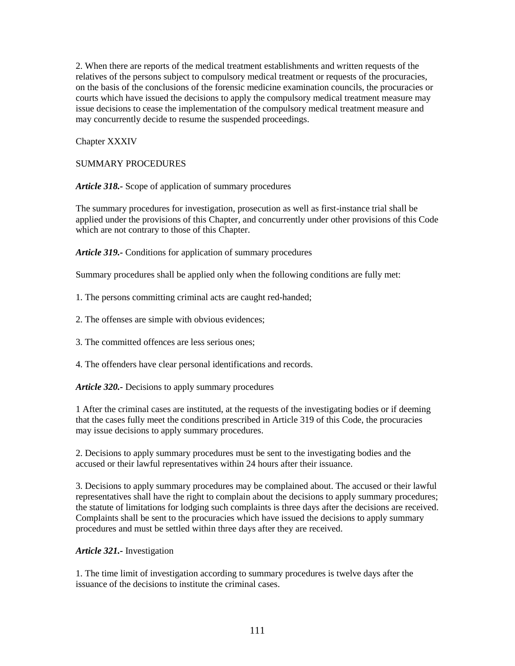2. When there are reports of the medical treatment establishments and written requests of the relatives of the persons subject to compulsory medical treatment or requests of the procuracies, on the basis of the conclusions of the forensic medicine examination councils, the procuracies or courts which have issued the decisions to apply the compulsory medical treatment measure may issue decisions to cease the implementation of the compulsory medical treatment measure and may concurrently decide to resume the suspended proceedings.

Chapter XXXIV

SUMMARY PROCEDURES

*Article 318.-* Scope of application of summary procedures

The summary procedures for investigation, prosecution as well as first-instance trial shall be applied under the provisions of this Chapter, and concurrently under other provisions of this Code which are not contrary to those of this Chapter.

*Article 319.-* Conditions for application of summary procedures

Summary procedures shall be applied only when the following conditions are fully met:

1. The persons committing criminal acts are caught red-handed;

2. The offenses are simple with obvious evidences;

3. The committed offences are less serious ones;

4. The offenders have clear personal identifications and records.

*Article 320.-* Decisions to apply summary procedures

1 After the criminal cases are instituted, at the requests of the investigating bodies or if deeming that the cases fully meet the conditions prescribed in Article 319 of this Code, the procuracies may issue decisions to apply summary procedures.

2. Decisions to apply summary procedures must be sent to the investigating bodies and the accused or their lawful representatives within 24 hours after their issuance.

3. Decisions to apply summary procedures may be complained about. The accused or their lawful representatives shall have the right to complain about the decisions to apply summary procedures; the statute of limitations for lodging such complaints is three days after the decisions are received. Complaints shall be sent to the procuracies which have issued the decisions to apply summary procedures and must be settled within three days after they are received.

# *Article 321.-* Investigation

1. The time limit of investigation according to summary procedures is twelve days after the issuance of the decisions to institute the criminal cases.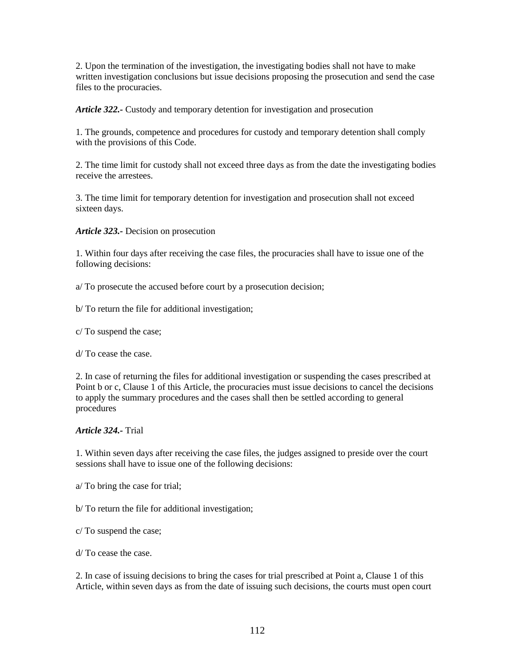2. Upon the termination of the investigation, the investigating bodies shall not have to make written investigation conclusions but issue decisions proposing the prosecution and send the case files to the procuracies.

*Article 322.-* Custody and temporary detention for investigation and prosecution

1. The grounds, competence and procedures for custody and temporary detention shall comply with the provisions of this Code.

2. The time limit for custody shall not exceed three days as from the date the investigating bodies receive the arrestees.

3. The time limit for temporary detention for investigation and prosecution shall not exceed sixteen days.

*Article 323.-* Decision on prosecution

1. Within four days after receiving the case files, the procuracies shall have to issue one of the following decisions:

a/ To prosecute the accused before court by a prosecution decision;

b/ To return the file for additional investigation;

c/ To suspend the case;

d/ To cease the case.

2. In case of returning the files for additional investigation or suspending the cases prescribed at Point b or c, Clause 1 of this Article, the procuracies must issue decisions to cancel the decisions to apply the summary procedures and the cases shall then be settled according to general procedures

*Article 324.-* Trial

1. Within seven days after receiving the case files, the judges assigned to preside over the court sessions shall have to issue one of the following decisions:

a/ To bring the case for trial;

b/ To return the file for additional investigation;

c/ To suspend the case;

d/ To cease the case.

2. In case of issuing decisions to bring the cases for trial prescribed at Point a, Clause 1 of this Article, within seven days as from the date of issuing such decisions, the courts must open court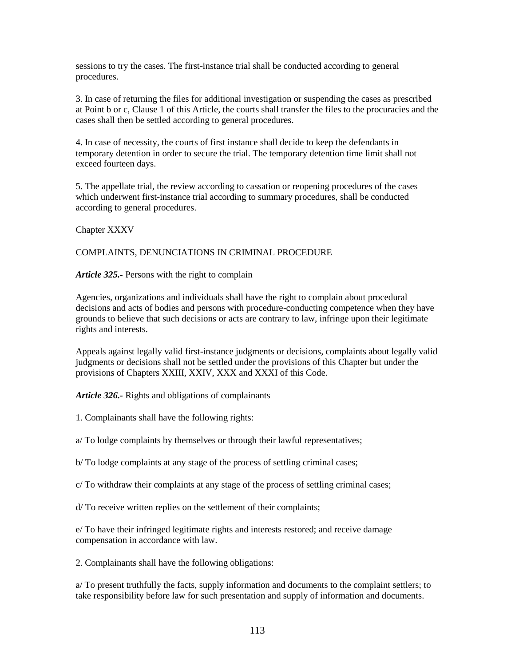sessions to try the cases. The first-instance trial shall be conducted according to general procedures.

3. In case of returning the files for additional investigation or suspending the cases as prescribed at Point b or c, Clause 1 of this Article, the courts shall transfer the files to the procuracies and the cases shall then be settled according to general procedures.

4. In case of necessity, the courts of first instance shall decide to keep the defendants in temporary detention in order to secure the trial. The temporary detention time limit shall not exceed fourteen days.

5. The appellate trial, the review according to cassation or reopening procedures of the cases which underwent first-instance trial according to summary procedures, shall be conducted according to general procedures.

Chapter XXXV

#### COMPLAINTS, DENUNCIATIONS IN CRIMINAL PROCEDURE

*Article 325.-* Persons with the right to complain

Agencies, organizations and individuals shall have the right to complain about procedural decisions and acts of bodies and persons with procedure-conducting competence when they have grounds to believe that such decisions or acts are contrary to law, infringe upon their legitimate rights and interests.

Appeals against legally valid first-instance judgments or decisions, complaints about legally valid judgments or decisions shall not be settled under the provisions of this Chapter but under the provisions of Chapters XXIII, XXIV, XXX and XXXI of this Code.

*Article 326.-* Rights and obligations of complainants

1. Complainants shall have the following rights:

a/ To lodge complaints by themselves or through their lawful representatives;

b/ To lodge complaints at any stage of the process of settling criminal cases;

c/ To withdraw their complaints at any stage of the process of settling criminal cases;

d/ To receive written replies on the settlement of their complaints;

e/ To have their infringed legitimate rights and interests restored; and receive damage compensation in accordance with law.

2. Complainants shall have the following obligations:

a/ To present truthfully the facts, supply information and documents to the complaint settlers; to take responsibility before law for such presentation and supply of information and documents.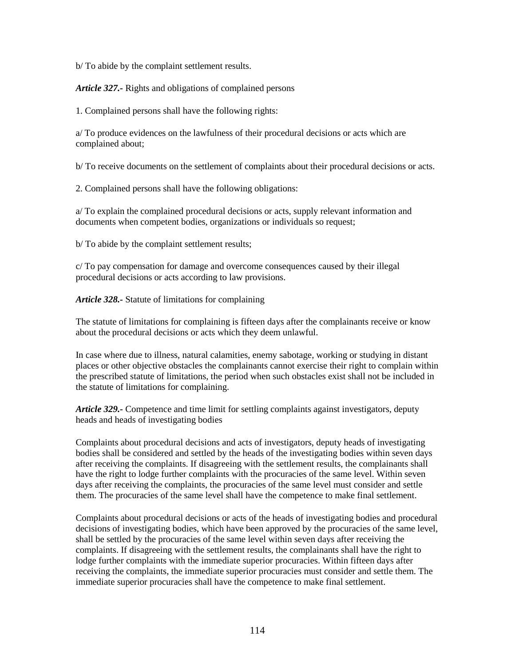b/ To abide by the complaint settlement results.

*Article 327.-* Rights and obligations of complained persons

1. Complained persons shall have the following rights:

a/ To produce evidences on the lawfulness of their procedural decisions or acts which are complained about;

b/ To receive documents on the settlement of complaints about their procedural decisions or acts.

2. Complained persons shall have the following obligations:

a/ To explain the complained procedural decisions or acts, supply relevant information and documents when competent bodies, organizations or individuals so request;

b/ To abide by the complaint settlement results;

c/ To pay compensation for damage and overcome consequences caused by their illegal procedural decisions or acts according to law provisions.

*Article 328.-* Statute of limitations for complaining

The statute of limitations for complaining is fifteen days after the complainants receive or know about the procedural decisions or acts which they deem unlawful.

In case where due to illness, natural calamities, enemy sabotage, working or studying in distant places or other objective obstacles the complainants cannot exercise their right to complain within the prescribed statute of limitations, the period when such obstacles exist shall not be included in the statute of limitations for complaining.

*Article 329.-* Competence and time limit for settling complaints against investigators, deputy heads and heads of investigating bodies

Complaints about procedural decisions and acts of investigators, deputy heads of investigating bodies shall be considered and settled by the heads of the investigating bodies within seven days after receiving the complaints. If disagreeing with the settlement results, the complainants shall have the right to lodge further complaints with the procuracies of the same level. Within seven days after receiving the complaints, the procuracies of the same level must consider and settle them. The procuracies of the same level shall have the competence to make final settlement.

Complaints about procedural decisions or acts of the heads of investigating bodies and procedural decisions of investigating bodies, which have been approved by the procuracies of the same level, shall be settled by the procuracies of the same level within seven days after receiving the complaints. If disagreeing with the settlement results, the complainants shall have the right to lodge further complaints with the immediate superior procuracies. Within fifteen days after receiving the complaints, the immediate superior procuracies must consider and settle them. The immediate superior procuracies shall have the competence to make final settlement.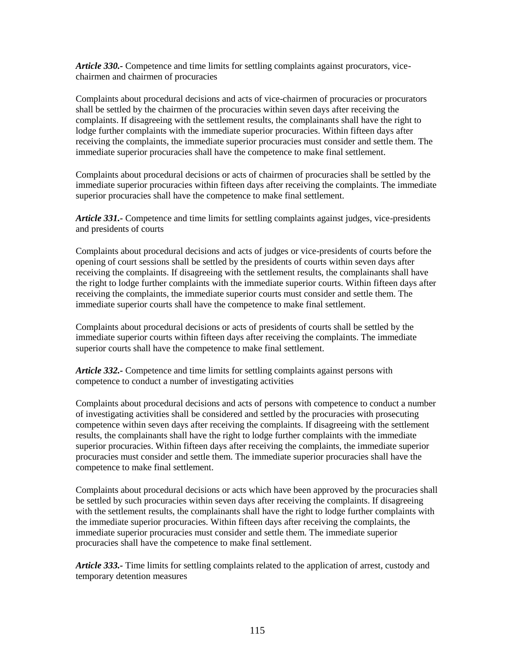*Article 330.-* Competence and time limits for settling complaints against procurators, vicechairmen and chairmen of procuracies

Complaints about procedural decisions and acts of vice-chairmen of procuracies or procurators shall be settled by the chairmen of the procuracies within seven days after receiving the complaints. If disagreeing with the settlement results, the complainants shall have the right to lodge further complaints with the immediate superior procuracies. Within fifteen days after receiving the complaints, the immediate superior procuracies must consider and settle them. The immediate superior procuracies shall have the competence to make final settlement.

Complaints about procedural decisions or acts of chairmen of procuracies shall be settled by the immediate superior procuracies within fifteen days after receiving the complaints. The immediate superior procuracies shall have the competence to make final settlement.

*Article 331.-* Competence and time limits for settling complaints against judges, vice-presidents and presidents of courts

Complaints about procedural decisions and acts of judges or vice-presidents of courts before the opening of court sessions shall be settled by the presidents of courts within seven days after receiving the complaints. If disagreeing with the settlement results, the complainants shall have the right to lodge further complaints with the immediate superior courts. Within fifteen days after receiving the complaints, the immediate superior courts must consider and settle them. The immediate superior courts shall have the competence to make final settlement.

Complaints about procedural decisions or acts of presidents of courts shall be settled by the immediate superior courts within fifteen days after receiving the complaints. The immediate superior courts shall have the competence to make final settlement.

*Article 332.-* Competence and time limits for settling complaints against persons with competence to conduct a number of investigating activities

Complaints about procedural decisions and acts of persons with competence to conduct a number of investigating activities shall be considered and settled by the procuracies with prosecuting competence within seven days after receiving the complaints. If disagreeing with the settlement results, the complainants shall have the right to lodge further complaints with the immediate superior procuracies. Within fifteen days after receiving the complaints, the immediate superior procuracies must consider and settle them. The immediate superior procuracies shall have the competence to make final settlement.

Complaints about procedural decisions or acts which have been approved by the procuracies shall be settled by such procuracies within seven days after receiving the complaints. If disagreeing with the settlement results, the complainants shall have the right to lodge further complaints with the immediate superior procuracies. Within fifteen days after receiving the complaints, the immediate superior procuracies must consider and settle them. The immediate superior procuracies shall have the competence to make final settlement.

*Article 333.-* Time limits for settling complaints related to the application of arrest, custody and temporary detention measures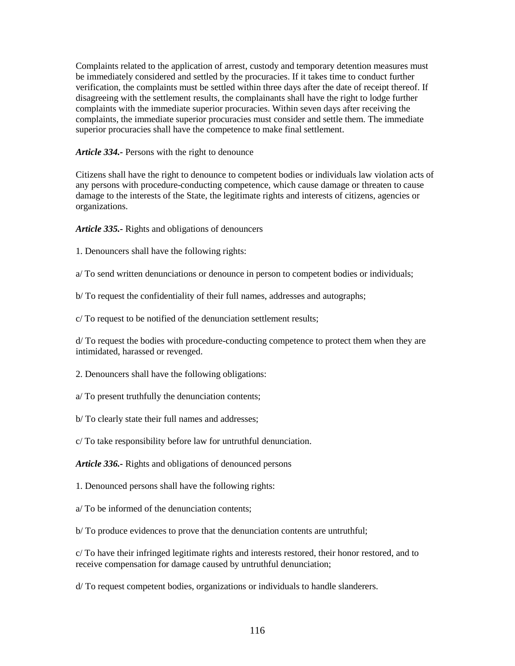Complaints related to the application of arrest, custody and temporary detention measures must be immediately considered and settled by the procuracies. If it takes time to conduct further verification, the complaints must be settled within three days after the date of receipt thereof. If disagreeing with the settlement results, the complainants shall have the right to lodge further complaints with the immediate superior procuracies. Within seven days after receiving the complaints, the immediate superior procuracies must consider and settle them. The immediate superior procuracies shall have the competence to make final settlement.

*Article 334.-* Persons with the right to denounce

Citizens shall have the right to denounce to competent bodies or individuals law violation acts of any persons with procedure-conducting competence, which cause damage or threaten to cause damage to the interests of the State, the legitimate rights and interests of citizens, agencies or organizations.

*Article 335.-* Rights and obligations of denouncers

1. Denouncers shall have the following rights:

a/ To send written denunciations or denounce in person to competent bodies or individuals;

b/ To request the confidentiality of their full names, addresses and autographs;

c/ To request to be notified of the denunciation settlement results;

d/ To request the bodies with procedure-conducting competence to protect them when they are intimidated, harassed or revenged.

2. Denouncers shall have the following obligations:

a/ To present truthfully the denunciation contents;

b/ To clearly state their full names and addresses;

c/ To take responsibility before law for untruthful denunciation.

*Article 336.-* Rights and obligations of denounced persons

1. Denounced persons shall have the following rights:

a/ To be informed of the denunciation contents;

b/ To produce evidences to prove that the denunciation contents are untruthful;

c/ To have their infringed legitimate rights and interests restored, their honor restored, and to receive compensation for damage caused by untruthful denunciation;

d/ To request competent bodies, organizations or individuals to handle slanderers.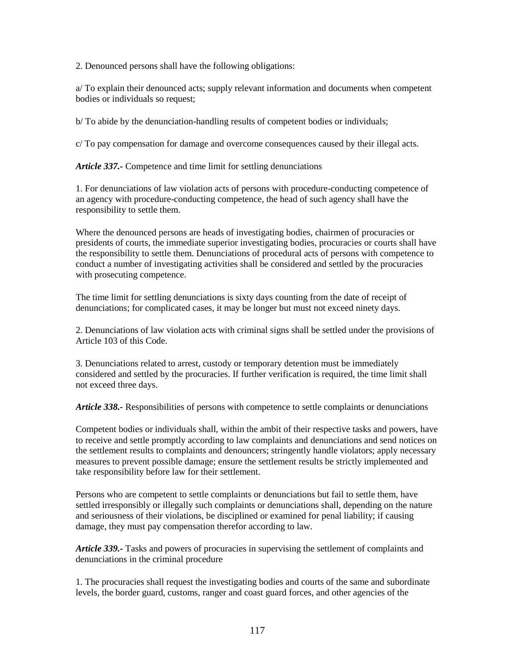2. Denounced persons shall have the following obligations:

a/ To explain their denounced acts; supply relevant information and documents when competent bodies or individuals so request;

b/ To abide by the denunciation-handling results of competent bodies or individuals;

c/ To pay compensation for damage and overcome consequences caused by their illegal acts.

*Article 337.-* Competence and time limit for settling denunciations

1. For denunciations of law violation acts of persons with procedure-conducting competence of an agency with procedure-conducting competence, the head of such agency shall have the responsibility to settle them.

Where the denounced persons are heads of investigating bodies, chairmen of procuracies or presidents of courts, the immediate superior investigating bodies, procuracies or courts shall have the responsibility to settle them. Denunciations of procedural acts of persons with competence to conduct a number of investigating activities shall be considered and settled by the procuracies with prosecuting competence.

The time limit for settling denunciations is sixty days counting from the date of receipt of denunciations; for complicated cases, it may be longer but must not exceed ninety days.

2. Denunciations of law violation acts with criminal signs shall be settled under the provisions of Article 103 of this Code.

3. Denunciations related to arrest, custody or temporary detention must be immediately considered and settled by the procuracies. If further verification is required, the time limit shall not exceed three days.

*Article 338.-* Responsibilities of persons with competence to settle complaints or denunciations

Competent bodies or individuals shall, within the ambit of their respective tasks and powers, have to receive and settle promptly according to law complaints and denunciations and send notices on the settlement results to complaints and denouncers; stringently handle violators; apply necessary measures to prevent possible damage; ensure the settlement results be strictly implemented and take responsibility before law for their settlement.

Persons who are competent to settle complaints or denunciations but fail to settle them, have settled irresponsibly or illegally such complaints or denunciations shall, depending on the nature and seriousness of their violations, be disciplined or examined for penal liability; if causing damage, they must pay compensation therefor according to law.

*Article 339.-* Tasks and powers of procuracies in supervising the settlement of complaints and denunciations in the criminal procedure

1. The procuracies shall request the investigating bodies and courts of the same and subordinate levels, the border guard, customs, ranger and coast guard forces, and other agencies of the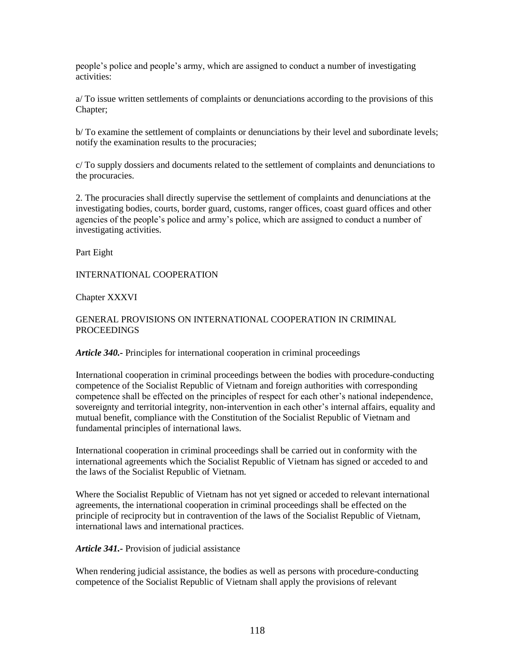people's police and people's army, which are assigned to conduct a number of investigating activities:

a/ To issue written settlements of complaints or denunciations according to the provisions of this Chapter;

b/ To examine the settlement of complaints or denunciations by their level and subordinate levels; notify the examination results to the procuracies;

c/ To supply dossiers and documents related to the settlement of complaints and denunciations to the procuracies.

2. The procuracies shall directly supervise the settlement of complaints and denunciations at the investigating bodies, courts, border guard, customs, ranger offices, coast guard offices and other agencies of the people's police and army's police, which are assigned to conduct a number of investigating activities.

Part Eight

INTERNATIONAL COOPERATION

Chapter XXXVI

## GENERAL PROVISIONS ON INTERNATIONAL COOPERATION IN CRIMINAL PROCEEDINGS

*Article 340.-* Principles for international cooperation in criminal proceedings

International cooperation in criminal proceedings between the bodies with procedure-conducting competence of the Socialist Republic of Vietnam and foreign authorities with corresponding competence shall be effected on the principles of respect for each other's national independence, sovereignty and territorial integrity, non-intervention in each other's internal affairs, equality and mutual benefit, compliance with the Constitution of the Socialist Republic of Vietnam and fundamental principles of international laws.

International cooperation in criminal proceedings shall be carried out in conformity with the international agreements which the Socialist Republic of Vietnam has signed or acceded to and the laws of the Socialist Republic of Vietnam.

Where the Socialist Republic of Vietnam has not yet signed or acceded to relevant international agreements, the international cooperation in criminal proceedings shall be effected on the principle of reciprocity but in contravention of the laws of the Socialist Republic of Vietnam, international laws and international practices.

*Article 341.-* Provision of judicial assistance

When rendering judicial assistance, the bodies as well as persons with procedure-conducting competence of the Socialist Republic of Vietnam shall apply the provisions of relevant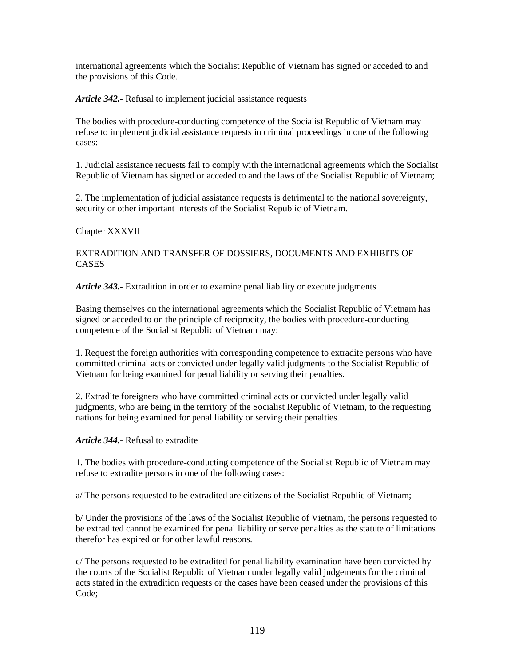international agreements which the Socialist Republic of Vietnam has signed or acceded to and the provisions of this Code.

*Article 342.-* Refusal to implement judicial assistance requests

The bodies with procedure-conducting competence of the Socialist Republic of Vietnam may refuse to implement judicial assistance requests in criminal proceedings in one of the following cases:

1. Judicial assistance requests fail to comply with the international agreements which the Socialist Republic of Vietnam has signed or acceded to and the laws of the Socialist Republic of Vietnam;

2. The implementation of judicial assistance requests is detrimental to the national sovereignty, security or other important interests of the Socialist Republic of Vietnam.

## Chapter XXXVII

## EXTRADITION AND TRANSFER OF DOSSIERS, DOCUMENTS AND EXHIBITS OF **CASES**

*Article 343.-* Extradition in order to examine penal liability or execute judgments

Basing themselves on the international agreements which the Socialist Republic of Vietnam has signed or acceded to on the principle of reciprocity, the bodies with procedure-conducting competence of the Socialist Republic of Vietnam may:

1. Request the foreign authorities with corresponding competence to extradite persons who have committed criminal acts or convicted under legally valid judgments to the Socialist Republic of Vietnam for being examined for penal liability or serving their penalties.

2. Extradite foreigners who have committed criminal acts or convicted under legally valid judgments, who are being in the territory of the Socialist Republic of Vietnam, to the requesting nations for being examined for penal liability or serving their penalties.

### *Article 344.-* Refusal to extradite

1. The bodies with procedure-conducting competence of the Socialist Republic of Vietnam may refuse to extradite persons in one of the following cases:

a/ The persons requested to be extradited are citizens of the Socialist Republic of Vietnam;

b/ Under the provisions of the laws of the Socialist Republic of Vietnam, the persons requested to be extradited cannot be examined for penal liability or serve penalties as the statute of limitations therefor has expired or for other lawful reasons.

c/ The persons requested to be extradited for penal liability examination have been convicted by the courts of the Socialist Republic of Vietnam under legally valid judgements for the criminal acts stated in the extradition requests or the cases have been ceased under the provisions of this Code;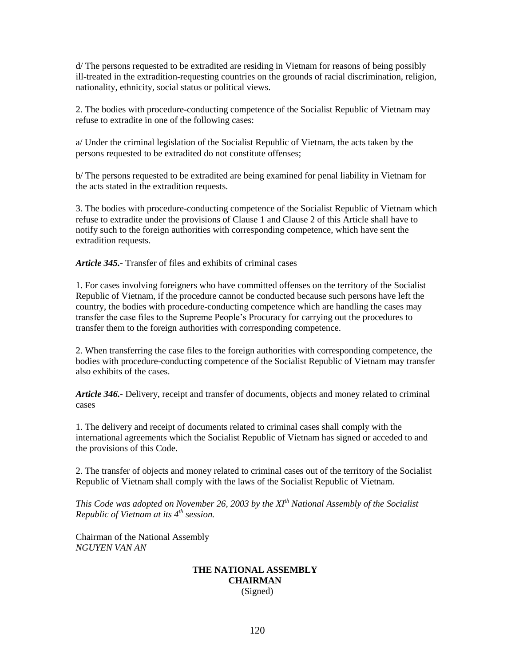d/ The persons requested to be extradited are residing in Vietnam for reasons of being possibly ill-treated in the extradition-requesting countries on the grounds of racial discrimination, religion, nationality, ethnicity, social status or political views.

2. The bodies with procedure-conducting competence of the Socialist Republic of Vietnam may refuse to extradite in one of the following cases:

a/ Under the criminal legislation of the Socialist Republic of Vietnam, the acts taken by the persons requested to be extradited do not constitute offenses;

b/ The persons requested to be extradited are being examined for penal liability in Vietnam for the acts stated in the extradition requests.

3. The bodies with procedure-conducting competence of the Socialist Republic of Vietnam which refuse to extradite under the provisions of Clause 1 and Clause 2 of this Article shall have to notify such to the foreign authorities with corresponding competence, which have sent the extradition requests.

*Article 345.-* Transfer of files and exhibits of criminal cases

1. For cases involving foreigners who have committed offenses on the territory of the Socialist Republic of Vietnam, if the procedure cannot be conducted because such persons have left the country, the bodies with procedure-conducting competence which are handling the cases may transfer the case files to the Supreme People's Procuracy for carrying out the procedures to transfer them to the foreign authorities with corresponding competence.

2. When transferring the case files to the foreign authorities with corresponding competence, the bodies with procedure-conducting competence of the Socialist Republic of Vietnam may transfer also exhibits of the cases.

*Article 346.-* Delivery, receipt and transfer of documents, objects and money related to criminal cases

1. The delivery and receipt of documents related to criminal cases shall comply with the international agreements which the Socialist Republic of Vietnam has signed or acceded to and the provisions of this Code.

2. The transfer of objects and money related to criminal cases out of the territory of the Socialist Republic of Vietnam shall comply with the laws of the Socialist Republic of Vietnam.

*This Code was adopted on November 26, 2003 by the XIth National Assembly of the Socialist Republic of Vietnam at its 4th session.*

Chairman of the National Assembly *NGUYEN VAN AN*

#### **THE NATIONAL ASSEMBLY CHAIRMAN** (Signed)